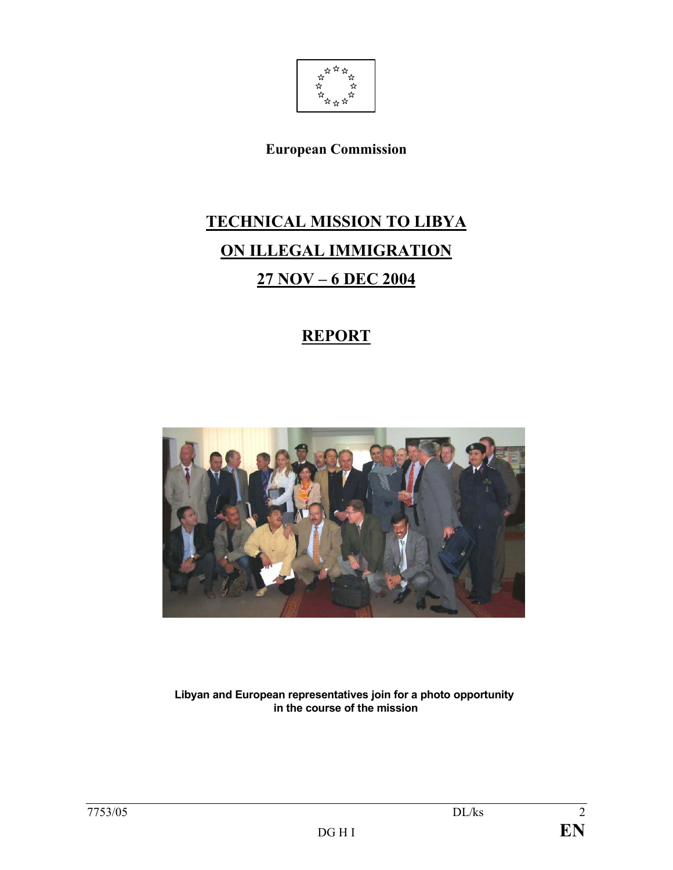

**European Commission** 

# **TECHNICAL MISSION TO LIBYA ON ILLEGAL IMMIGRATION 27 NOV – 6 DEC 2004**

## **REPORT**



**Libyan and European representatives join for a photo opportunity in the course of the mission**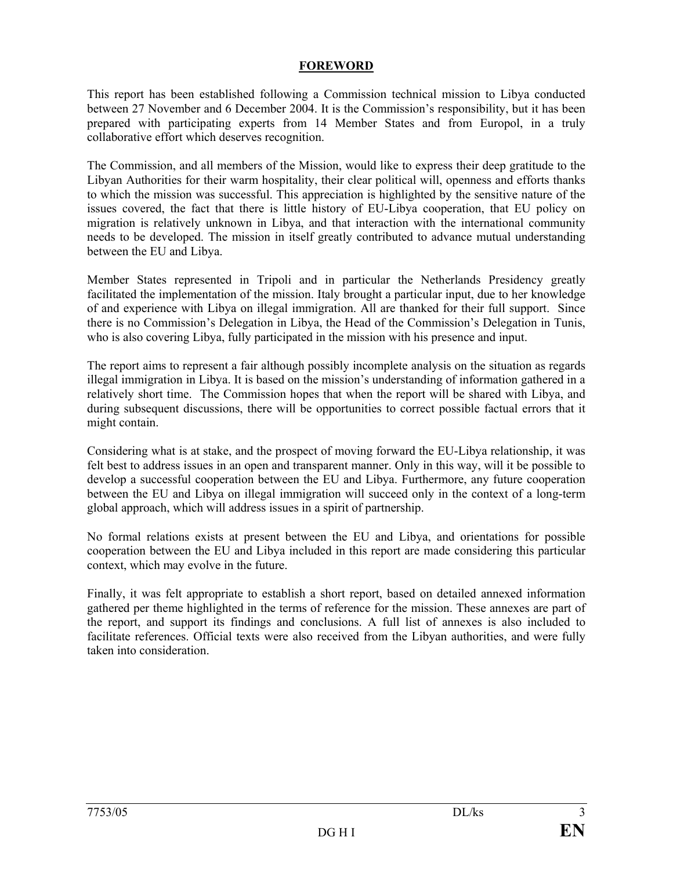#### **FOREWORD**

This report has been established following a Commission technical mission to Libya conducted between 27 November and 6 December 2004. It is the Commission's responsibility, but it has been prepared with participating experts from 14 Member States and from Europol, in a truly collaborative effort which deserves recognition.

The Commission, and all members of the Mission, would like to express their deep gratitude to the Libyan Authorities for their warm hospitality, their clear political will, openness and efforts thanks to which the mission was successful. This appreciation is highlighted by the sensitive nature of the issues covered, the fact that there is little history of EU-Libya cooperation, that EU policy on migration is relatively unknown in Libya, and that interaction with the international community needs to be developed. The mission in itself greatly contributed to advance mutual understanding between the EU and Libya.

Member States represented in Tripoli and in particular the Netherlands Presidency greatly facilitated the implementation of the mission. Italy brought a particular input, due to her knowledge of and experience with Libya on illegal immigration. All are thanked for their full support. Since there is no Commission's Delegation in Libya, the Head of the Commission's Delegation in Tunis, who is also covering Libya, fully participated in the mission with his presence and input.

The report aims to represent a fair although possibly incomplete analysis on the situation as regards illegal immigration in Libya. It is based on the mission's understanding of information gathered in a relatively short time. The Commission hopes that when the report will be shared with Libya, and during subsequent discussions, there will be opportunities to correct possible factual errors that it might contain.

Considering what is at stake, and the prospect of moving forward the EU-Libya relationship, it was felt best to address issues in an open and transparent manner. Only in this way, will it be possible to develop a successful cooperation between the EU and Libya. Furthermore, any future cooperation between the EU and Libya on illegal immigration will succeed only in the context of a long-term global approach, which will address issues in a spirit of partnership.

No formal relations exists at present between the EU and Libya, and orientations for possible cooperation between the EU and Libya included in this report are made considering this particular context, which may evolve in the future.

Finally, it was felt appropriate to establish a short report, based on detailed annexed information gathered per theme highlighted in the terms of reference for the mission. These annexes are part of the report, and support its findings and conclusions. A full list of annexes is also included to facilitate references. Official texts were also received from the Libyan authorities, and were fully taken into consideration.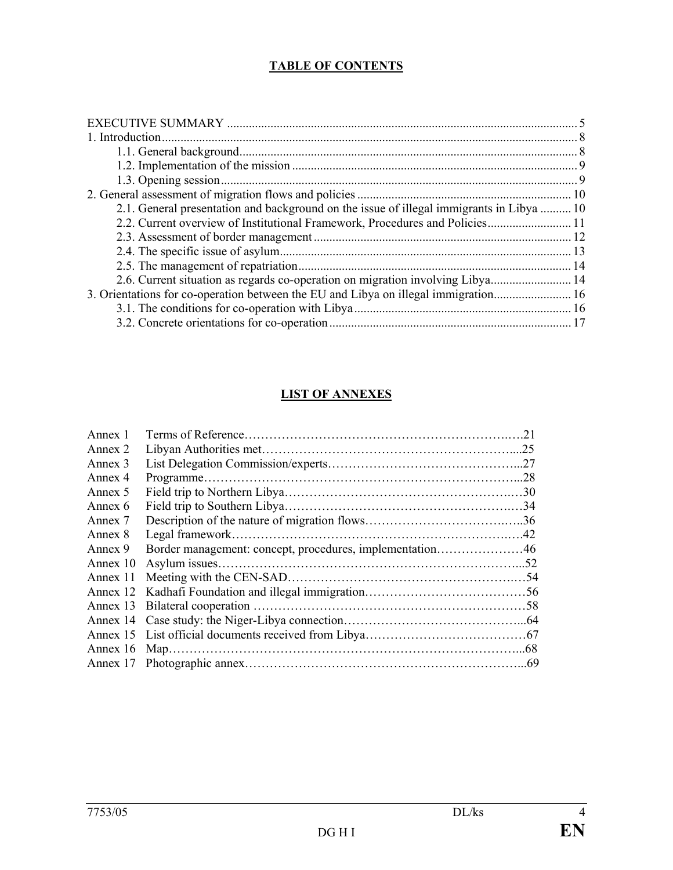## **TABLE OF CONTENTS**

| 2.1. General presentation and background on the issue of illegal immigrants in Libya  10 |  |
|------------------------------------------------------------------------------------------|--|
| 2.2. Current overview of Institutional Framework, Procedures and Policies 11             |  |
|                                                                                          |  |
|                                                                                          |  |
|                                                                                          |  |
| 2.6. Current situation as regards co-operation on migration involving Libya 14           |  |
|                                                                                          |  |
|                                                                                          |  |
|                                                                                          |  |

## **LIST OF ANNEXES**

| Annex 1  |                                                          | .21 |
|----------|----------------------------------------------------------|-----|
| Annex 2  |                                                          |     |
| Annex 3  |                                                          |     |
| Annex 4  |                                                          |     |
| Annex 5  |                                                          |     |
| Annex 6  |                                                          |     |
| Annex 7  |                                                          |     |
| Annex 8  |                                                          |     |
| Annex 9  | Border management: concept, procedures, implementation46 |     |
| Annex 10 |                                                          |     |
| Annex 11 |                                                          |     |
|          |                                                          |     |
|          |                                                          |     |
|          |                                                          |     |
|          |                                                          |     |
|          |                                                          |     |
|          |                                                          |     |
|          |                                                          |     |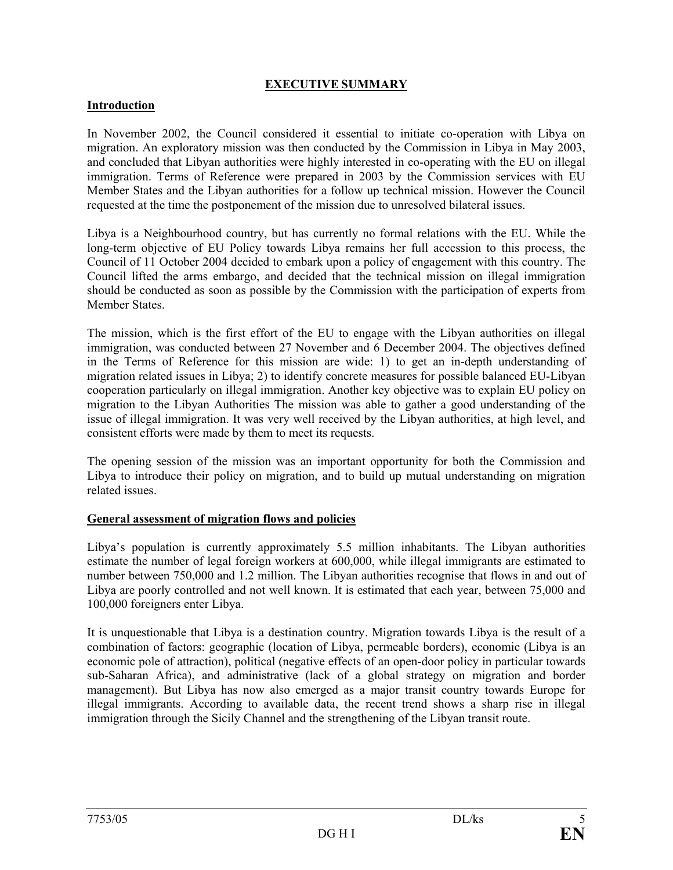## **EXECUTIVE SUMMARY**

#### **Introduction**

In November 2002, the Council considered it essential to initiate co-operation with Libya on migration. An exploratory mission was then conducted by the Commission in Libya in May 2003, and concluded that Libyan authorities were highly interested in co-operating with the EU on illegal immigration. Terms of Reference were prepared in 2003 by the Commission services with EU Member States and the Libyan authorities for a follow up technical mission. However the Council requested at the time the postponement of the mission due to unresolved bilateral issues.

Libya is a Neighbourhood country, but has currently no formal relations with the EU. While the long-term objective of EU Policy towards Libya remains her full accession to this process, the Council of 11 October 2004 decided to embark upon a policy of engagement with this country. The Council lifted the arms embargo, and decided that the technical mission on illegal immigration should be conducted as soon as possible by the Commission with the participation of experts from Member States.

The mission, which is the first effort of the EU to engage with the Libyan authorities on illegal immigration, was conducted between 27 November and 6 December 2004. The objectives defined in the Terms of Reference for this mission are wide: 1) to get an in-depth understanding of migration related issues in Libya; 2) to identify concrete measures for possible balanced EU-Libyan cooperation particularly on illegal immigration. Another key objective was to explain EU policy on migration to the Libyan Authorities The mission was able to gather a good understanding of the issue of illegal immigration. It was very well received by the Libyan authorities, at high level, and consistent efforts were made by them to meet its requests.

The opening session of the mission was an important opportunity for both the Commission and Libya to introduce their policy on migration, and to build up mutual understanding on migration related issues.

#### **General assessment of migration flows and policies**

Libya's population is currently approximately 5.5 million inhabitants. The Libyan authorities estimate the number of legal foreign workers at 600,000, while illegal immigrants are estimated to number between 750,000 and 1.2 million. The Libyan authorities recognise that flows in and out of Libya are poorly controlled and not well known. It is estimated that each year, between 75,000 and 100,000 foreigners enter Libya.

It is unquestionable that Libya is a destination country. Migration towards Libya is the result of a combination of factors: geographic (location of Libya, permeable borders), economic (Libya is an economic pole of attraction), political (negative effects of an open-door policy in particular towards sub-Saharan Africa), and administrative (lack of a global strategy on migration and border management). But Libya has now also emerged as a major transit country towards Europe for illegal immigrants. According to available data, the recent trend shows a sharp rise in illegal immigration through the Sicily Channel and the strengthening of the Libyan transit route.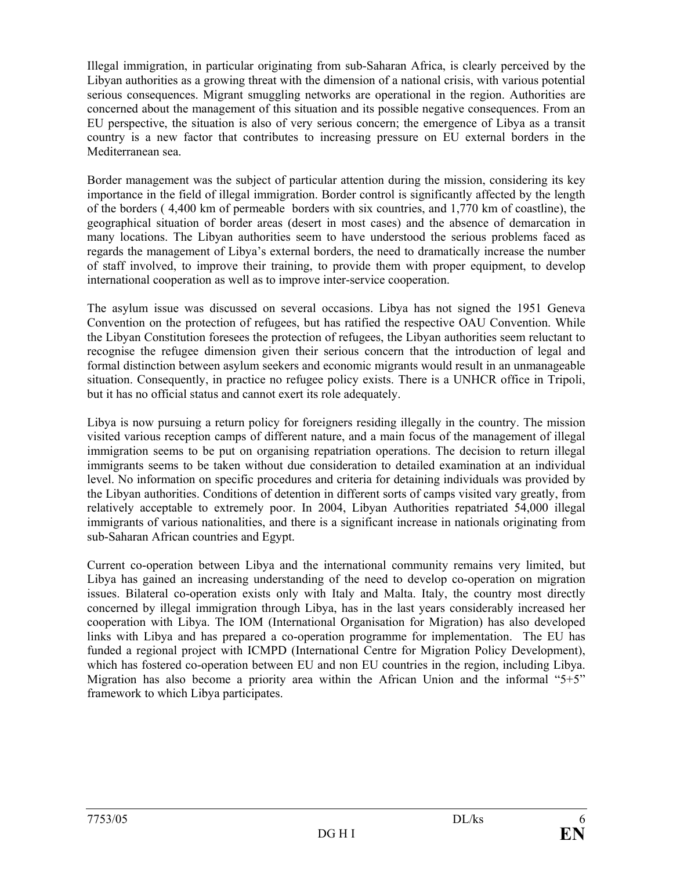Illegal immigration, in particular originating from sub-Saharan Africa, is clearly perceived by the Libyan authorities as a growing threat with the dimension of a national crisis, with various potential serious consequences. Migrant smuggling networks are operational in the region. Authorities are concerned about the management of this situation and its possible negative consequences. From an EU perspective, the situation is also of very serious concern; the emergence of Libya as a transit country is a new factor that contributes to increasing pressure on EU external borders in the Mediterranean sea.

Border management was the subject of particular attention during the mission, considering its key importance in the field of illegal immigration. Border control is significantly affected by the length of the borders ( 4,400 km of permeable borders with six countries, and 1,770 km of coastline), the geographical situation of border areas (desert in most cases) and the absence of demarcation in many locations. The Libyan authorities seem to have understood the serious problems faced as regards the management of Libya's external borders, the need to dramatically increase the number of staff involved, to improve their training, to provide them with proper equipment, to develop international cooperation as well as to improve inter-service cooperation.

The asylum issue was discussed on several occasions. Libya has not signed the 1951 Geneva Convention on the protection of refugees, but has ratified the respective OAU Convention. While the Libyan Constitution foresees the protection of refugees, the Libyan authorities seem reluctant to recognise the refugee dimension given their serious concern that the introduction of legal and formal distinction between asylum seekers and economic migrants would result in an unmanageable situation. Consequently, in practice no refugee policy exists. There is a UNHCR office in Tripoli, but it has no official status and cannot exert its role adequately.

Libya is now pursuing a return policy for foreigners residing illegally in the country. The mission visited various reception camps of different nature, and a main focus of the management of illegal immigration seems to be put on organising repatriation operations. The decision to return illegal immigrants seems to be taken without due consideration to detailed examination at an individual level. No information on specific procedures and criteria for detaining individuals was provided by the Libyan authorities. Conditions of detention in different sorts of camps visited vary greatly, from relatively acceptable to extremely poor. In 2004, Libyan Authorities repatriated 54,000 illegal immigrants of various nationalities, and there is a significant increase in nationals originating from sub-Saharan African countries and Egypt.

Current co-operation between Libya and the international community remains very limited, but Libya has gained an increasing understanding of the need to develop co-operation on migration issues. Bilateral co-operation exists only with Italy and Malta. Italy, the country most directly concerned by illegal immigration through Libya, has in the last years considerably increased her cooperation with Libya. The IOM (International Organisation for Migration) has also developed links with Libya and has prepared a co-operation programme for implementation. The EU has funded a regional project with ICMPD (International Centre for Migration Policy Development), which has fostered co-operation between EU and non EU countries in the region, including Libya. Migration has also become a priority area within the African Union and the informal "5+5" framework to which Libya participates.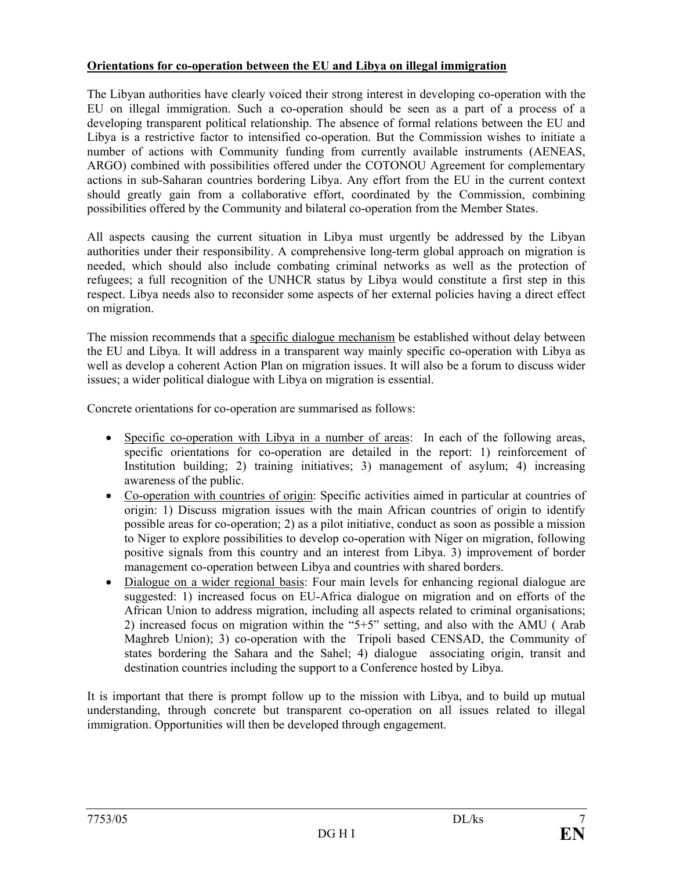## **Orientations for co-operation between the EU and Libya on illegal immigration**

The Libyan authorities have clearly voiced their strong interest in developing co-operation with the EU on illegal immigration. Such a co-operation should be seen as a part of a process of a developing transparent political relationship. The absence of formal relations between the EU and Libya is a restrictive factor to intensified co-operation. But the Commission wishes to initiate a number of actions with Community funding from currently available instruments (AENEAS, ARGO) combined with possibilities offered under the COTONOU Agreement for complementary actions in sub-Saharan countries bordering Libya. Any effort from the EU in the current context should greatly gain from a collaborative effort, coordinated by the Commission, combining possibilities offered by the Community and bilateral co-operation from the Member States.

All aspects causing the current situation in Libya must urgently be addressed by the Libyan authorities under their responsibility. A comprehensive long-term global approach on migration is needed, which should also include combating criminal networks as well as the protection of refugees; a full recognition of the UNHCR status by Libya would constitute a first step in this respect. Libya needs also to reconsider some aspects of her external policies having a direct effect on migration.

The mission recommends that a specific dialogue mechanism be established without delay between the EU and Libya. It will address in a transparent way mainly specific co-operation with Libya as well as develop a coherent Action Plan on migration issues. It will also be a forum to discuss wider issues; a wider political dialogue with Libya on migration is essential.

Concrete orientations for co-operation are summarised as follows:

- Specific co-operation with Libya in a number of areas: In each of the following areas, specific orientations for co-operation are detailed in the report: 1) reinforcement of Institution building; 2) training initiatives; 3) management of asylum; 4) increasing awareness of the public.
- Co-operation with countries of origin: Specific activities aimed in particular at countries of origin: 1) Discuss migration issues with the main African countries of origin to identify possible areas for co-operation; 2) as a pilot initiative, conduct as soon as possible a mission to Niger to explore possibilities to develop co-operation with Niger on migration, following positive signals from this country and an interest from Libya. 3) improvement of border management co-operation between Libya and countries with shared borders.
- Dialogue on a wider regional basis: Four main levels for enhancing regional dialogue are suggested: 1) increased focus on EU-Africa dialogue on migration and on efforts of the African Union to address migration, including all aspects related to criminal organisations; 2) increased focus on migration within the "5+5" setting, and also with the AMU ( Arab Maghreb Union); 3) co-operation with the Tripoli based CENSAD, the Community of states bordering the Sahara and the Sahel; 4) dialogue associating origin, transit and destination countries including the support to a Conference hosted by Libya.

It is important that there is prompt follow up to the mission with Libya, and to build up mutual understanding, through concrete but transparent co-operation on all issues related to illegal immigration. Opportunities will then be developed through engagement.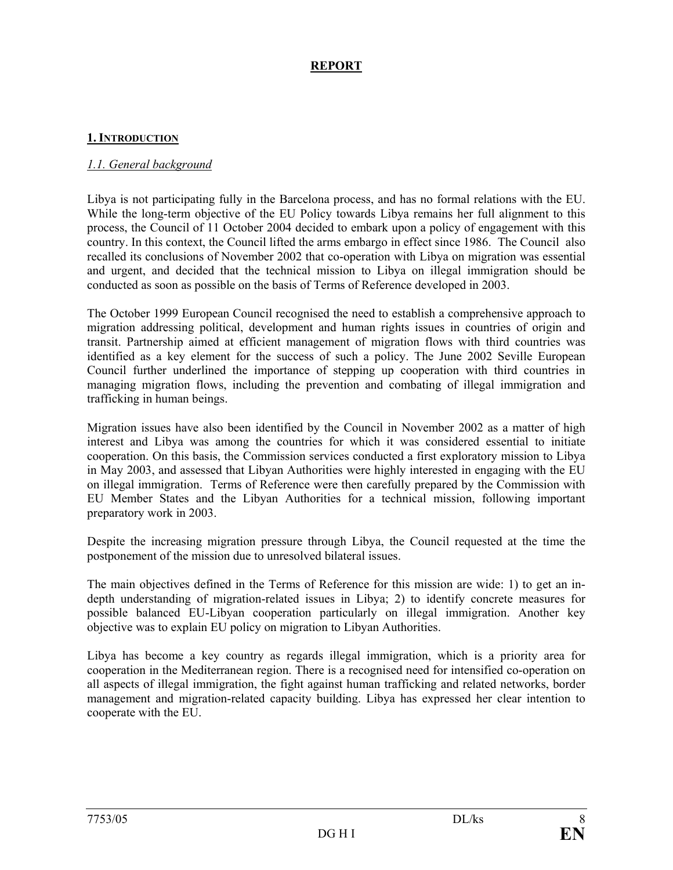## **REPORT**

### **1. INTRODUCTION**

### *1.1. General background*

Libya is not participating fully in the Barcelona process, and has no formal relations with the EU. While the long-term objective of the EU Policy towards Libya remains her full alignment to this process, the Council of 11 October 2004 decided to embark upon a policy of engagement with this country. In this context, the Council lifted the arms embargo in effect since 1986. The Council also recalled its conclusions of November 2002 that co-operation with Libya on migration was essential and urgent, and decided that the technical mission to Libya on illegal immigration should be conducted as soon as possible on the basis of Terms of Reference developed in 2003.

The October 1999 European Council recognised the need to establish a comprehensive approach to migration addressing political, development and human rights issues in countries of origin and transit. Partnership aimed at efficient management of migration flows with third countries was identified as a key element for the success of such a policy. The June 2002 Seville European Council further underlined the importance of stepping up cooperation with third countries in managing migration flows, including the prevention and combating of illegal immigration and trafficking in human beings.

Migration issues have also been identified by the Council in November 2002 as a matter of high interest and Libya was among the countries for which it was considered essential to initiate cooperation. On this basis, the Commission services conducted a first exploratory mission to Libya in May 2003, and assessed that Libyan Authorities were highly interested in engaging with the EU on illegal immigration. Terms of Reference were then carefully prepared by the Commission with EU Member States and the Libyan Authorities for a technical mission, following important preparatory work in 2003.

Despite the increasing migration pressure through Libya, the Council requested at the time the postponement of the mission due to unresolved bilateral issues.

The main objectives defined in the Terms of Reference for this mission are wide: 1) to get an indepth understanding of migration-related issues in Libya; 2) to identify concrete measures for possible balanced EU-Libyan cooperation particularly on illegal immigration. Another key objective was to explain EU policy on migration to Libyan Authorities.

Libya has become a key country as regards illegal immigration, which is a priority area for cooperation in the Mediterranean region. There is a recognised need for intensified co-operation on all aspects of illegal immigration, the fight against human trafficking and related networks, border management and migration-related capacity building. Libya has expressed her clear intention to cooperate with the EU.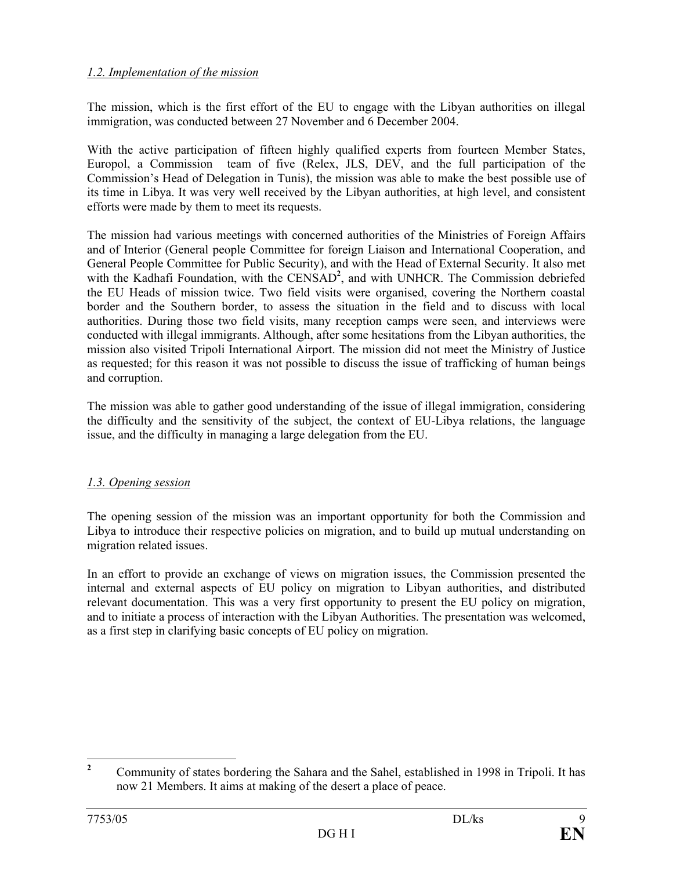## *1.2. Implementation of the mission*

The mission, which is the first effort of the EU to engage with the Libyan authorities on illegal immigration, was conducted between 27 November and 6 December 2004.

With the active participation of fifteen highly qualified experts from fourteen Member States, Europol, a Commission team of five (Relex, JLS, DEV, and the full participation of the Commission's Head of Delegation in Tunis), the mission was able to make the best possible use of its time in Libya. It was very well received by the Libyan authorities, at high level, and consistent efforts were made by them to meet its requests.

The mission had various meetings with concerned authorities of the Ministries of Foreign Affairs and of Interior (General people Committee for foreign Liaison and International Cooperation, and General People Committee for Public Security), and with the Head of External Security. It also met with the Kadhafi Foundation, with the CENSAD<sup>2</sup>, and with UNHCR. The Commission debriefed the EU Heads of mission twice. Two field visits were organised, covering the Northern coastal border and the Southern border, to assess the situation in the field and to discuss with local authorities. During those two field visits, many reception camps were seen, and interviews were conducted with illegal immigrants. Although, after some hesitations from the Libyan authorities, the mission also visited Tripoli International Airport. The mission did not meet the Ministry of Justice as requested; for this reason it was not possible to discuss the issue of trafficking of human beings and corruption.

The mission was able to gather good understanding of the issue of illegal immigration, considering the difficulty and the sensitivity of the subject, the context of EU-Libya relations, the language issue, and the difficulty in managing a large delegation from the EU.

## *1.3. Opening session*

The opening session of the mission was an important opportunity for both the Commission and Libya to introduce their respective policies on migration, and to build up mutual understanding on migration related issues.

In an effort to provide an exchange of views on migration issues, the Commission presented the internal and external aspects of EU policy on migration to Libyan authorities, and distributed relevant documentation. This was a very first opportunity to present the EU policy on migration, and to initiate a process of interaction with the Libyan Authorities. The presentation was welcomed, as a first step in clarifying basic concepts of EU policy on migration.

 **2** Community of states bordering the Sahara and the Sahel, established in 1998 in Tripoli. It has now 21 Members. It aims at making of the desert a place of peace.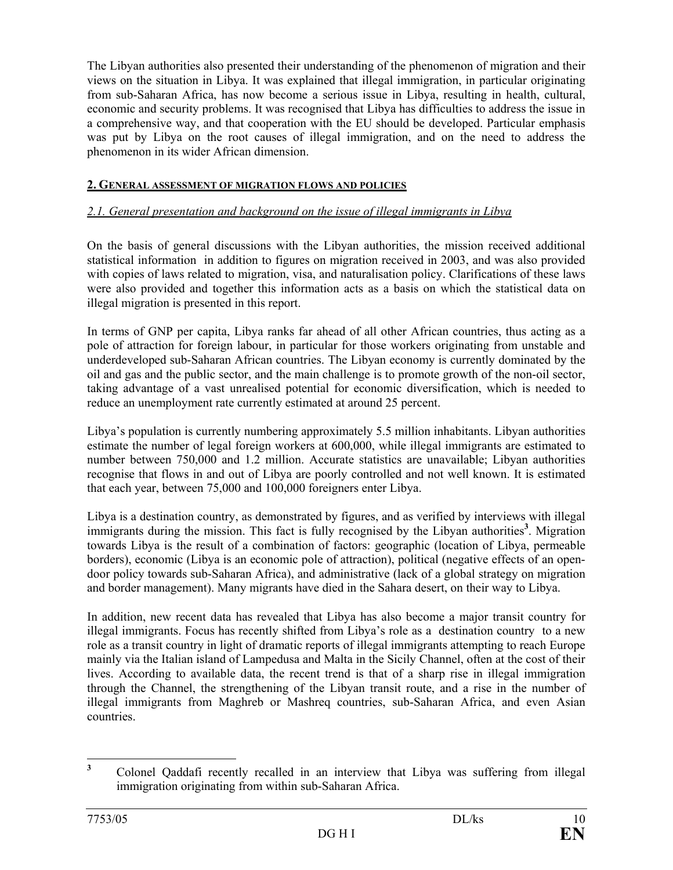The Libyan authorities also presented their understanding of the phenomenon of migration and their views on the situation in Libya. It was explained that illegal immigration, in particular originating from sub-Saharan Africa, has now become a serious issue in Libya, resulting in health, cultural, economic and security problems. It was recognised that Libya has difficulties to address the issue in a comprehensive way, and that cooperation with the EU should be developed. Particular emphasis was put by Libya on the root causes of illegal immigration, and on the need to address the phenomenon in its wider African dimension.

## **2. GENERAL ASSESSMENT OF MIGRATION FLOWS AND POLICIES**

#### *2.1. General presentation and background on the issue of illegal immigrants in Libya*

On the basis of general discussions with the Libyan authorities, the mission received additional statistical information in addition to figures on migration received in 2003, and was also provided with copies of laws related to migration, visa, and naturalisation policy. Clarifications of these laws were also provided and together this information acts as a basis on which the statistical data on illegal migration is presented in this report.

In terms of GNP per capita, Libya ranks far ahead of all other African countries, thus acting as a pole of attraction for foreign labour, in particular for those workers originating from unstable and underdeveloped sub-Saharan African countries. The Libyan economy is currently dominated by the oil and gas and the public sector, and the main challenge is to promote growth of the non-oil sector, taking advantage of a vast unrealised potential for economic diversification, which is needed to reduce an unemployment rate currently estimated at around 25 percent.

Libya's population is currently numbering approximately 5.5 million inhabitants. Libyan authorities estimate the number of legal foreign workers at 600,000, while illegal immigrants are estimated to number between 750,000 and 1.2 million. Accurate statistics are unavailable; Libyan authorities recognise that flows in and out of Libya are poorly controlled and not well known. It is estimated that each year, between 75,000 and 100,000 foreigners enter Libya.

Libya is a destination country, as demonstrated by figures, and as verified by interviews with illegal immigrants during the mission. This fact is fully recognised by the Libyan authorities<sup>3</sup>. Migration towards Libya is the result of a combination of factors: geographic (location of Libya, permeable borders), economic (Libya is an economic pole of attraction), political (negative effects of an opendoor policy towards sub-Saharan Africa), and administrative (lack of a global strategy on migration and border management). Many migrants have died in the Sahara desert, on their way to Libya.

In addition, new recent data has revealed that Libya has also become a major transit country for illegal immigrants. Focus has recently shifted from Libya's role as a destination country to a new role as a transit country in light of dramatic reports of illegal immigrants attempting to reach Europe mainly via the Italian island of Lampedusa and Malta in the Sicily Channel, often at the cost of their lives. According to available data, the recent trend is that of a sharp rise in illegal immigration through the Channel, the strengthening of the Libyan transit route, and a rise in the number of illegal immigrants from Maghreb or Mashreq countries, sub-Saharan Africa, and even Asian countries.

 **3** Colonel Qaddafi recently recalled in an interview that Libya was suffering from illegal immigration originating from within sub-Saharan Africa.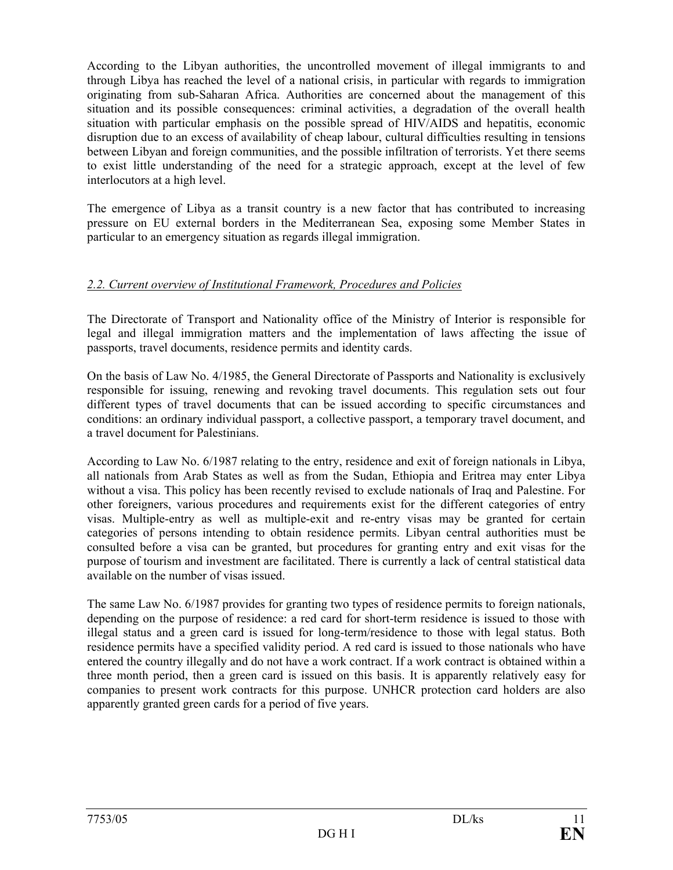According to the Libyan authorities, the uncontrolled movement of illegal immigrants to and through Libya has reached the level of a national crisis, in particular with regards to immigration originating from sub-Saharan Africa. Authorities are concerned about the management of this situation and its possible consequences: criminal activities, a degradation of the overall health situation with particular emphasis on the possible spread of HIV/AIDS and hepatitis, economic disruption due to an excess of availability of cheap labour, cultural difficulties resulting in tensions between Libyan and foreign communities, and the possible infiltration of terrorists. Yet there seems to exist little understanding of the need for a strategic approach, except at the level of few interlocutors at a high level.

The emergence of Libya as a transit country is a new factor that has contributed to increasing pressure on EU external borders in the Mediterranean Sea, exposing some Member States in particular to an emergency situation as regards illegal immigration.

## *2.2. Current overview of Institutional Framework, Procedures and Policies*

The Directorate of Transport and Nationality office of the Ministry of Interior is responsible for legal and illegal immigration matters and the implementation of laws affecting the issue of passports, travel documents, residence permits and identity cards.

On the basis of Law No. 4/1985, the General Directorate of Passports and Nationality is exclusively responsible for issuing, renewing and revoking travel documents. This regulation sets out four different types of travel documents that can be issued according to specific circumstances and conditions: an ordinary individual passport, a collective passport, a temporary travel document, and a travel document for Palestinians.

According to Law No. 6/1987 relating to the entry, residence and exit of foreign nationals in Libya, all nationals from Arab States as well as from the Sudan, Ethiopia and Eritrea may enter Libya without a visa. This policy has been recently revised to exclude nationals of Iraq and Palestine. For other foreigners, various procedures and requirements exist for the different categories of entry visas. Multiple-entry as well as multiple-exit and re-entry visas may be granted for certain categories of persons intending to obtain residence permits. Libyan central authorities must be consulted before a visa can be granted, but procedures for granting entry and exit visas for the purpose of tourism and investment are facilitated. There is currently a lack of central statistical data available on the number of visas issued.

The same Law No. 6/1987 provides for granting two types of residence permits to foreign nationals, depending on the purpose of residence: a red card for short-term residence is issued to those with illegal status and a green card is issued for long-term/residence to those with legal status. Both residence permits have a specified validity period. A red card is issued to those nationals who have entered the country illegally and do not have a work contract. If a work contract is obtained within a three month period, then a green card is issued on this basis. It is apparently relatively easy for companies to present work contracts for this purpose. UNHCR protection card holders are also apparently granted green cards for a period of five years.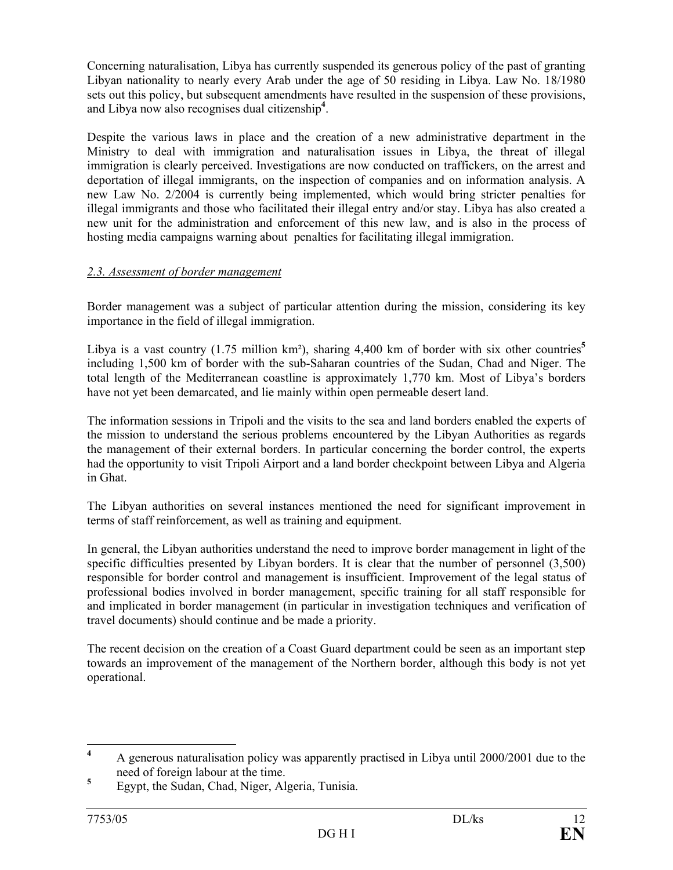Concerning naturalisation, Libya has currently suspended its generous policy of the past of granting Libyan nationality to nearly every Arab under the age of 50 residing in Libya. Law No. 18/1980 sets out this policy, but subsequent amendments have resulted in the suspension of these provisions, and Libya now also recognises dual citizenship**<sup>4</sup>** .

Despite the various laws in place and the creation of a new administrative department in the Ministry to deal with immigration and naturalisation issues in Libya, the threat of illegal immigration is clearly perceived. Investigations are now conducted on traffickers, on the arrest and deportation of illegal immigrants, on the inspection of companies and on information analysis. A new Law No. 2/2004 is currently being implemented, which would bring stricter penalties for illegal immigrants and those who facilitated their illegal entry and/or stay. Libya has also created a new unit for the administration and enforcement of this new law, and is also in the process of hosting media campaigns warning about penalties for facilitating illegal immigration.

## *2.3. Assessment of border management*

Border management was a subject of particular attention during the mission, considering its key importance in the field of illegal immigration.

Libya is a vast country (1.75 million km<sup>2</sup>), sharing 4,400 km of border with six other countries<sup>5</sup> including 1,500 km of border with the sub-Saharan countries of the Sudan, Chad and Niger. The total length of the Mediterranean coastline is approximately 1,770 km. Most of Libya's borders have not yet been demarcated, and lie mainly within open permeable desert land.

The information sessions in Tripoli and the visits to the sea and land borders enabled the experts of the mission to understand the serious problems encountered by the Libyan Authorities as regards the management of their external borders. In particular concerning the border control, the experts had the opportunity to visit Tripoli Airport and a land border checkpoint between Libya and Algeria in Ghat.

The Libyan authorities on several instances mentioned the need for significant improvement in terms of staff reinforcement, as well as training and equipment.

In general, the Libyan authorities understand the need to improve border management in light of the specific difficulties presented by Libyan borders. It is clear that the number of personnel (3,500) responsible for border control and management is insufficient. Improvement of the legal status of professional bodies involved in border management, specific training for all staff responsible for and implicated in border management (in particular in investigation techniques and verification of travel documents) should continue and be made a priority.

The recent decision on the creation of a Coast Guard department could be seen as an important step towards an improvement of the management of the Northern border, although this body is not yet operational.

 **4** A generous naturalisation policy was apparently practised in Libya until 2000/2001 due to the need of foreign labour at the time.

**<sup>5</sup>** Egypt, the Sudan, Chad, Niger, Algeria, Tunisia.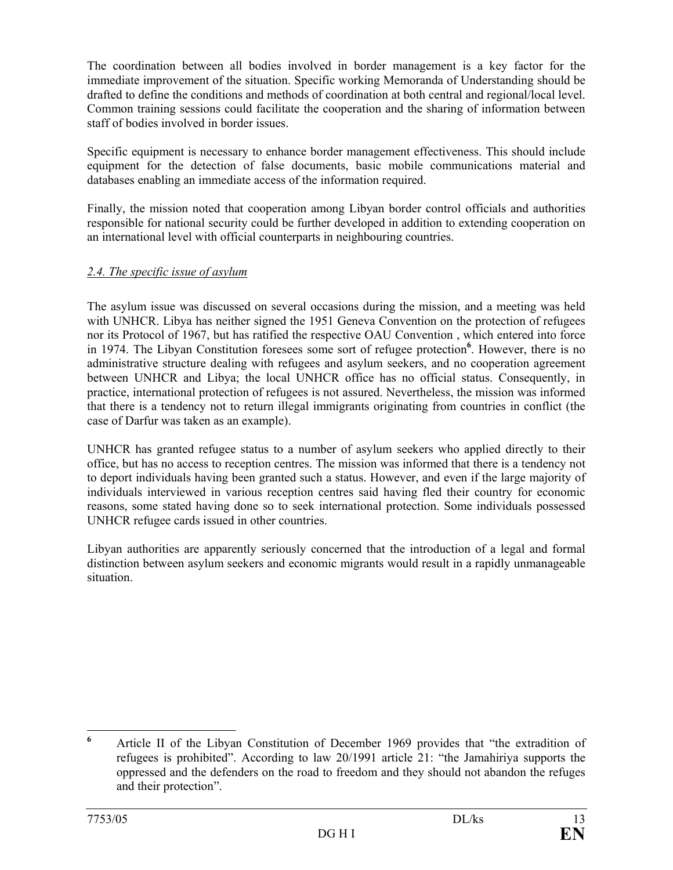The coordination between all bodies involved in border management is a key factor for the immediate improvement of the situation. Specific working Memoranda of Understanding should be drafted to define the conditions and methods of coordination at both central and regional/local level. Common training sessions could facilitate the cooperation and the sharing of information between staff of bodies involved in border issues.

Specific equipment is necessary to enhance border management effectiveness. This should include equipment for the detection of false documents, basic mobile communications material and databases enabling an immediate access of the information required.

Finally, the mission noted that cooperation among Libyan border control officials and authorities responsible for national security could be further developed in addition to extending cooperation on an international level with official counterparts in neighbouring countries.

## *2.4. The specific issue of asylum*

The asylum issue was discussed on several occasions during the mission, and a meeting was held with UNHCR. Libya has neither signed the 1951 Geneva Convention on the protection of refugees nor its Protocol of 1967, but has ratified the respective OAU Convention , which entered into force in 1974. The Libyan Constitution foresees some sort of refugee protection**<sup>6</sup>** . However, there is no administrative structure dealing with refugees and asylum seekers, and no cooperation agreement between UNHCR and Libya; the local UNHCR office has no official status. Consequently, in practice, international protection of refugees is not assured. Nevertheless, the mission was informed that there is a tendency not to return illegal immigrants originating from countries in conflict (the case of Darfur was taken as an example).

UNHCR has granted refugee status to a number of asylum seekers who applied directly to their office, but has no access to reception centres. The mission was informed that there is a tendency not to deport individuals having been granted such a status. However, and even if the large majority of individuals interviewed in various reception centres said having fled their country for economic reasons, some stated having done so to seek international protection. Some individuals possessed UNHCR refugee cards issued in other countries.

Libyan authorities are apparently seriously concerned that the introduction of a legal and formal distinction between asylum seekers and economic migrants would result in a rapidly unmanageable situation.

 **6** Article II of the Libyan Constitution of December 1969 provides that "the extradition of refugees is prohibited". According to law 20/1991 article 21: "the Jamahiriya supports the oppressed and the defenders on the road to freedom and they should not abandon the refuges and their protection".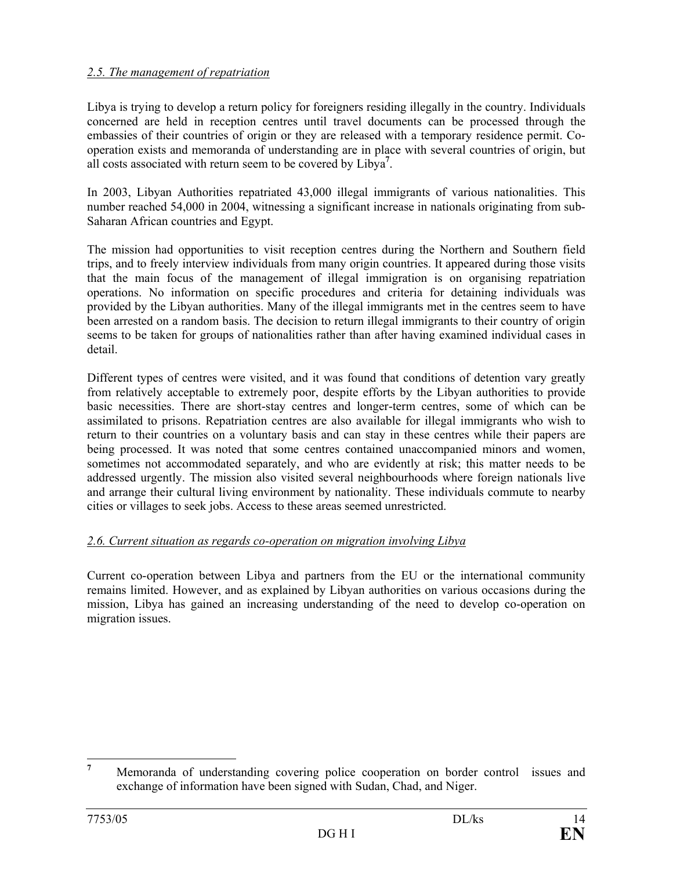## *2.5. The management of repatriation*

Libya is trying to develop a return policy for foreigners residing illegally in the country. Individuals concerned are held in reception centres until travel documents can be processed through the embassies of their countries of origin or they are released with a temporary residence permit. Cooperation exists and memoranda of understanding are in place with several countries of origin, but all costs associated with return seem to be covered by Libya**<sup>7</sup>** .

In 2003, Libyan Authorities repatriated 43,000 illegal immigrants of various nationalities. This number reached 54,000 in 2004, witnessing a significant increase in nationals originating from sub-Saharan African countries and Egypt.

The mission had opportunities to visit reception centres during the Northern and Southern field trips, and to freely interview individuals from many origin countries. It appeared during those visits that the main focus of the management of illegal immigration is on organising repatriation operations. No information on specific procedures and criteria for detaining individuals was provided by the Libyan authorities. Many of the illegal immigrants met in the centres seem to have been arrested on a random basis. The decision to return illegal immigrants to their country of origin seems to be taken for groups of nationalities rather than after having examined individual cases in detail.

Different types of centres were visited, and it was found that conditions of detention vary greatly from relatively acceptable to extremely poor, despite efforts by the Libyan authorities to provide basic necessities. There are short-stay centres and longer-term centres, some of which can be assimilated to prisons. Repatriation centres are also available for illegal immigrants who wish to return to their countries on a voluntary basis and can stay in these centres while their papers are being processed. It was noted that some centres contained unaccompanied minors and women, sometimes not accommodated separately, and who are evidently at risk; this matter needs to be addressed urgently. The mission also visited several neighbourhoods where foreign nationals live and arrange their cultural living environment by nationality. These individuals commute to nearby cities or villages to seek jobs. Access to these areas seemed unrestricted.

## *2.6. Current situation as regards co-operation on migration involving Libya*

Current co-operation between Libya and partners from the EU or the international community remains limited. However, and as explained by Libyan authorities on various occasions during the mission, Libya has gained an increasing understanding of the need to develop co-operation on migration issues.

 **7** Memoranda of understanding covering police cooperation on border control issues and exchange of information have been signed with Sudan, Chad, and Niger.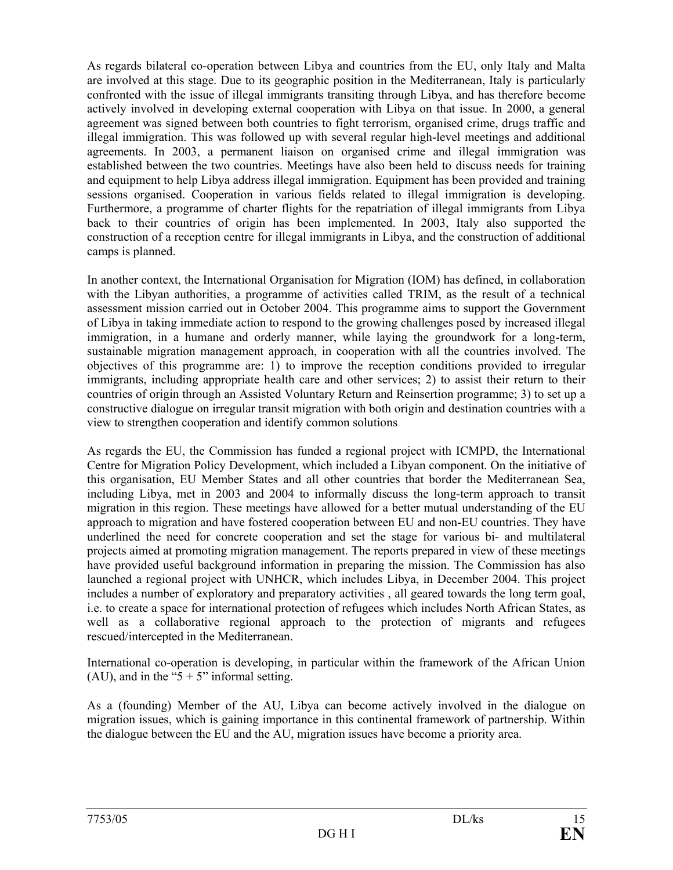As regards bilateral co-operation between Libya and countries from the EU, only Italy and Malta are involved at this stage. Due to its geographic position in the Mediterranean, Italy is particularly confronted with the issue of illegal immigrants transiting through Libya, and has therefore become actively involved in developing external cooperation with Libya on that issue. In 2000, a general agreement was signed between both countries to fight terrorism, organised crime, drugs traffic and illegal immigration. This was followed up with several regular high-level meetings and additional agreements. In 2003, a permanent liaison on organised crime and illegal immigration was established between the two countries. Meetings have also been held to discuss needs for training and equipment to help Libya address illegal immigration. Equipment has been provided and training sessions organised. Cooperation in various fields related to illegal immigration is developing. Furthermore, a programme of charter flights for the repatriation of illegal immigrants from Libya back to their countries of origin has been implemented. In 2003, Italy also supported the construction of a reception centre for illegal immigrants in Libya, and the construction of additional camps is planned.

In another context, the International Organisation for Migration (IOM) has defined, in collaboration with the Libyan authorities, a programme of activities called TRIM, as the result of a technical assessment mission carried out in October 2004. This programme aims to support the Government of Libya in taking immediate action to respond to the growing challenges posed by increased illegal immigration, in a humane and orderly manner, while laying the groundwork for a long-term, sustainable migration management approach, in cooperation with all the countries involved. The objectives of this programme are: 1) to improve the reception conditions provided to irregular immigrants, including appropriate health care and other services; 2) to assist their return to their countries of origin through an Assisted Voluntary Return and Reinsertion programme; 3) to set up a constructive dialogue on irregular transit migration with both origin and destination countries with a view to strengthen cooperation and identify common solutions

As regards the EU, the Commission has funded a regional project with ICMPD, the International Centre for Migration Policy Development, which included a Libyan component. On the initiative of this organisation, EU Member States and all other countries that border the Mediterranean Sea, including Libya, met in 2003 and 2004 to informally discuss the long-term approach to transit migration in this region. These meetings have allowed for a better mutual understanding of the EU approach to migration and have fostered cooperation between EU and non-EU countries. They have underlined the need for concrete cooperation and set the stage for various bi- and multilateral projects aimed at promoting migration management. The reports prepared in view of these meetings have provided useful background information in preparing the mission. The Commission has also launched a regional project with UNHCR, which includes Libya, in December 2004. This project includes a number of exploratory and preparatory activities , all geared towards the long term goal, i.e. to create a space for international protection of refugees which includes North African States, as well as a collaborative regional approach to the protection of migrants and refugees rescued/intercepted in the Mediterranean.

International co-operation is developing, in particular within the framework of the African Union (AU), and in the " $5 + 5$ " informal setting.

As a (founding) Member of the AU, Libya can become actively involved in the dialogue on migration issues, which is gaining importance in this continental framework of partnership. Within the dialogue between the EU and the AU, migration issues have become a priority area.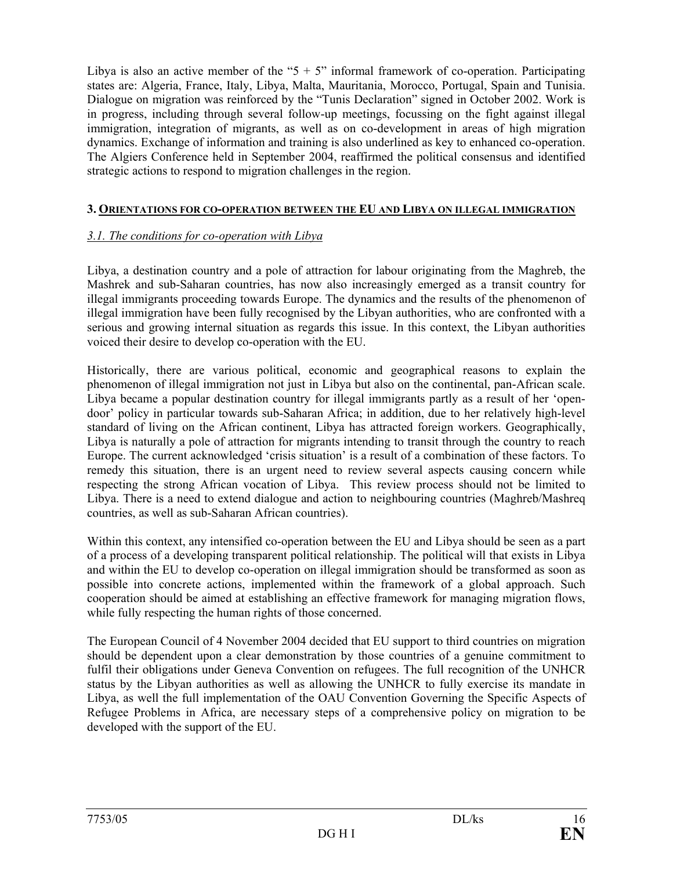Libya is also an active member of the " $5 + 5$ " informal framework of co-operation. Participating states are: Algeria, France, Italy, Libya, Malta, Mauritania, Morocco, Portugal, Spain and Tunisia. Dialogue on migration was reinforced by the "Tunis Declaration" signed in October 2002. Work is in progress, including through several follow-up meetings, focussing on the fight against illegal immigration, integration of migrants, as well as on co-development in areas of high migration dynamics. Exchange of information and training is also underlined as key to enhanced co-operation. The Algiers Conference held in September 2004, reaffirmed the political consensus and identified strategic actions to respond to migration challenges in the region.

### **3. ORIENTATIONS FOR CO-OPERATION BETWEEN THE EU AND LIBYA ON ILLEGAL IMMIGRATION**

## *3.1. The conditions for co-operation with Libya*

Libya, a destination country and a pole of attraction for labour originating from the Maghreb, the Mashrek and sub-Saharan countries, has now also increasingly emerged as a transit country for illegal immigrants proceeding towards Europe. The dynamics and the results of the phenomenon of illegal immigration have been fully recognised by the Libyan authorities, who are confronted with a serious and growing internal situation as regards this issue. In this context, the Libyan authorities voiced their desire to develop co-operation with the EU.

Historically, there are various political, economic and geographical reasons to explain the phenomenon of illegal immigration not just in Libya but also on the continental, pan-African scale. Libya became a popular destination country for illegal immigrants partly as a result of her 'opendoor' policy in particular towards sub-Saharan Africa; in addition, due to her relatively high-level standard of living on the African continent, Libya has attracted foreign workers. Geographically, Libya is naturally a pole of attraction for migrants intending to transit through the country to reach Europe. The current acknowledged 'crisis situation' is a result of a combination of these factors. To remedy this situation, there is an urgent need to review several aspects causing concern while respecting the strong African vocation of Libya. This review process should not be limited to Libya. There is a need to extend dialogue and action to neighbouring countries (Maghreb/Mashreq countries, as well as sub-Saharan African countries).

Within this context, any intensified co-operation between the EU and Libya should be seen as a part of a process of a developing transparent political relationship. The political will that exists in Libya and within the EU to develop co-operation on illegal immigration should be transformed as soon as possible into concrete actions, implemented within the framework of a global approach. Such cooperation should be aimed at establishing an effective framework for managing migration flows, while fully respecting the human rights of those concerned.

The European Council of 4 November 2004 decided that EU support to third countries on migration should be dependent upon a clear demonstration by those countries of a genuine commitment to fulfil their obligations under Geneva Convention on refugees. The full recognition of the UNHCR status by the Libyan authorities as well as allowing the UNHCR to fully exercise its mandate in Libya, as well the full implementation of the OAU Convention Governing the Specific Aspects of Refugee Problems in Africa, are necessary steps of a comprehensive policy on migration to be developed with the support of the EU.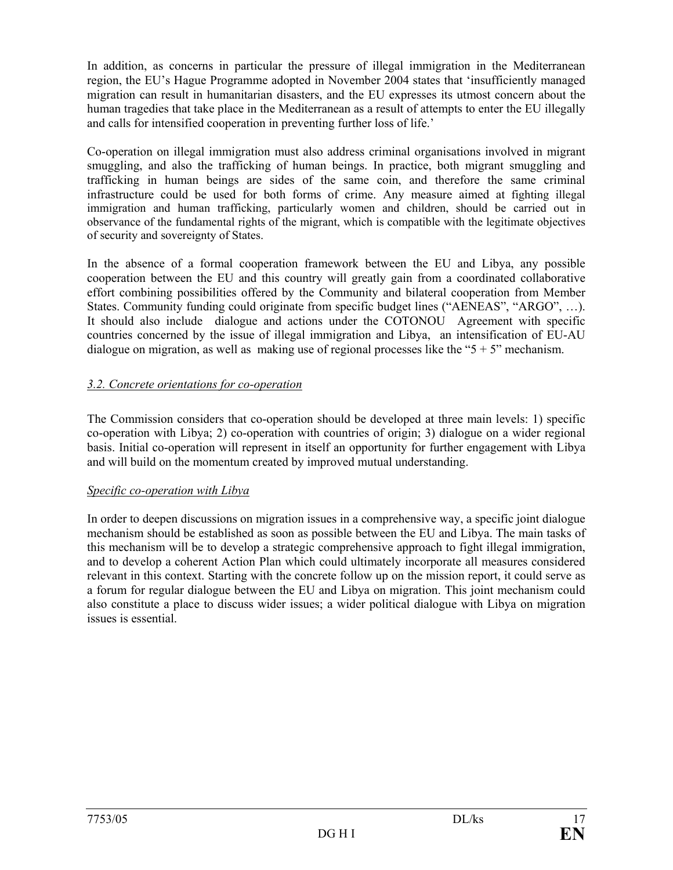In addition, as concerns in particular the pressure of illegal immigration in the Mediterranean region, the EU's Hague Programme adopted in November 2004 states that 'insufficiently managed migration can result in humanitarian disasters, and the EU expresses its utmost concern about the human tragedies that take place in the Mediterranean as a result of attempts to enter the EU illegally and calls for intensified cooperation in preventing further loss of life.'

Co-operation on illegal immigration must also address criminal organisations involved in migrant smuggling, and also the trafficking of human beings. In practice, both migrant smuggling and trafficking in human beings are sides of the same coin, and therefore the same criminal infrastructure could be used for both forms of crime. Any measure aimed at fighting illegal immigration and human trafficking, particularly women and children, should be carried out in observance of the fundamental rights of the migrant, which is compatible with the legitimate objectives of security and sovereignty of States.

In the absence of a formal cooperation framework between the EU and Libya, any possible cooperation between the EU and this country will greatly gain from a coordinated collaborative effort combining possibilities offered by the Community and bilateral cooperation from Member States. Community funding could originate from specific budget lines ("AENEAS", "ARGO", …). It should also include dialogue and actions under the COTONOU Agreement with specific countries concerned by the issue of illegal immigration and Libya, an intensification of EU-AU dialogue on migration, as well as making use of regional processes like the " $5 + 5$ " mechanism.

## *3.2. Concrete orientations for co-operation*

The Commission considers that co-operation should be developed at three main levels: 1) specific co-operation with Libya; 2) co-operation with countries of origin; 3) dialogue on a wider regional basis. Initial co-operation will represent in itself an opportunity for further engagement with Libya and will build on the momentum created by improved mutual understanding.

## *Specific co-operation with Libya*

In order to deepen discussions on migration issues in a comprehensive way, a specific joint dialogue mechanism should be established as soon as possible between the EU and Libya. The main tasks of this mechanism will be to develop a strategic comprehensive approach to fight illegal immigration, and to develop a coherent Action Plan which could ultimately incorporate all measures considered relevant in this context. Starting with the concrete follow up on the mission report, it could serve as a forum for regular dialogue between the EU and Libya on migration. This joint mechanism could also constitute a place to discuss wider issues; a wider political dialogue with Libya on migration issues is essential.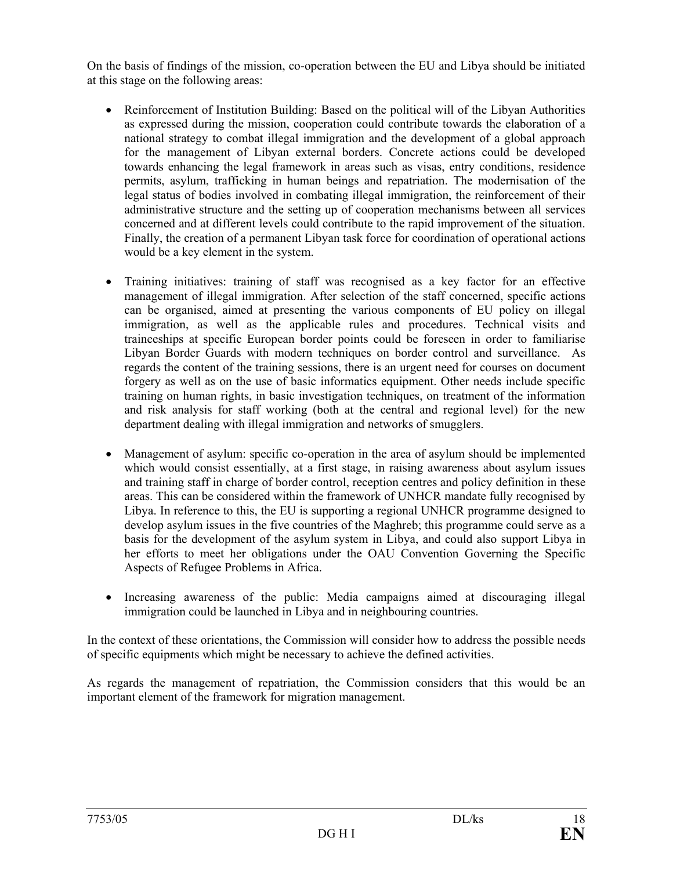On the basis of findings of the mission, co-operation between the EU and Libya should be initiated at this stage on the following areas:

- Reinforcement of Institution Building: Based on the political will of the Libyan Authorities as expressed during the mission, cooperation could contribute towards the elaboration of a national strategy to combat illegal immigration and the development of a global approach for the management of Libyan external borders. Concrete actions could be developed towards enhancing the legal framework in areas such as visas, entry conditions, residence permits, asylum, trafficking in human beings and repatriation. The modernisation of the legal status of bodies involved in combating illegal immigration, the reinforcement of their administrative structure and the setting up of cooperation mechanisms between all services concerned and at different levels could contribute to the rapid improvement of the situation. Finally, the creation of a permanent Libyan task force for coordination of operational actions would be a key element in the system.
- Training initiatives: training of staff was recognised as a key factor for an effective management of illegal immigration. After selection of the staff concerned, specific actions can be organised, aimed at presenting the various components of EU policy on illegal immigration, as well as the applicable rules and procedures. Technical visits and traineeships at specific European border points could be foreseen in order to familiarise Libyan Border Guards with modern techniques on border control and surveillance. As regards the content of the training sessions, there is an urgent need for courses on document forgery as well as on the use of basic informatics equipment. Other needs include specific training on human rights, in basic investigation techniques, on treatment of the information and risk analysis for staff working (both at the central and regional level) for the new department dealing with illegal immigration and networks of smugglers.
- Management of asylum: specific co-operation in the area of asylum should be implemented which would consist essentially, at a first stage, in raising awareness about asylum issues and training staff in charge of border control, reception centres and policy definition in these areas. This can be considered within the framework of UNHCR mandate fully recognised by Libya. In reference to this, the EU is supporting a regional UNHCR programme designed to develop asylum issues in the five countries of the Maghreb; this programme could serve as a basis for the development of the asylum system in Libya, and could also support Libya in her efforts to meet her obligations under the OAU Convention Governing the Specific Aspects of Refugee Problems in Africa.
- Increasing awareness of the public: Media campaigns aimed at discouraging illegal immigration could be launched in Libya and in neighbouring countries.

In the context of these orientations, the Commission will consider how to address the possible needs of specific equipments which might be necessary to achieve the defined activities.

As regards the management of repatriation, the Commission considers that this would be an important element of the framework for migration management.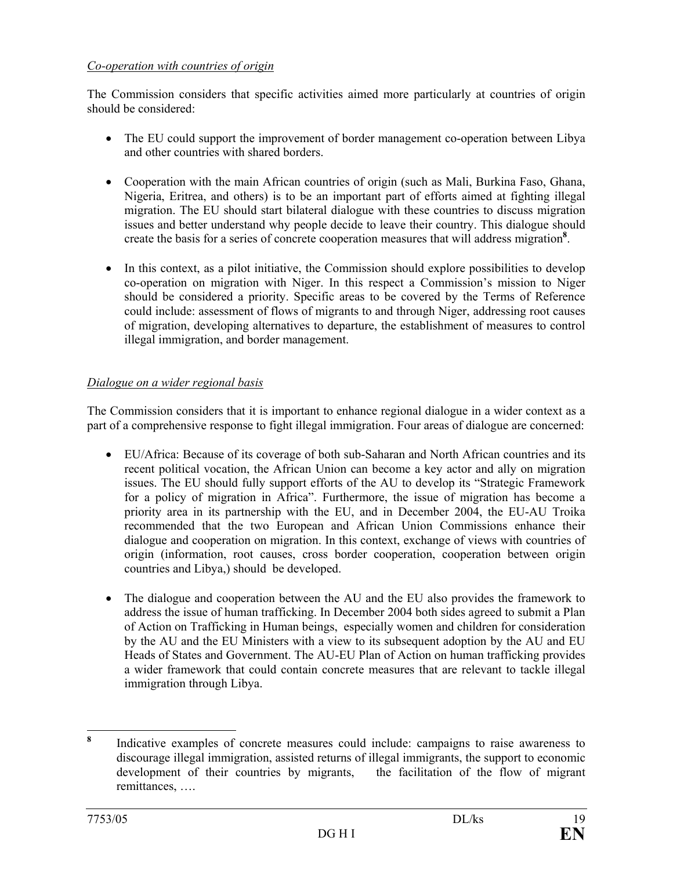## *Co-operation with countries of origin*

The Commission considers that specific activities aimed more particularly at countries of origin should be considered:

- The EU could support the improvement of border management co-operation between Libya and other countries with shared borders.
- Cooperation with the main African countries of origin (such as Mali, Burkina Faso, Ghana, Nigeria, Eritrea, and others) is to be an important part of efforts aimed at fighting illegal migration. The EU should start bilateral dialogue with these countries to discuss migration issues and better understand why people decide to leave their country. This dialogue should create the basis for a series of concrete cooperation measures that will address migration**<sup>8</sup>** .
- In this context, as a pilot initiative, the Commission should explore possibilities to develop co-operation on migration with Niger. In this respect a Commission's mission to Niger should be considered a priority. Specific areas to be covered by the Terms of Reference could include: assessment of flows of migrants to and through Niger, addressing root causes of migration, developing alternatives to departure, the establishment of measures to control illegal immigration, and border management.

## *Dialogue on a wider regional basis*

The Commission considers that it is important to enhance regional dialogue in a wider context as a part of a comprehensive response to fight illegal immigration. Four areas of dialogue are concerned:

- EU/Africa: Because of its coverage of both sub-Saharan and North African countries and its recent political vocation, the African Union can become a key actor and ally on migration issues. The EU should fully support efforts of the AU to develop its "Strategic Framework for a policy of migration in Africa". Furthermore, the issue of migration has become a priority area in its partnership with the EU, and in December 2004, the EU-AU Troika recommended that the two European and African Union Commissions enhance their dialogue and cooperation on migration. In this context, exchange of views with countries of origin (information, root causes, cross border cooperation, cooperation between origin countries and Libya,) should be developed.
- The dialogue and cooperation between the AU and the EU also provides the framework to address the issue of human trafficking. In December 2004 both sides agreed to submit a Plan of Action on Trafficking in Human beings, especially women and children for consideration by the AU and the EU Ministers with a view to its subsequent adoption by the AU and EU Heads of States and Government. The AU-EU Plan of Action on human trafficking provides a wider framework that could contain concrete measures that are relevant to tackle illegal immigration through Libya.

 **8** Indicative examples of concrete measures could include: campaigns to raise awareness to discourage illegal immigration, assisted returns of illegal immigrants, the support to economic development of their countries by migrants, the facilitation of the flow of migrant remittances, ….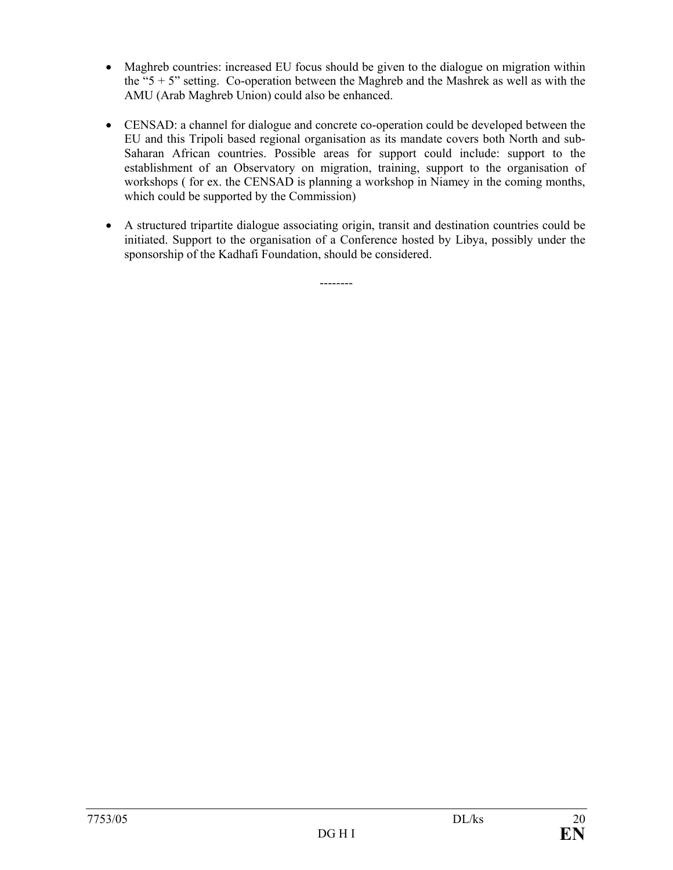- Maghreb countries: increased EU focus should be given to the dialogue on migration within the " $5 + 5$ " setting. Co-operation between the Maghreb and the Mashrek as well as with the AMU (Arab Maghreb Union) could also be enhanced.
- CENSAD: a channel for dialogue and concrete co-operation could be developed between the EU and this Tripoli based regional organisation as its mandate covers both North and sub-Saharan African countries. Possible areas for support could include: support to the establishment of an Observatory on migration, training, support to the organisation of workshops ( for ex. the CENSAD is planning a workshop in Niamey in the coming months, which could be supported by the Commission)
- A structured tripartite dialogue associating origin, transit and destination countries could be initiated. Support to the organisation of a Conference hosted by Libya, possibly under the sponsorship of the Kadhafi Foundation, should be considered.

--------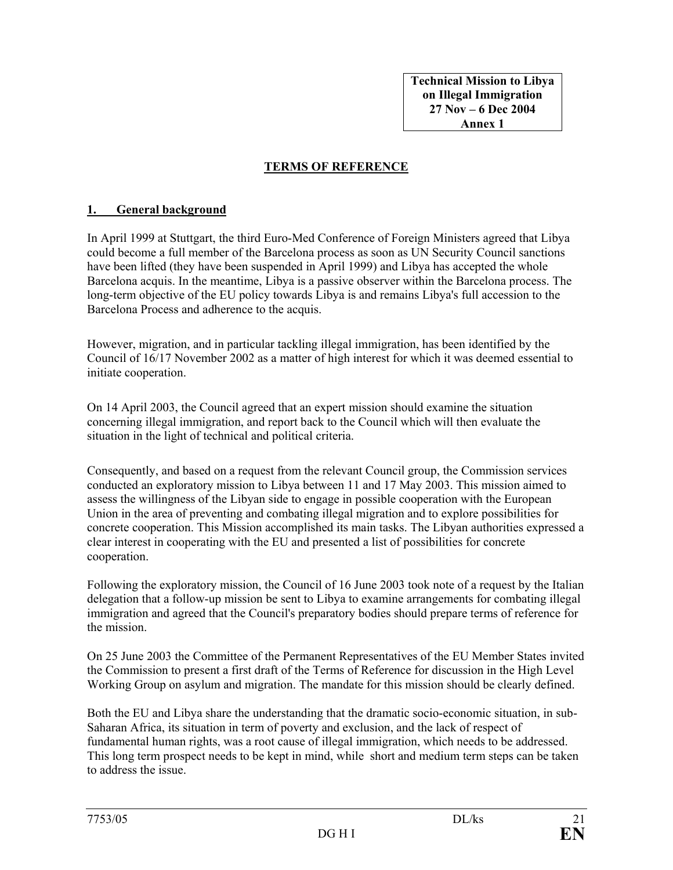**Technical Mission to Libya on Illegal Immigration 27 Nov – 6 Dec 2004 Annex 1** 

## **TERMS OF REFERENCE**

#### **1. General background**

In April 1999 at Stuttgart, the third Euro-Med Conference of Foreign Ministers agreed that Libya could become a full member of the Barcelona process as soon as UN Security Council sanctions have been lifted (they have been suspended in April 1999) and Libya has accepted the whole Barcelona acquis. In the meantime, Libya is a passive observer within the Barcelona process. The long-term objective of the EU policy towards Libya is and remains Libya's full accession to the Barcelona Process and adherence to the acquis.

However, migration, and in particular tackling illegal immigration, has been identified by the Council of 16/17 November 2002 as a matter of high interest for which it was deemed essential to initiate cooperation.

On 14 April 2003, the Council agreed that an expert mission should examine the situation concerning illegal immigration, and report back to the Council which will then evaluate the situation in the light of technical and political criteria.

Consequently, and based on a request from the relevant Council group, the Commission services conducted an exploratory mission to Libya between 11 and 17 May 2003. This mission aimed to assess the willingness of the Libyan side to engage in possible cooperation with the European Union in the area of preventing and combating illegal migration and to explore possibilities for concrete cooperation. This Mission accomplished its main tasks. The Libyan authorities expressed a clear interest in cooperating with the EU and presented a list of possibilities for concrete cooperation.

Following the exploratory mission, the Council of 16 June 2003 took note of a request by the Italian delegation that a follow-up mission be sent to Libya to examine arrangements for combating illegal immigration and agreed that the Council's preparatory bodies should prepare terms of reference for the mission.

On 25 June 2003 the Committee of the Permanent Representatives of the EU Member States invited the Commission to present a first draft of the Terms of Reference for discussion in the High Level Working Group on asylum and migration. The mandate for this mission should be clearly defined.

Both the EU and Libya share the understanding that the dramatic socio-economic situation, in sub-Saharan Africa, its situation in term of poverty and exclusion, and the lack of respect of fundamental human rights, was a root cause of illegal immigration, which needs to be addressed. This long term prospect needs to be kept in mind, while short and medium term steps can be taken to address the issue.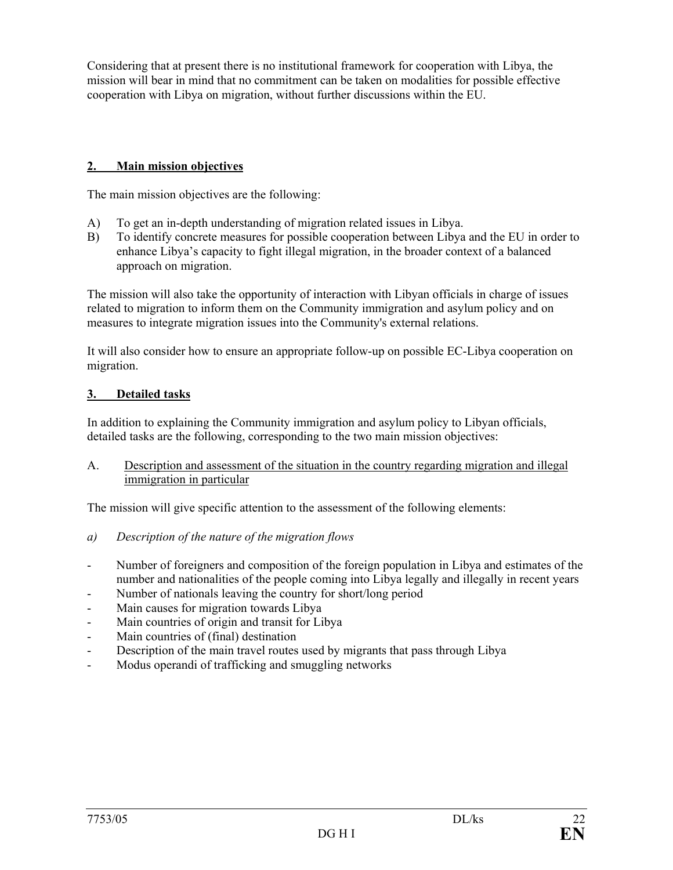Considering that at present there is no institutional framework for cooperation with Libya, the mission will bear in mind that no commitment can be taken on modalities for possible effective cooperation with Libya on migration, without further discussions within the EU.

## **2. Main mission objectives**

The main mission objectives are the following:

- A) To get an in-depth understanding of migration related issues in Libya.
- B) To identify concrete measures for possible cooperation between Libya and the EU in order to enhance Libya's capacity to fight illegal migration, in the broader context of a balanced approach on migration.

The mission will also take the opportunity of interaction with Libyan officials in charge of issues related to migration to inform them on the Community immigration and asylum policy and on measures to integrate migration issues into the Community's external relations.

It will also consider how to ensure an appropriate follow-up on possible EC-Libya cooperation on migration.

## **3. Detailed tasks**

In addition to explaining the Community immigration and asylum policy to Libyan officials, detailed tasks are the following, corresponding to the two main mission objectives:

A. Description and assessment of the situation in the country regarding migration and illegal immigration in particular

The mission will give specific attention to the assessment of the following elements:

- *a) Description of the nature of the migration flows*
- Number of foreigners and composition of the foreign population in Libya and estimates of the number and nationalities of the people coming into Libya legally and illegally in recent years
- Number of nationals leaving the country for short/long period
- Main causes for migration towards Libya
- Main countries of origin and transit for Libya
- Main countries of (final) destination
- Description of the main travel routes used by migrants that pass through Libya
- Modus operandi of trafficking and smuggling networks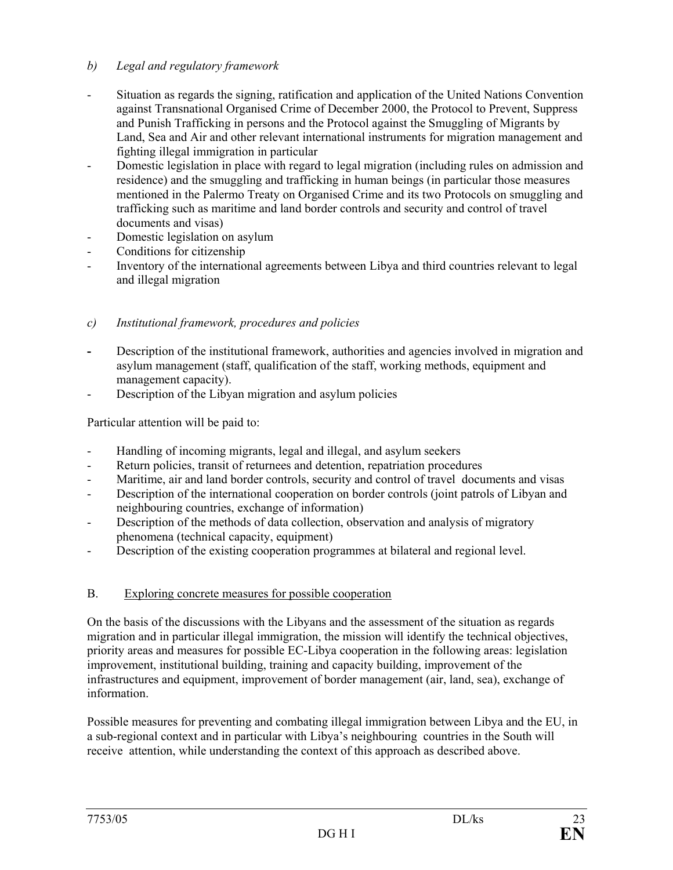## *b) Legal and regulatory framework*

- Situation as regards the signing, ratification and application of the United Nations Convention against Transnational Organised Crime of December 2000, the Protocol to Prevent, Suppress and Punish Trafficking in persons and the Protocol against the Smuggling of Migrants by Land, Sea and Air and other relevant international instruments for migration management and fighting illegal immigration in particular
- Domestic legislation in place with regard to legal migration (including rules on admission and residence) and the smuggling and trafficking in human beings (in particular those measures mentioned in the Palermo Treaty on Organised Crime and its two Protocols on smuggling and trafficking such as maritime and land border controls and security and control of travel documents and visas)
- Domestic legislation on asylum
- Conditions for citizenship
- Inventory of the international agreements between Libya and third countries relevant to legal and illegal migration

## *c) Institutional framework, procedures and policies*

- **-** Description of the institutional framework, authorities and agencies involved in migration and asylum management (staff, qualification of the staff, working methods, equipment and management capacity).
- Description of the Libyan migration and asylum policies

Particular attention will be paid to:

- Handling of incoming migrants, legal and illegal, and asylum seekers
- Return policies, transit of returnees and detention, repatriation procedures
- Maritime, air and land border controls, security and control of travel documents and visas
- Description of the international cooperation on border controls (joint patrols of Libyan and neighbouring countries, exchange of information)
- Description of the methods of data collection, observation and analysis of migratory phenomena (technical capacity, equipment)
- Description of the existing cooperation programmes at bilateral and regional level.

## B. Exploring concrete measures for possible cooperation

On the basis of the discussions with the Libyans and the assessment of the situation as regards migration and in particular illegal immigration, the mission will identify the technical objectives, priority areas and measures for possible EC-Libya cooperation in the following areas: legislation improvement, institutional building, training and capacity building, improvement of the infrastructures and equipment, improvement of border management (air, land, sea), exchange of information.

Possible measures for preventing and combating illegal immigration between Libya and the EU, in a sub-regional context and in particular with Libya's neighbouring countries in the South will receive attention, while understanding the context of this approach as described above.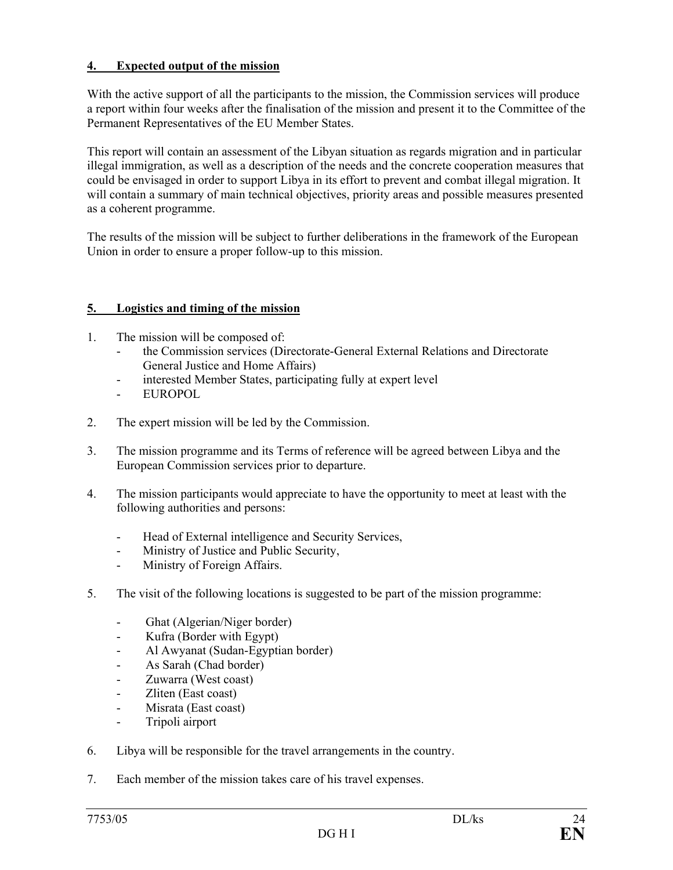### **4. Expected output of the mission**

With the active support of all the participants to the mission, the Commission services will produce a report within four weeks after the finalisation of the mission and present it to the Committee of the Permanent Representatives of the EU Member States.

This report will contain an assessment of the Libyan situation as regards migration and in particular illegal immigration, as well as a description of the needs and the concrete cooperation measures that could be envisaged in order to support Libya in its effort to prevent and combat illegal migration. It will contain a summary of main technical objectives, priority areas and possible measures presented as a coherent programme.

The results of the mission will be subject to further deliberations in the framework of the European Union in order to ensure a proper follow-up to this mission.

### **5. Logistics and timing of the mission**

- 1. The mission will be composed of:
	- the Commission services (Directorate-General External Relations and Directorate General Justice and Home Affairs)
	- interested Member States, participating fully at expert level
	- EUROPOL
- 2. The expert mission will be led by the Commission.
- 3. The mission programme and its Terms of reference will be agreed between Libya and the European Commission services prior to departure.
- 4. The mission participants would appreciate to have the opportunity to meet at least with the following authorities and persons:
	- Head of External intelligence and Security Services,
	- Ministry of Justice and Public Security,
	- Ministry of Foreign Affairs.
- 5. The visit of the following locations is suggested to be part of the mission programme:
	- Ghat (Algerian/Niger border)
	- Kufra (Border with Egypt)
	- Al Awyanat (Sudan-Egyptian border)
	- As Sarah (Chad border)
	- Zuwarra (West coast)
	- Zliten (East coast)
	- Misrata (East coast)
	- Tripoli airport
- 6. Libya will be responsible for the travel arrangements in the country.
- 7. Each member of the mission takes care of his travel expenses.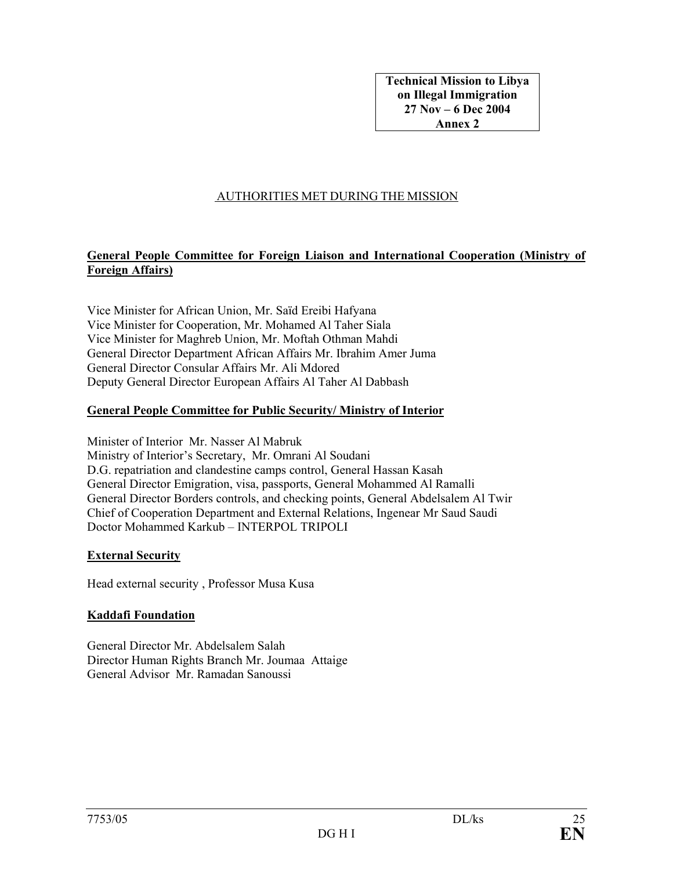**Technical Mission to Libya on Illegal Immigration 27 Nov – 6 Dec 2004 Annex 2** 

## AUTHORITIES MET DURING THE MISSION

## **General People Committee for Foreign Liaison and International Cooperation (Ministry of Foreign Affairs)**

Vice Minister for African Union, Mr. Saïd Ereibi Hafyana Vice Minister for Cooperation, Mr. Mohamed Al Taher Siala Vice Minister for Maghreb Union, Mr. Moftah Othman Mahdi General Director Department African Affairs Mr. Ibrahim Amer Juma General Director Consular Affairs Mr. Ali Mdored Deputy General Director European Affairs Al Taher Al Dabbash

### **General People Committee for Public Security/ Ministry of Interior**

Minister of Interior Mr. Nasser Al Mabruk Ministry of Interior's Secretary, Mr. Omrani Al Soudani D.G. repatriation and clandestine camps control, General Hassan Kasah General Director Emigration, visa, passports, General Mohammed Al Ramalli General Director Borders controls, and checking points, General Abdelsalem Al Twir Chief of Cooperation Department and External Relations, Ingenear Mr Saud Saudi Doctor Mohammed Karkub – INTERPOL TRIPOLI

#### **External Security**

Head external security , Professor Musa Kusa

## **Kaddafi Foundation**

General Director Mr. Abdelsalem Salah Director Human Rights Branch Mr. Joumaa Attaige General Advisor Mr. Ramadan Sanoussi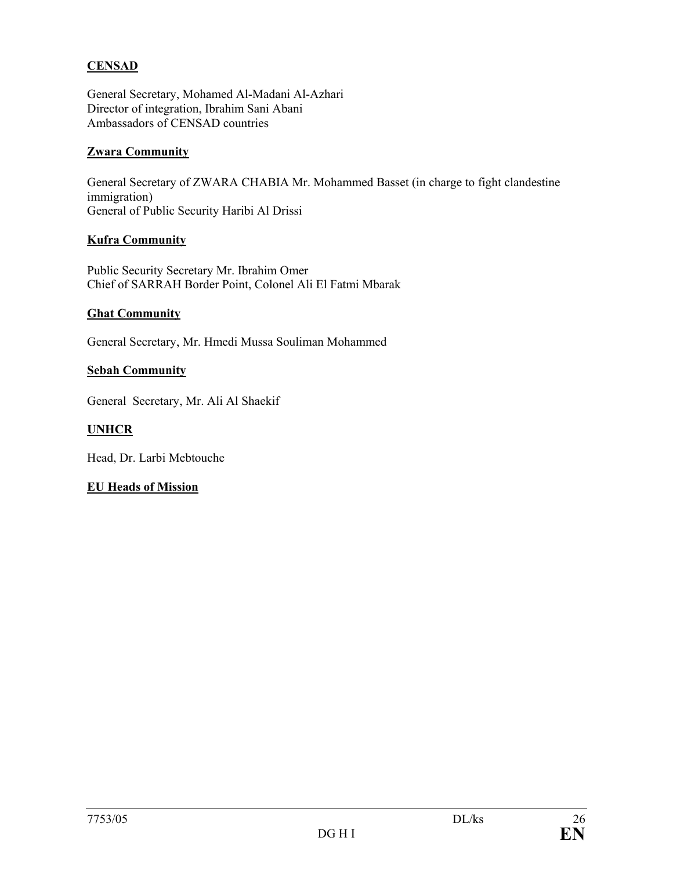## **CENSAD**

General Secretary, Mohamed Al-Madani Al-Azhari Director of integration, Ibrahim Sani Abani Ambassadors of CENSAD countries

#### **Zwara Community**

General Secretary of ZWARA CHABIA Mr. Mohammed Basset (in charge to fight clandestine immigration) General of Public Security Haribi Al Drissi

### **Kufra Community**

Public Security Secretary Mr. Ibrahim Omer Chief of SARRAH Border Point, Colonel Ali El Fatmi Mbarak

### **Ghat Community**

General Secretary, Mr. Hmedi Mussa Souliman Mohammed

### **Sebah Community**

General Secretary, Mr. Ali Al Shaekif

### **UNHCR**

Head, Dr. Larbi Mebtouche

## **EU Heads of Mission**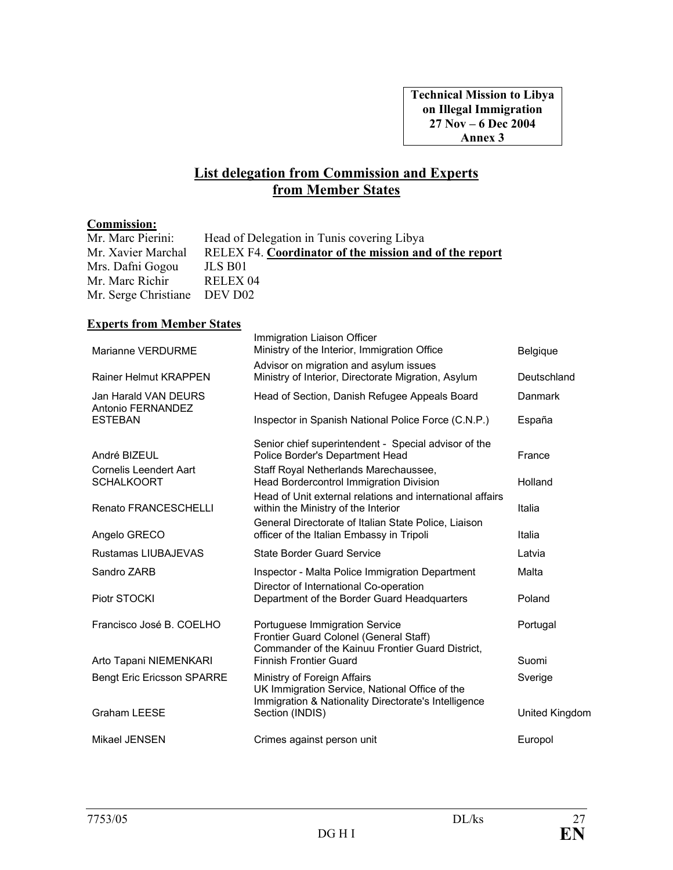## **List delegation from Commission and Experts from Member States**

### **Commission:**

| Mr. Marc Pierini:            | Head of Delegation in Tunis covering Libya             |
|------------------------------|--------------------------------------------------------|
| Mr. Xavier Marchal           | RELEX F4. Coordinator of the mission and of the report |
| Mrs. Dafni Gogou             | JLS B01                                                |
| Mr. Marc Richir              | RELEX <sub>04</sub>                                    |
| Mr. Serge Christiane DEV D02 |                                                        |

### **Experts from Member States**

| Marianne VERDURME                                  | Immigration Liaison Officer<br>Ministry of the Interior, Immigration Office                                                           | <b>Belgique</b> |
|----------------------------------------------------|---------------------------------------------------------------------------------------------------------------------------------------|-----------------|
| <b>Rainer Helmut KRAPPEN</b>                       | Advisor on migration and asylum issues<br>Ministry of Interior, Directorate Migration, Asylum                                         | Deutschland     |
| Jan Harald VAN DEURS<br>Antonio FERNANDEZ          | Head of Section, Danish Refugee Appeals Board                                                                                         | Danmark         |
| <b>ESTEBAN</b>                                     | Inspector in Spanish National Police Force (C.N.P.)                                                                                   | España          |
| André BIZEUL                                       | Senior chief superintendent - Special advisor of the<br>Police Border's Department Head                                               | France          |
| <b>Cornelis Leendert Aart</b><br><b>SCHALKOORT</b> | Staff Royal Netherlands Marechaussee,<br><b>Head Bordercontrol Immigration Division</b>                                               | Holland         |
| <b>Renato FRANCESCHELLI</b>                        | Head of Unit external relations and international affairs<br>within the Ministry of the Interior                                      | Italia          |
| Angelo GRECO                                       | General Directorate of Italian State Police, Liaison<br>officer of the Italian Embassy in Tripoli                                     | Italia          |
| Rustamas LIUBAJEVAS                                | <b>State Border Guard Service</b>                                                                                                     | Latvia          |
| Sandro ZARB                                        | Inspector - Malta Police Immigration Department<br>Director of International Co-operation                                             | Malta           |
| Piotr STOCKI                                       | Department of the Border Guard Headquarters                                                                                           | Poland          |
| Francisco José B. COELHO                           | Portuguese Immigration Service<br>Frontier Guard Colonel (General Staff)<br>Commander of the Kainuu Frontier Guard District,          | Portugal        |
| Arto Tapani NIEMENKARI                             | <b>Finnish Frontier Guard</b>                                                                                                         | Suomi           |
| <b>Bengt Eric Ericsson SPARRE</b>                  | Ministry of Foreign Affairs<br>UK Immigration Service, National Office of the<br>Immigration & Nationality Directorate's Intelligence | Sverige         |
| <b>Graham LEESE</b>                                | Section (INDIS)                                                                                                                       | United Kingdom  |
| Mikael JENSEN                                      | Crimes against person unit                                                                                                            | Europol         |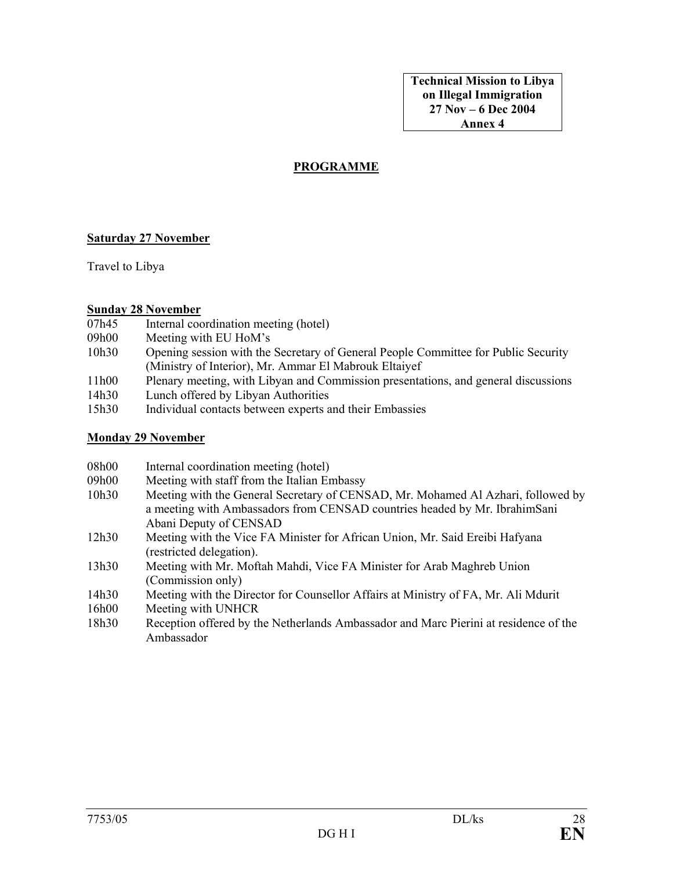**Technical Mission to Libya on Illegal Immigration 27 Nov – 6 Dec 2004 Annex 4** 

#### **PROGRAMME**

#### **Saturday 27 November**

Travel to Libya

#### **Sunday 28 November**

- 07h45 Internal coordination meeting (hotel)
- 09h00 Meeting with EU HoM's
- 10h30 Opening session with the Secretary of General People Committee for Public Security (Ministry of Interior), Mr. Ammar El Mabrouk Eltaiyef
- 11h00 Plenary meeting, with Libyan and Commission presentations, and general discussions
- 14h30 Lunch offered by Libyan Authorities
- 15h30 Individual contacts between experts and their Embassies

#### **Monday 29 November**

- 08h00 Internal coordination meeting (hotel)
- 09h00 Meeting with staff from the Italian Embassy
- 10h30 Meeting with the General Secretary of CENSAD, Mr. Mohamed Al Azhari, followed by a meeting with Ambassadors from CENSAD countries headed by Mr. IbrahimSani Abani Deputy of CENSAD
- 12h30 Meeting with the Vice FA Minister for African Union, Mr. Said Ereibi Hafyana (restricted delegation).
- 13h30 Meeting with Mr. Moftah Mahdi, Vice FA Minister for Arab Maghreb Union (Commission only)
- 14h30 Meeting with the Director for Counsellor Affairs at Ministry of FA, Mr. Ali Mdurit
- 16h00 Meeting with UNHCR
- 18h30 Reception offered by the Netherlands Ambassador and Marc Pierini at residence of the Ambassador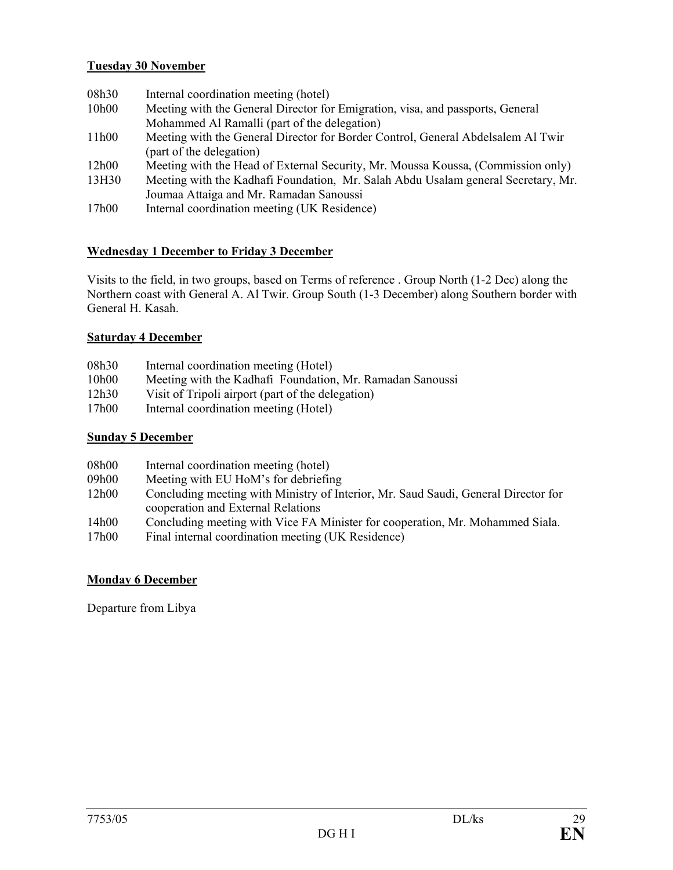## **Tuesday 30 November**

- 08h30 Internal coordination meeting (hotel)
- 10h00 Meeting with the General Director for Emigration, visa, and passports, General Mohammed Al Ramalli (part of the delegation)
- 11h00 Meeting with the General Director for Border Control, General Abdelsalem Al Twir (part of the delegation)
- 12h00 Meeting with the Head of External Security, Mr. Moussa Koussa, (Commission only)
- 13H30 Meeting with the Kadhafi Foundation, Mr. Salah Abdu Usalam general Secretary, Mr. Joumaa Attaiga and Mr. Ramadan Sanoussi
- 17h00 Internal coordination meeting (UK Residence)

### **Wednesday 1 December to Friday 3 December**

Visits to the field, in two groups, based on Terms of reference . Group North (1-2 Dec) along the Northern coast with General A. Al Twir. Group South (1-3 December) along Southern border with General H. Kasah.

#### **Saturday 4 December**

- 08h30 Internal coordination meeting (Hotel)
- 10h00 Meeting with the Kadhafi Foundation, Mr. Ramadan Sanoussi
- 12h30 Visit of Tripoli airport (part of the delegation)
- 17h00 Internal coordination meeting (Hotel)

#### **Sunday 5 December**

| 08h00 | Internal coordination meeting (hotel) |  |  |
|-------|---------------------------------------|--|--|
|-------|---------------------------------------|--|--|

- 09h00 Meeting with EU HoM's for debriefing
- 12h00 Concluding meeting with Ministry of Interior, Mr. Saud Saudi, General Director for cooperation and External Relations
- 14h00 Concluding meeting with Vice FA Minister for cooperation, Mr. Mohammed Siala.
- 17h00 Final internal coordination meeting (UK Residence)

#### **Monday 6 December**

Departure from Libya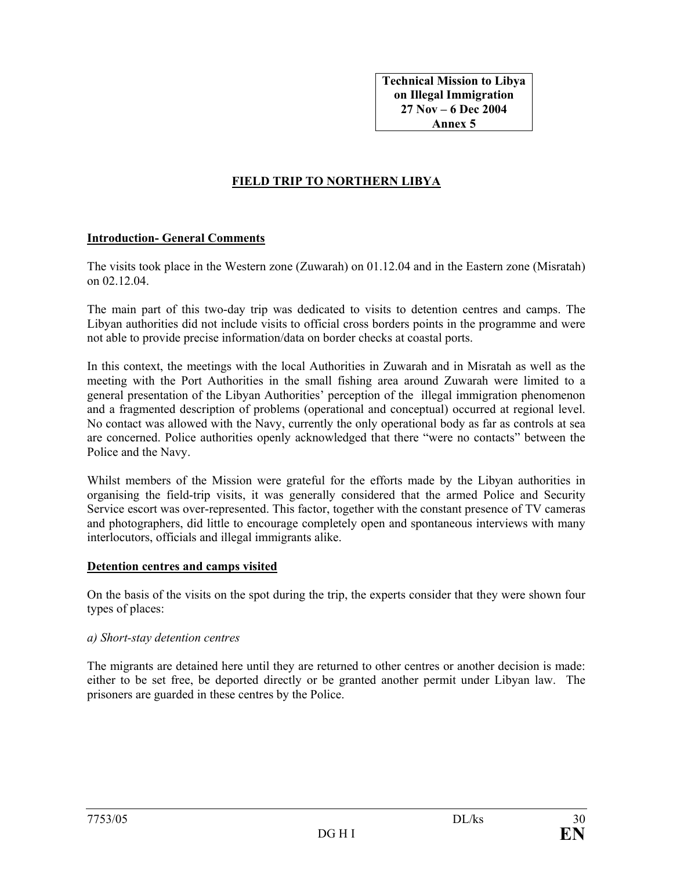## **FIELD TRIP TO NORTHERN LIBYA**

#### **Introduction- General Comments**

The visits took place in the Western zone (Zuwarah) on 01.12.04 and in the Eastern zone (Misratah) on 02.12.04.

The main part of this two-day trip was dedicated to visits to detention centres and camps. The Libyan authorities did not include visits to official cross borders points in the programme and were not able to provide precise information/data on border checks at coastal ports.

In this context, the meetings with the local Authorities in Zuwarah and in Misratah as well as the meeting with the Port Authorities in the small fishing area around Zuwarah were limited to a general presentation of the Libyan Authorities' perception of the illegal immigration phenomenon and a fragmented description of problems (operational and conceptual) occurred at regional level. No contact was allowed with the Navy, currently the only operational body as far as controls at sea are concerned. Police authorities openly acknowledged that there "were no contacts" between the Police and the Navy.

Whilst members of the Mission were grateful for the efforts made by the Libyan authorities in organising the field-trip visits, it was generally considered that the armed Police and Security Service escort was over-represented. This factor, together with the constant presence of TV cameras and photographers, did little to encourage completely open and spontaneous interviews with many interlocutors, officials and illegal immigrants alike.

#### **Detention centres and camps visited**

On the basis of the visits on the spot during the trip, the experts consider that they were shown four types of places:

#### *a) Short-stay detention centres*

The migrants are detained here until they are returned to other centres or another decision is made: either to be set free, be deported directly or be granted another permit under Libyan law. The prisoners are guarded in these centres by the Police.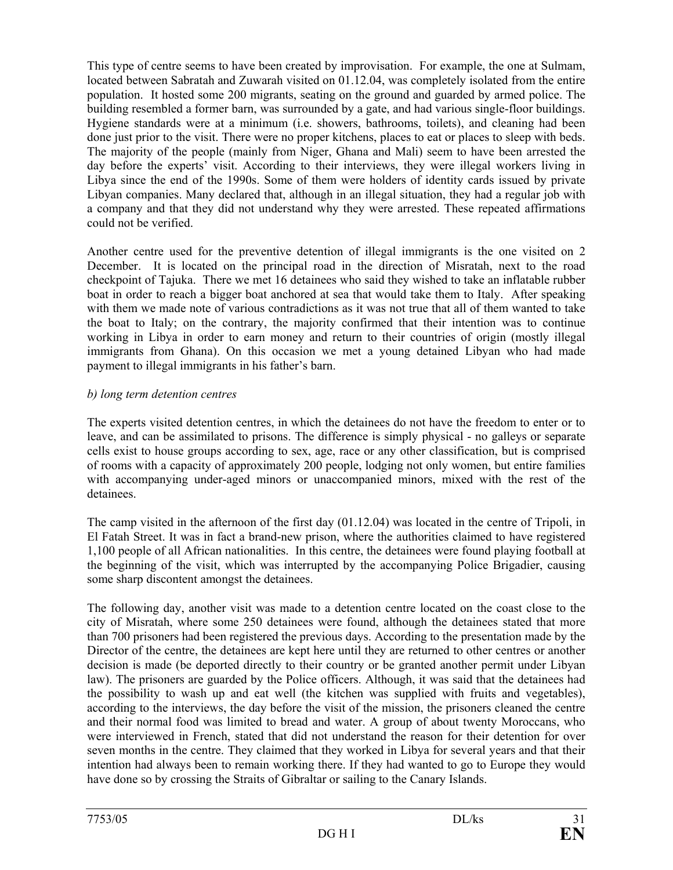This type of centre seems to have been created by improvisation. For example, the one at Sulmam, located between Sabratah and Zuwarah visited on 01.12.04, was completely isolated from the entire population. It hosted some 200 migrants, seating on the ground and guarded by armed police. The building resembled a former barn, was surrounded by a gate, and had various single-floor buildings. Hygiene standards were at a minimum (i.e. showers, bathrooms, toilets), and cleaning had been done just prior to the visit. There were no proper kitchens, places to eat or places to sleep with beds. The majority of the people (mainly from Niger, Ghana and Mali) seem to have been arrested the day before the experts' visit. According to their interviews, they were illegal workers living in Libya since the end of the 1990s. Some of them were holders of identity cards issued by private Libyan companies. Many declared that, although in an illegal situation, they had a regular job with a company and that they did not understand why they were arrested. These repeated affirmations could not be verified.

Another centre used for the preventive detention of illegal immigrants is the one visited on 2 December. It is located on the principal road in the direction of Misratah, next to the road checkpoint of Tajuka. There we met 16 detainees who said they wished to take an inflatable rubber boat in order to reach a bigger boat anchored at sea that would take them to Italy. After speaking with them we made note of various contradictions as it was not true that all of them wanted to take the boat to Italy; on the contrary, the majority confirmed that their intention was to continue working in Libya in order to earn money and return to their countries of origin (mostly illegal immigrants from Ghana). On this occasion we met a young detained Libyan who had made payment to illegal immigrants in his father's barn.

## *b) long term detention centres*

The experts visited detention centres, in which the detainees do not have the freedom to enter or to leave, and can be assimilated to prisons. The difference is simply physical - no galleys or separate cells exist to house groups according to sex, age, race or any other classification, but is comprised of rooms with a capacity of approximately 200 people, lodging not only women, but entire families with accompanying under-aged minors or unaccompanied minors, mixed with the rest of the detainees.

The camp visited in the afternoon of the first day (01.12.04) was located in the centre of Tripoli, in El Fatah Street. It was in fact a brand-new prison, where the authorities claimed to have registered 1,100 people of all African nationalities. In this centre, the detainees were found playing football at the beginning of the visit, which was interrupted by the accompanying Police Brigadier, causing some sharp discontent amongst the detainees.

The following day, another visit was made to a detention centre located on the coast close to the city of Misratah, where some 250 detainees were found, although the detainees stated that more than 700 prisoners had been registered the previous days. According to the presentation made by the Director of the centre, the detainees are kept here until they are returned to other centres or another decision is made (be deported directly to their country or be granted another permit under Libyan law). The prisoners are guarded by the Police officers. Although, it was said that the detainees had the possibility to wash up and eat well (the kitchen was supplied with fruits and vegetables), according to the interviews, the day before the visit of the mission, the prisoners cleaned the centre and their normal food was limited to bread and water. A group of about twenty Moroccans, who were interviewed in French, stated that did not understand the reason for their detention for over seven months in the centre. They claimed that they worked in Libya for several years and that their intention had always been to remain working there. If they had wanted to go to Europe they would have done so by crossing the Straits of Gibraltar or sailing to the Canary Islands.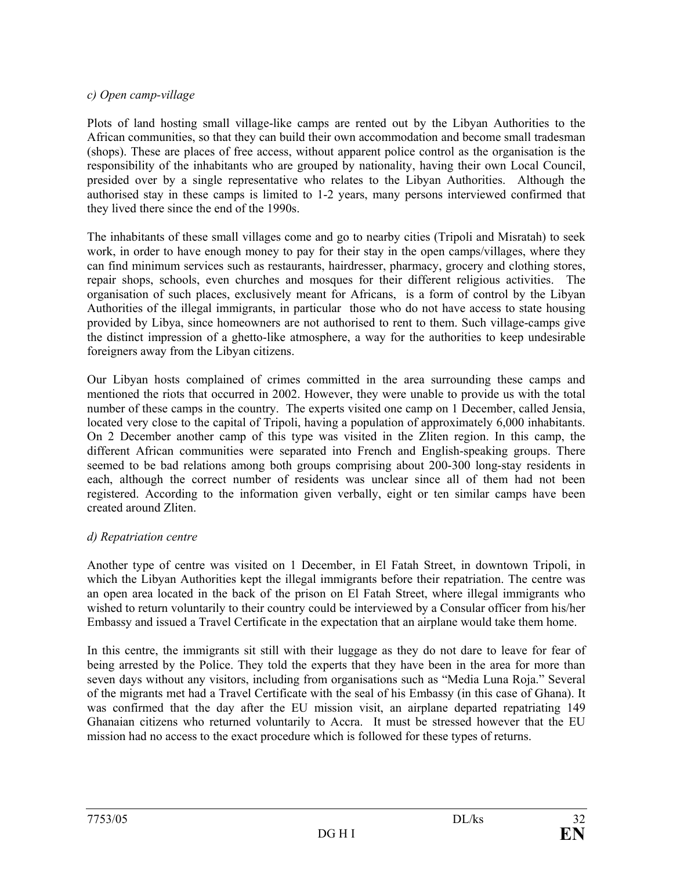## *c) Open camp-village*

Plots of land hosting small village-like camps are rented out by the Libyan Authorities to the African communities, so that they can build their own accommodation and become small tradesman (shops). These are places of free access, without apparent police control as the organisation is the responsibility of the inhabitants who are grouped by nationality, having their own Local Council, presided over by a single representative who relates to the Libyan Authorities. Although the authorised stay in these camps is limited to 1-2 years, many persons interviewed confirmed that they lived there since the end of the 1990s.

The inhabitants of these small villages come and go to nearby cities (Tripoli and Misratah) to seek work, in order to have enough money to pay for their stay in the open camps/villages, where they can find minimum services such as restaurants, hairdresser, pharmacy, grocery and clothing stores, repair shops, schools, even churches and mosques for their different religious activities. The organisation of such places, exclusively meant for Africans, is a form of control by the Libyan Authorities of the illegal immigrants, in particular those who do not have access to state housing provided by Libya, since homeowners are not authorised to rent to them. Such village-camps give the distinct impression of a ghetto-like atmosphere, a way for the authorities to keep undesirable foreigners away from the Libyan citizens.

Our Libyan hosts complained of crimes committed in the area surrounding these camps and mentioned the riots that occurred in 2002. However, they were unable to provide us with the total number of these camps in the country. The experts visited one camp on 1 December, called Jensia, located very close to the capital of Tripoli, having a population of approximately 6,000 inhabitants. On 2 December another camp of this type was visited in the Zliten region. In this camp, the different African communities were separated into French and English-speaking groups. There seemed to be bad relations among both groups comprising about 200-300 long-stay residents in each, although the correct number of residents was unclear since all of them had not been registered. According to the information given verbally, eight or ten similar camps have been created around Zliten.

#### *d) Repatriation centre*

Another type of centre was visited on 1 December, in El Fatah Street, in downtown Tripoli, in which the Libyan Authorities kept the illegal immigrants before their repatriation. The centre was an open area located in the back of the prison on El Fatah Street, where illegal immigrants who wished to return voluntarily to their country could be interviewed by a Consular officer from his/her Embassy and issued a Travel Certificate in the expectation that an airplane would take them home.

In this centre, the immigrants sit still with their luggage as they do not dare to leave for fear of being arrested by the Police. They told the experts that they have been in the area for more than seven days without any visitors, including from organisations such as "Media Luna Roja." Several of the migrants met had a Travel Certificate with the seal of his Embassy (in this case of Ghana). It was confirmed that the day after the EU mission visit, an airplane departed repatriating 149 Ghanaian citizens who returned voluntarily to Accra. It must be stressed however that the EU mission had no access to the exact procedure which is followed for these types of returns.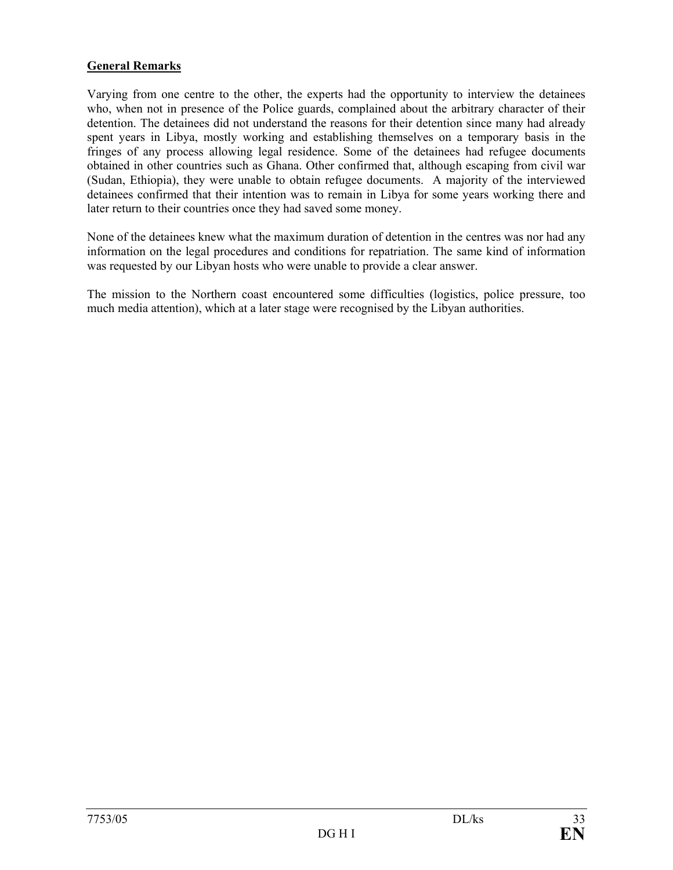## **General Remarks**

Varying from one centre to the other, the experts had the opportunity to interview the detainees who, when not in presence of the Police guards, complained about the arbitrary character of their detention. The detainees did not understand the reasons for their detention since many had already spent years in Libya, mostly working and establishing themselves on a temporary basis in the fringes of any process allowing legal residence. Some of the detainees had refugee documents obtained in other countries such as Ghana. Other confirmed that, although escaping from civil war (Sudan, Ethiopia), they were unable to obtain refugee documents. A majority of the interviewed detainees confirmed that their intention was to remain in Libya for some years working there and later return to their countries once they had saved some money.

None of the detainees knew what the maximum duration of detention in the centres was nor had any information on the legal procedures and conditions for repatriation. The same kind of information was requested by our Libyan hosts who were unable to provide a clear answer.

The mission to the Northern coast encountered some difficulties (logistics, police pressure, too much media attention), which at a later stage were recognised by the Libyan authorities.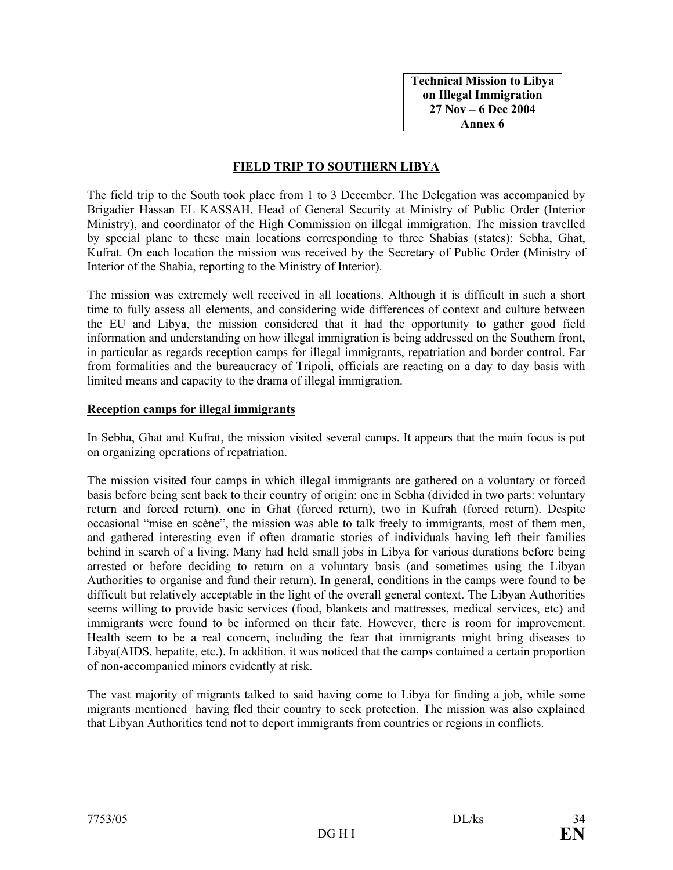**Technical Mission to Libya on Illegal Immigration 27 Nov – 6 Dec 2004 Annex 6** 

### **FIELD TRIP TO SOUTHERN LIBYA**

The field trip to the South took place from 1 to 3 December. The Delegation was accompanied by Brigadier Hassan EL KASSAH, Head of General Security at Ministry of Public Order (Interior Ministry), and coordinator of the High Commission on illegal immigration. The mission travelled by special plane to these main locations corresponding to three Shabias (states): Sebha, Ghat, Kufrat. On each location the mission was received by the Secretary of Public Order (Ministry of Interior of the Shabia, reporting to the Ministry of Interior).

The mission was extremely well received in all locations. Although it is difficult in such a short time to fully assess all elements, and considering wide differences of context and culture between the EU and Libya, the mission considered that it had the opportunity to gather good field information and understanding on how illegal immigration is being addressed on the Southern front, in particular as regards reception camps for illegal immigrants, repatriation and border control. Far from formalities and the bureaucracy of Tripoli, officials are reacting on a day to day basis with limited means and capacity to the drama of illegal immigration.

#### **Reception camps for illegal immigrants**

In Sebha, Ghat and Kufrat, the mission visited several camps. It appears that the main focus is put on organizing operations of repatriation.

The mission visited four camps in which illegal immigrants are gathered on a voluntary or forced basis before being sent back to their country of origin: one in Sebha (divided in two parts: voluntary return and forced return), one in Ghat (forced return), two in Kufrah (forced return). Despite occasional "mise en scène", the mission was able to talk freely to immigrants, most of them men, and gathered interesting even if often dramatic stories of individuals having left their families behind in search of a living. Many had held small jobs in Libya for various durations before being arrested or before deciding to return on a voluntary basis (and sometimes using the Libyan Authorities to organise and fund their return). In general, conditions in the camps were found to be difficult but relatively acceptable in the light of the overall general context. The Libyan Authorities seems willing to provide basic services (food, blankets and mattresses, medical services, etc) and immigrants were found to be informed on their fate. However, there is room for improvement. Health seem to be a real concern, including the fear that immigrants might bring diseases to Libya(AIDS, hepatite, etc.). In addition, it was noticed that the camps contained a certain proportion of non-accompanied minors evidently at risk.

The vast majority of migrants talked to said having come to Libya for finding a job, while some migrants mentioned having fled their country to seek protection. The mission was also explained that Libyan Authorities tend not to deport immigrants from countries or regions in conflicts.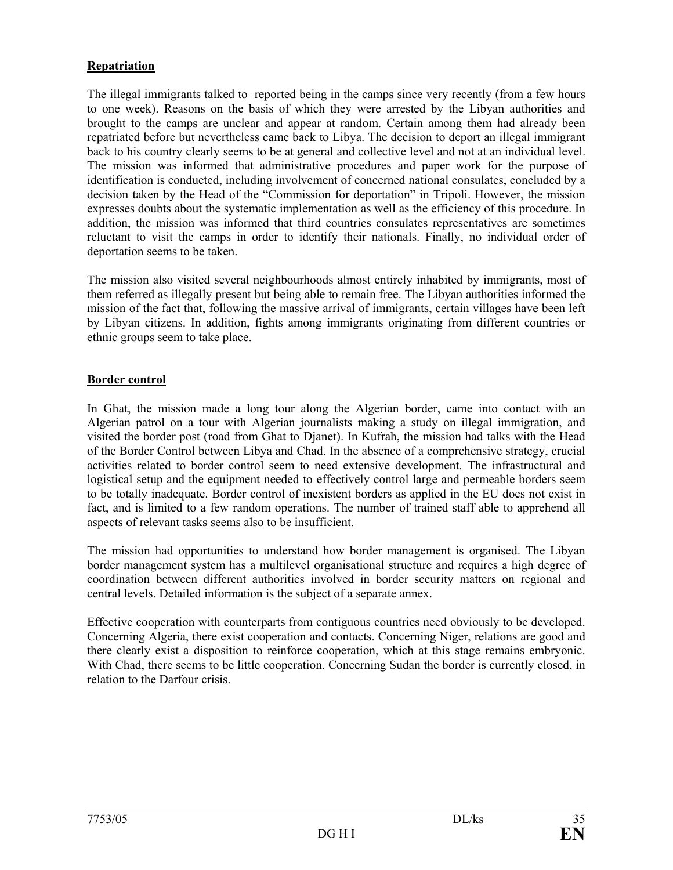## **Repatriation**

The illegal immigrants talked to reported being in the camps since very recently (from a few hours to one week). Reasons on the basis of which they were arrested by the Libyan authorities and brought to the camps are unclear and appear at random. Certain among them had already been repatriated before but nevertheless came back to Libya. The decision to deport an illegal immigrant back to his country clearly seems to be at general and collective level and not at an individual level. The mission was informed that administrative procedures and paper work for the purpose of identification is conducted, including involvement of concerned national consulates, concluded by a decision taken by the Head of the "Commission for deportation" in Tripoli. However, the mission expresses doubts about the systematic implementation as well as the efficiency of this procedure. In addition, the mission was informed that third countries consulates representatives are sometimes reluctant to visit the camps in order to identify their nationals. Finally, no individual order of deportation seems to be taken.

The mission also visited several neighbourhoods almost entirely inhabited by immigrants, most of them referred as illegally present but being able to remain free. The Libyan authorities informed the mission of the fact that, following the massive arrival of immigrants, certain villages have been left by Libyan citizens. In addition, fights among immigrants originating from different countries or ethnic groups seem to take place.

## **Border control**

In Ghat, the mission made a long tour along the Algerian border, came into contact with an Algerian patrol on a tour with Algerian journalists making a study on illegal immigration, and visited the border post (road from Ghat to Djanet). In Kufrah, the mission had talks with the Head of the Border Control between Libya and Chad. In the absence of a comprehensive strategy, crucial activities related to border control seem to need extensive development. The infrastructural and logistical setup and the equipment needed to effectively control large and permeable borders seem to be totally inadequate. Border control of inexistent borders as applied in the EU does not exist in fact, and is limited to a few random operations. The number of trained staff able to apprehend all aspects of relevant tasks seems also to be insufficient.

The mission had opportunities to understand how border management is organised. The Libyan border management system has a multilevel organisational structure and requires a high degree of coordination between different authorities involved in border security matters on regional and central levels. Detailed information is the subject of a separate annex.

Effective cooperation with counterparts from contiguous countries need obviously to be developed. Concerning Algeria, there exist cooperation and contacts. Concerning Niger, relations are good and there clearly exist a disposition to reinforce cooperation, which at this stage remains embryonic. With Chad, there seems to be little cooperation. Concerning Sudan the border is currently closed, in relation to the Darfour crisis.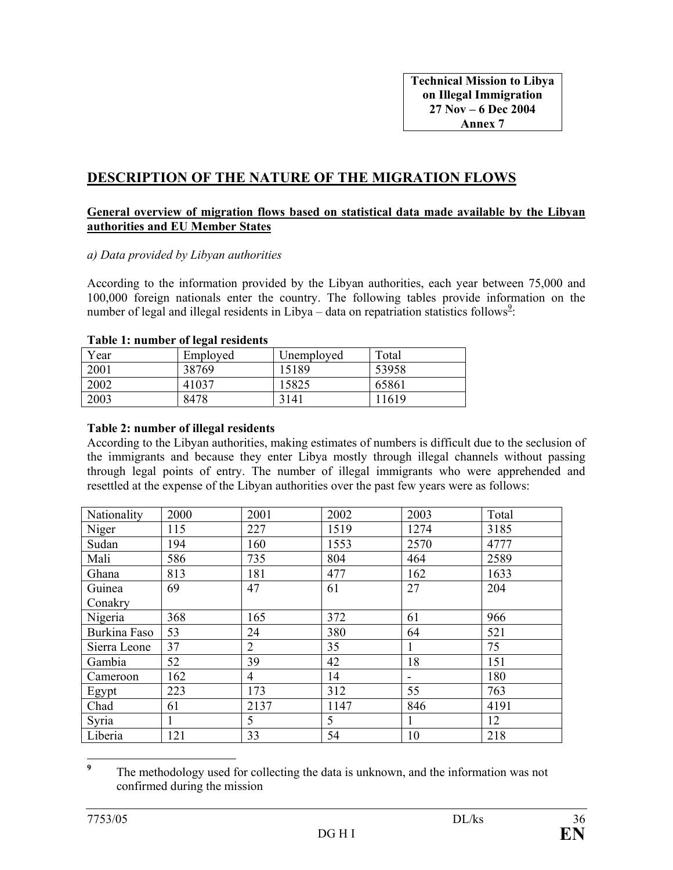## **DESCRIPTION OF THE NATURE OF THE MIGRATION FLOWS**

#### **General overview of migration flows based on statistical data made available by the Libyan authorities and EU Member States**

#### *a) Data provided by Libyan authorities*

According to the information provided by the Libyan authorities, each year between 75,000 and 100,000 foreign nationals enter the country. The following tables provide information on the number of legal and illegal residents in Libya – data on repatriation statistics follows<sup>2</sup>:

#### **Table 1: number of legal residents**

| Year | Employed | Unemployed | Total |
|------|----------|------------|-------|
| 2001 | 38769    | 15189      | 53958 |
| 2002 | 41037    | 15825      | 65861 |
| 2003 | 8478     | 3141       | 11619 |

#### **Table 2: number of illegal residents**

According to the Libyan authorities, making estimates of numbers is difficult due to the seclusion of the immigrants and because they enter Libya mostly through illegal channels without passing through legal points of entry. The number of illegal immigrants who were apprehended and resettled at the expense of the Libyan authorities over the past few years were as follows:

| Nationality  | 2000         | 2001           | 2002 | 2003                     | Total |
|--------------|--------------|----------------|------|--------------------------|-------|
| Niger        | 115          | 227            | 1519 | 1274                     | 3185  |
| Sudan        | 194          | 160            | 1553 | 2570                     | 4777  |
| Mali         | 586          | 735            | 804  | 464                      | 2589  |
| Ghana        | 813          | 181            | 477  | 162                      | 1633  |
| Guinea       | 69           | 47             | 61   | 27                       | 204   |
| Conakry      |              |                |      |                          |       |
| Nigeria      | 368          | 165            | 372  | 61                       | 966   |
| Burkina Faso | 53           | 24             | 380  | 64                       | 521   |
| Sierra Leone | 37           | $\overline{2}$ | 35   |                          | 75    |
| Gambia       | 52           | 39             | 42   | 18                       | 151   |
| Cameroon     | 162          | $\overline{4}$ | 14   | $\overline{\phantom{a}}$ | 180   |
| Egypt        | 223          | 173            | 312  | 55                       | 763   |
| Chad         | 61           | 2137           | 1147 | 846                      | 4191  |
| Syria        | $\mathbf{1}$ | 5              | 5    |                          | 12    |
| Liberia      | 121          | 33             | 54   | 10                       | 218   |

 **9** The methodology used for collecting the data is unknown, and the information was not confirmed during the mission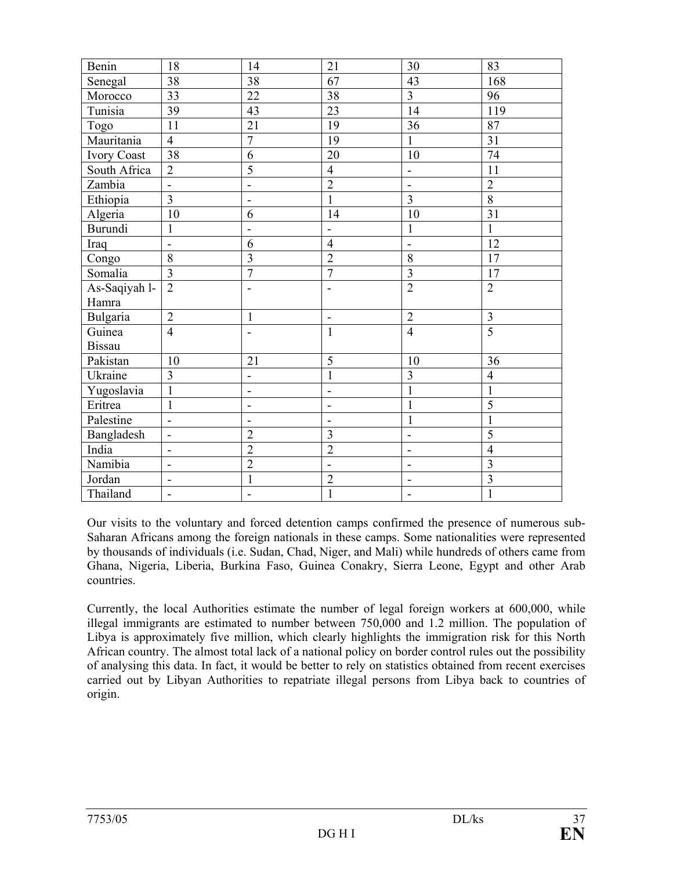| Benin         | 18                           | 14                       | 21                       | 30                           | 83             |
|---------------|------------------------------|--------------------------|--------------------------|------------------------------|----------------|
| Senegal       | 38                           | 38                       | 67                       | 43                           | 168            |
| Morocco       | 33                           | 22                       | 38                       | $\overline{3}$               | 96             |
| Tunisia       | 39                           | 43                       | 23                       | 14                           | 119            |
| Togo          | 11                           | 21                       | 19                       | 36                           | 87             |
| Mauritania    | $\overline{4}$               | $\overline{7}$           | 19                       | $\mathbf{1}$                 | 31             |
| Ivory Coast   | 38                           | 6                        | 20                       | 10                           | 74             |
| South Africa  | $\overline{2}$               | $\overline{5}$           | $\overline{4}$           | $\qquad \qquad \blacksquare$ | 11             |
| Zambia        | $\mathbf{r}$                 | $\overline{\phantom{0}}$ | $\overline{2}$           | $\overline{\phantom{a}}$     | $\overline{2}$ |
| Ethiopia      | $\overline{\mathbf{3}}$      | $\overline{a}$           | $\mathbf{1}$             | $\overline{\mathbf{3}}$      | $\overline{8}$ |
| Algeria       | 10                           | 6                        | 14                       | 10                           | 31             |
| Burundi       | $\mathbf{1}$                 | $\blacksquare$           | $\blacksquare$           | $\mathbf{1}$                 | $\mathbf{1}$   |
| Iraq          | $\blacksquare$               | 6                        | $\overline{4}$           | $\blacksquare$               | 12             |
| Congo         | 8                            | $\overline{3}$           | $\overline{2}$           | 8                            | 17             |
| Somalia       | $\overline{3}$               | $\overline{7}$           | $\overline{7}$           | 3                            | 17             |
| As-Saqiyah 1- | $\overline{2}$               | -                        | $\overline{\phantom{a}}$ | $\overline{2}$               | $\overline{2}$ |
| Hamra         |                              |                          |                          |                              |                |
| Bulgaria      | $\overline{2}$               | $\mathbf{1}$             | $\blacksquare$           | $\overline{2}$               | 3              |
| Guinea        | $\overline{4}$               | $\blacksquare$           | $\mathbf{1}$             | $\overline{4}$               | $\overline{5}$ |
| <b>Bissau</b> |                              |                          |                          |                              |                |
| Pakistan      | 10                           | 21                       | 5                        | 10                           | 36             |
| Ukraine       | $\overline{3}$               | $\frac{1}{2}$            | $\mathbf{1}$             | $\overline{3}$               | $\overline{4}$ |
| Yugoslavia    | $\mathbf{1}$                 | $\frac{1}{2}$            | $\overline{a}$           | $\mathbf{1}$                 | 1              |
| Eritrea       | $\mathbf{1}$                 | -                        | $\overline{\phantom{a}}$ | $\mathbf{1}$                 | 5              |
| Palestine     | $\overline{\phantom{a}}$     | $\overline{\phantom{0}}$ | $\overline{\phantom{a}}$ | 1                            | 1              |
| Bangladesh    | $\overline{\phantom{a}}$     | $\overline{2}$           | 3                        |                              | 5              |
| India         | $\overline{\phantom{a}}$     | $\overline{2}$           | $\overline{2}$           | $\qquad \qquad \blacksquare$ | $\overline{4}$ |
| Namibia       | $\qquad \qquad \blacksquare$ | $\overline{2}$           | $\overline{\phantom{a}}$ |                              | 3              |
| Jordan        | $\qquad \qquad \blacksquare$ | $\mathbf{1}$             | $\overline{2}$           |                              | 3              |
| Thailand      | $\qquad \qquad \blacksquare$ |                          | $\mathbf{1}$             | -                            | $\mathbf{1}$   |

Our visits to the voluntary and forced detention camps confirmed the presence of numerous sub-Saharan Africans among the foreign nationals in these camps. Some nationalities were represented by thousands of individuals (i.e. Sudan, Chad, Niger, and Mali) while hundreds of others came from Ghana, Nigeria, Liberia, Burkina Faso, Guinea Conakry, Sierra Leone, Egypt and other Arab countries.

Currently, the local Authorities estimate the number of legal foreign workers at 600,000, while illegal immigrants are estimated to number between 750,000 and 1.2 million. The population of Libya is approximately five million, which clearly highlights the immigration risk for this North African country. The almost total lack of a national policy on border control rules out the possibility of analysing this data. In fact, it would be better to rely on statistics obtained from recent exercises carried out by Libyan Authorities to repatriate illegal persons from Libya back to countries of origin.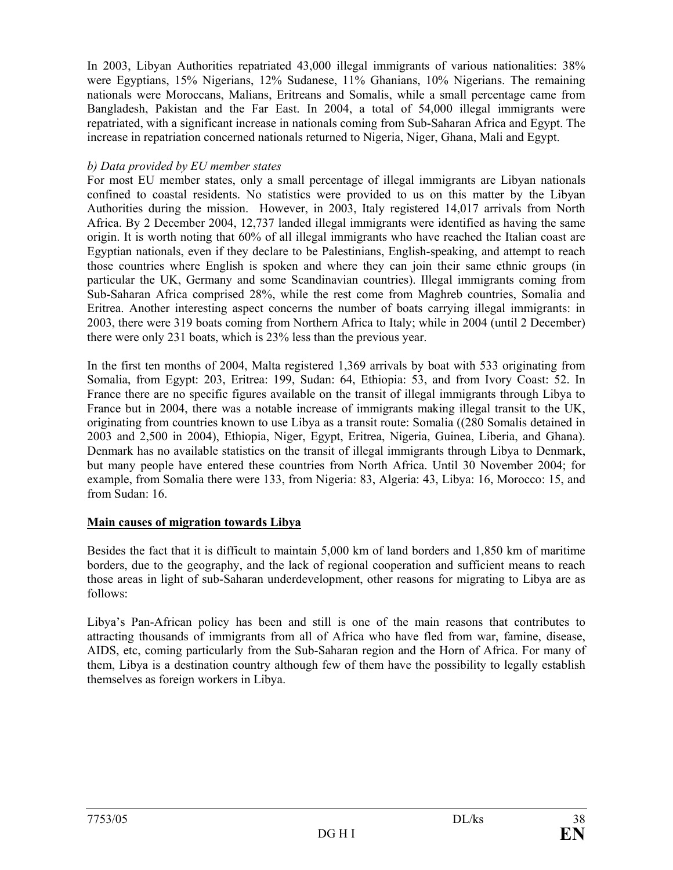In 2003, Libyan Authorities repatriated 43,000 illegal immigrants of various nationalities: 38% were Egyptians, 15% Nigerians, 12% Sudanese, 11% Ghanians, 10% Nigerians. The remaining nationals were Moroccans, Malians, Eritreans and Somalis, while a small percentage came from Bangladesh, Pakistan and the Far East. In 2004, a total of 54,000 illegal immigrants were repatriated, with a significant increase in nationals coming from Sub-Saharan Africa and Egypt. The increase in repatriation concerned nationals returned to Nigeria, Niger, Ghana, Mali and Egypt.

## *b) Data provided by EU member states*

For most EU member states, only a small percentage of illegal immigrants are Libyan nationals confined to coastal residents. No statistics were provided to us on this matter by the Libyan Authorities during the mission. However, in 2003, Italy registered 14,017 arrivals from North Africa. By 2 December 2004, 12,737 landed illegal immigrants were identified as having the same origin. It is worth noting that 60% of all illegal immigrants who have reached the Italian coast are Egyptian nationals, even if they declare to be Palestinians, English-speaking, and attempt to reach those countries where English is spoken and where they can join their same ethnic groups (in particular the UK, Germany and some Scandinavian countries). Illegal immigrants coming from Sub-Saharan Africa comprised 28%, while the rest come from Maghreb countries, Somalia and Eritrea. Another interesting aspect concerns the number of boats carrying illegal immigrants: in 2003, there were 319 boats coming from Northern Africa to Italy; while in 2004 (until 2 December) there were only 231 boats, which is 23% less than the previous year.

In the first ten months of 2004, Malta registered 1,369 arrivals by boat with 533 originating from Somalia, from Egypt: 203, Eritrea: 199, Sudan: 64, Ethiopia: 53, and from Ivory Coast: 52. In France there are no specific figures available on the transit of illegal immigrants through Libya to France but in 2004, there was a notable increase of immigrants making illegal transit to the UK, originating from countries known to use Libya as a transit route: Somalia ((280 Somalis detained in 2003 and 2,500 in 2004), Ethiopia, Niger, Egypt, Eritrea, Nigeria, Guinea, Liberia, and Ghana). Denmark has no available statistics on the transit of illegal immigrants through Libya to Denmark, but many people have entered these countries from North Africa. Until 30 November 2004; for example, from Somalia there were 133, from Nigeria: 83, Algeria: 43, Libya: 16, Morocco: 15, and from Sudan: 16.

## **Main causes of migration towards Libya**

Besides the fact that it is difficult to maintain 5,000 km of land borders and 1,850 km of maritime borders, due to the geography, and the lack of regional cooperation and sufficient means to reach those areas in light of sub-Saharan underdevelopment, other reasons for migrating to Libya are as follows:

Libya's Pan-African policy has been and still is one of the main reasons that contributes to attracting thousands of immigrants from all of Africa who have fled from war, famine, disease, AIDS, etc, coming particularly from the Sub-Saharan region and the Horn of Africa. For many of them, Libya is a destination country although few of them have the possibility to legally establish themselves as foreign workers in Libya.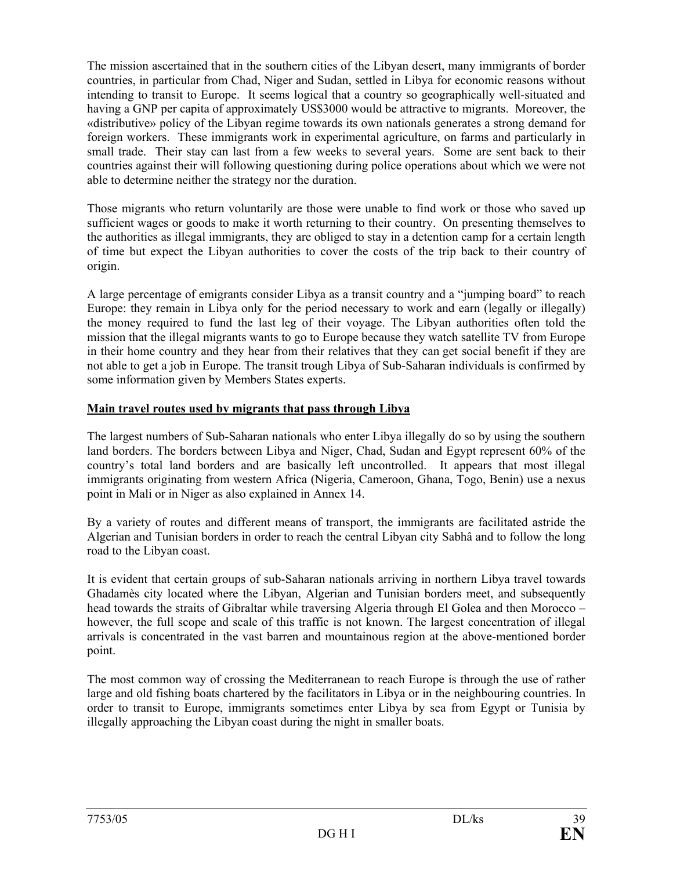The mission ascertained that in the southern cities of the Libyan desert, many immigrants of border countries, in particular from Chad, Niger and Sudan, settled in Libya for economic reasons without intending to transit to Europe. It seems logical that a country so geographically well-situated and having a GNP per capita of approximately US\$3000 would be attractive to migrants. Moreover, the «distributive» policy of the Libyan regime towards its own nationals generates a strong demand for foreign workers. These immigrants work in experimental agriculture, on farms and particularly in small trade. Their stay can last from a few weeks to several years. Some are sent back to their countries against their will following questioning during police operations about which we were not able to determine neither the strategy nor the duration.

Those migrants who return voluntarily are those were unable to find work or those who saved up sufficient wages or goods to make it worth returning to their country. On presenting themselves to the authorities as illegal immigrants, they are obliged to stay in a detention camp for a certain length of time but expect the Libyan authorities to cover the costs of the trip back to their country of origin.

A large percentage of emigrants consider Libya as a transit country and a "jumping board" to reach Europe: they remain in Libya only for the period necessary to work and earn (legally or illegally) the money required to fund the last leg of their voyage. The Libyan authorities often told the mission that the illegal migrants wants to go to Europe because they watch satellite TV from Europe in their home country and they hear from their relatives that they can get social benefit if they are not able to get a job in Europe. The transit trough Libya of Sub-Saharan individuals is confirmed by some information given by Members States experts.

### **Main travel routes used by migrants that pass through Libya**

The largest numbers of Sub-Saharan nationals who enter Libya illegally do so by using the southern land borders. The borders between Libya and Niger, Chad, Sudan and Egypt represent 60% of the country's total land borders and are basically left uncontrolled. It appears that most illegal immigrants originating from western Africa (Nigeria, Cameroon, Ghana, Togo, Benin) use a nexus point in Mali or in Niger as also explained in Annex 14.

By a variety of routes and different means of transport, the immigrants are facilitated astride the Algerian and Tunisian borders in order to reach the central Libyan city Sabhâ and to follow the long road to the Libyan coast.

It is evident that certain groups of sub-Saharan nationals arriving in northern Libya travel towards Ghadamès city located where the Libyan, Algerian and Tunisian borders meet, and subsequently head towards the straits of Gibraltar while traversing Algeria through El Golea and then Morocco – however, the full scope and scale of this traffic is not known. The largest concentration of illegal arrivals is concentrated in the vast barren and mountainous region at the above-mentioned border point.

The most common way of crossing the Mediterranean to reach Europe is through the use of rather large and old fishing boats chartered by the facilitators in Libya or in the neighbouring countries. In order to transit to Europe, immigrants sometimes enter Libya by sea from Egypt or Tunisia by illegally approaching the Libyan coast during the night in smaller boats.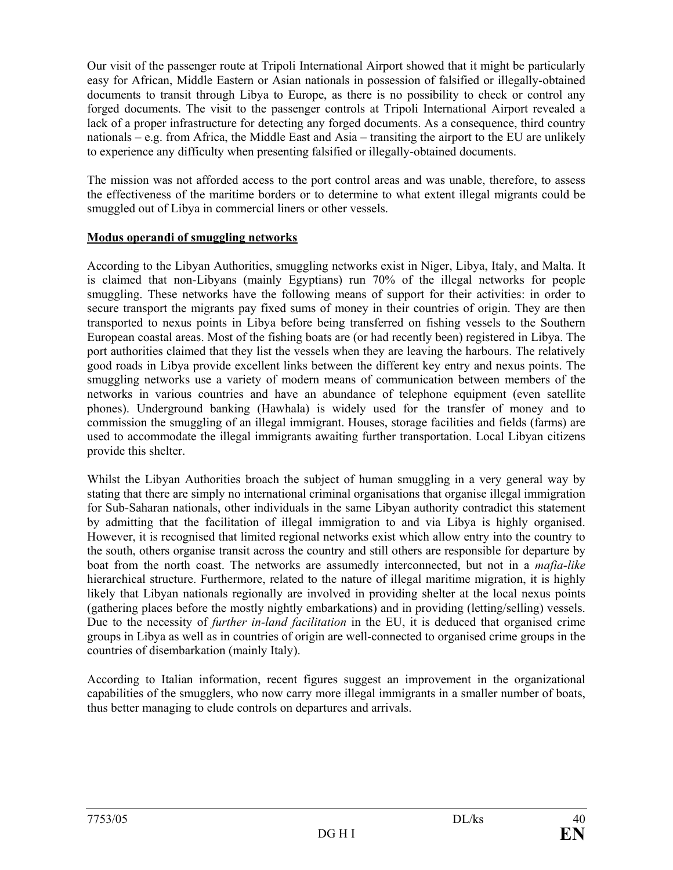Our visit of the passenger route at Tripoli International Airport showed that it might be particularly easy for African, Middle Eastern or Asian nationals in possession of falsified or illegally-obtained documents to transit through Libya to Europe, as there is no possibility to check or control any forged documents. The visit to the passenger controls at Tripoli International Airport revealed a lack of a proper infrastructure for detecting any forged documents. As a consequence, third country nationals – e.g. from Africa, the Middle East and Asia – transiting the airport to the EU are unlikely to experience any difficulty when presenting falsified or illegally-obtained documents.

The mission was not afforded access to the port control areas and was unable, therefore, to assess the effectiveness of the maritime borders or to determine to what extent illegal migrants could be smuggled out of Libya in commercial liners or other vessels.

### **Modus operandi of smuggling networks**

According to the Libyan Authorities, smuggling networks exist in Niger, Libya, Italy, and Malta. It is claimed that non-Libyans (mainly Egyptians) run 70% of the illegal networks for people smuggling. These networks have the following means of support for their activities: in order to secure transport the migrants pay fixed sums of money in their countries of origin. They are then transported to nexus points in Libya before being transferred on fishing vessels to the Southern European coastal areas. Most of the fishing boats are (or had recently been) registered in Libya. The port authorities claimed that they list the vessels when they are leaving the harbours. The relatively good roads in Libya provide excellent links between the different key entry and nexus points. The smuggling networks use a variety of modern means of communication between members of the networks in various countries and have an abundance of telephone equipment (even satellite phones). Underground banking (Hawhala) is widely used for the transfer of money and to commission the smuggling of an illegal immigrant. Houses, storage facilities and fields (farms) are used to accommodate the illegal immigrants awaiting further transportation. Local Libyan citizens provide this shelter.

Whilst the Libyan Authorities broach the subject of human smuggling in a very general way by stating that there are simply no international criminal organisations that organise illegal immigration for Sub-Saharan nationals, other individuals in the same Libyan authority contradict this statement by admitting that the facilitation of illegal immigration to and via Libya is highly organised. However, it is recognised that limited regional networks exist which allow entry into the country to the south, others organise transit across the country and still others are responsible for departure by boat from the north coast. The networks are assumedly interconnected, but not in a *mafia-like*  hierarchical structure. Furthermore, related to the nature of illegal maritime migration, it is highly likely that Libyan nationals regionally are involved in providing shelter at the local nexus points (gathering places before the mostly nightly embarkations) and in providing (letting/selling) vessels. Due to the necessity of *further in-land facilitation* in the EU, it is deduced that organised crime groups in Libya as well as in countries of origin are well-connected to organised crime groups in the countries of disembarkation (mainly Italy).

According to Italian information, recent figures suggest an improvement in the organizational capabilities of the smugglers, who now carry more illegal immigrants in a smaller number of boats, thus better managing to elude controls on departures and arrivals.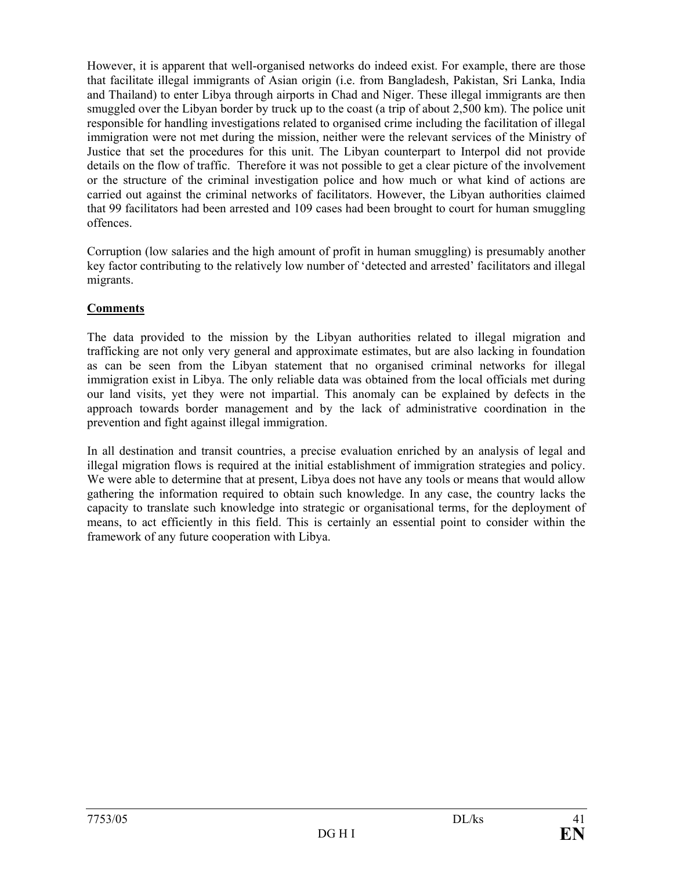However, it is apparent that well-organised networks do indeed exist. For example, there are those that facilitate illegal immigrants of Asian origin (i.e. from Bangladesh, Pakistan, Sri Lanka, India and Thailand) to enter Libya through airports in Chad and Niger. These illegal immigrants are then smuggled over the Libyan border by truck up to the coast (a trip of about 2,500 km). The police unit responsible for handling investigations related to organised crime including the facilitation of illegal immigration were not met during the mission, neither were the relevant services of the Ministry of Justice that set the procedures for this unit. The Libyan counterpart to Interpol did not provide details on the flow of traffic. Therefore it was not possible to get a clear picture of the involvement or the structure of the criminal investigation police and how much or what kind of actions are carried out against the criminal networks of facilitators. However, the Libyan authorities claimed that 99 facilitators had been arrested and 109 cases had been brought to court for human smuggling offences.

Corruption (low salaries and the high amount of profit in human smuggling) is presumably another key factor contributing to the relatively low number of 'detected and arrested' facilitators and illegal migrants.

## **Comments**

The data provided to the mission by the Libyan authorities related to illegal migration and trafficking are not only very general and approximate estimates, but are also lacking in foundation as can be seen from the Libyan statement that no organised criminal networks for illegal immigration exist in Libya. The only reliable data was obtained from the local officials met during our land visits, yet they were not impartial. This anomaly can be explained by defects in the approach towards border management and by the lack of administrative coordination in the prevention and fight against illegal immigration.

In all destination and transit countries, a precise evaluation enriched by an analysis of legal and illegal migration flows is required at the initial establishment of immigration strategies and policy. We were able to determine that at present, Libya does not have any tools or means that would allow gathering the information required to obtain such knowledge. In any case, the country lacks the capacity to translate such knowledge into strategic or organisational terms, for the deployment of means, to act efficiently in this field. This is certainly an essential point to consider within the framework of any future cooperation with Libya.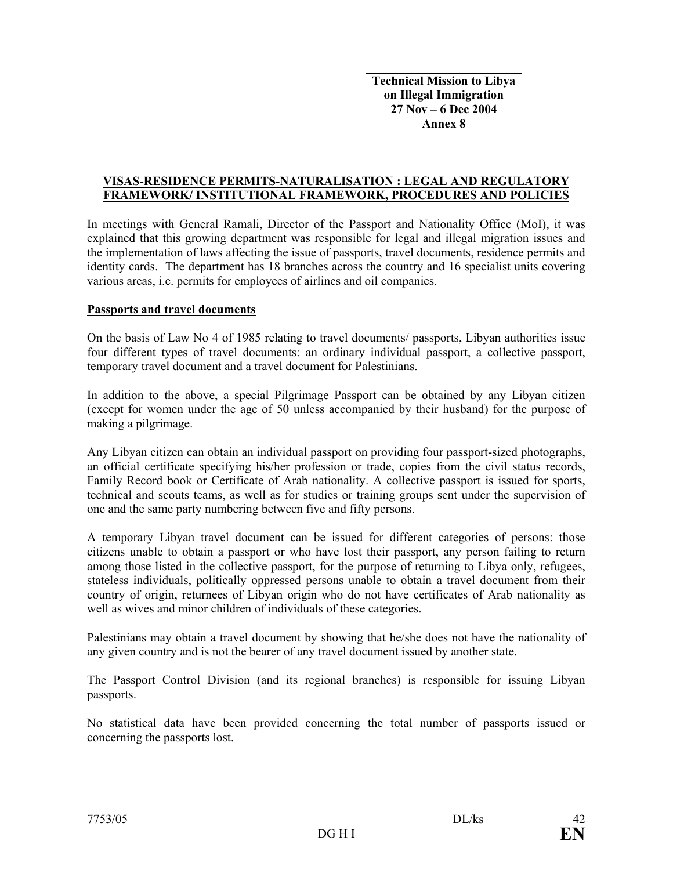**Technical Mission to Libya on Illegal Immigration 27 Nov – 6 Dec 2004 Annex 8** 

#### **VISAS-RESIDENCE PERMITS-NATURALISATION : LEGAL AND REGULATORY FRAMEWORK/ INSTITUTIONAL FRAMEWORK, PROCEDURES AND POLICIES**

In meetings with General Ramali, Director of the Passport and Nationality Office (MoI), it was explained that this growing department was responsible for legal and illegal migration issues and the implementation of laws affecting the issue of passports, travel documents, residence permits and identity cards. The department has 18 branches across the country and 16 specialist units covering various areas, i.e. permits for employees of airlines and oil companies.

#### **Passports and travel documents**

On the basis of Law No 4 of 1985 relating to travel documents/ passports, Libyan authorities issue four different types of travel documents: an ordinary individual passport, a collective passport, temporary travel document and a travel document for Palestinians.

In addition to the above, a special Pilgrimage Passport can be obtained by any Libyan citizen (except for women under the age of 50 unless accompanied by their husband) for the purpose of making a pilgrimage.

Any Libyan citizen can obtain an individual passport on providing four passport-sized photographs, an official certificate specifying his/her profession or trade, copies from the civil status records, Family Record book or Certificate of Arab nationality. A collective passport is issued for sports, technical and scouts teams, as well as for studies or training groups sent under the supervision of one and the same party numbering between five and fifty persons.

A temporary Libyan travel document can be issued for different categories of persons: those citizens unable to obtain a passport or who have lost their passport, any person failing to return among those listed in the collective passport, for the purpose of returning to Libya only, refugees, stateless individuals, politically oppressed persons unable to obtain a travel document from their country of origin, returnees of Libyan origin who do not have certificates of Arab nationality as well as wives and minor children of individuals of these categories.

Palestinians may obtain a travel document by showing that he/she does not have the nationality of any given country and is not the bearer of any travel document issued by another state.

The Passport Control Division (and its regional branches) is responsible for issuing Libyan passports.

No statistical data have been provided concerning the total number of passports issued or concerning the passports lost.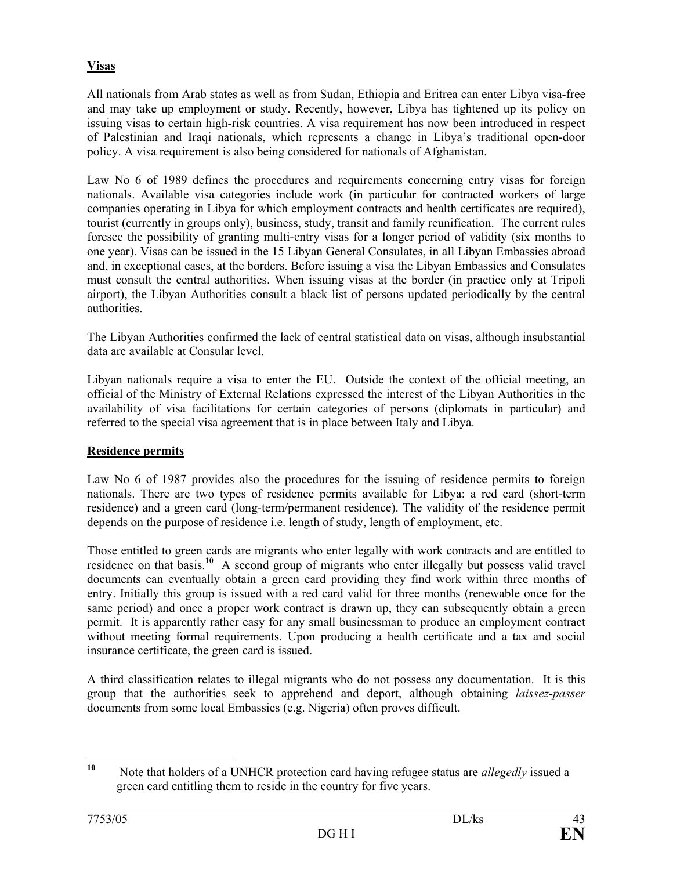## **Visas**

All nationals from Arab states as well as from Sudan, Ethiopia and Eritrea can enter Libya visa-free and may take up employment or study. Recently, however, Libya has tightened up its policy on issuing visas to certain high-risk countries. A visa requirement has now been introduced in respect of Palestinian and Iraqi nationals, which represents a change in Libya's traditional open-door policy. A visa requirement is also being considered for nationals of Afghanistan.

Law No 6 of 1989 defines the procedures and requirements concerning entry visas for foreign nationals. Available visa categories include work (in particular for contracted workers of large companies operating in Libya for which employment contracts and health certificates are required), tourist (currently in groups only), business, study, transit and family reunification. The current rules foresee the possibility of granting multi-entry visas for a longer period of validity (six months to one year). Visas can be issued in the 15 Libyan General Consulates, in all Libyan Embassies abroad and, in exceptional cases, at the borders. Before issuing a visa the Libyan Embassies and Consulates must consult the central authorities. When issuing visas at the border (in practice only at Tripoli airport), the Libyan Authorities consult a black list of persons updated periodically by the central authorities.

The Libyan Authorities confirmed the lack of central statistical data on visas, although insubstantial data are available at Consular level.

Libyan nationals require a visa to enter the EU. Outside the context of the official meeting, an official of the Ministry of External Relations expressed the interest of the Libyan Authorities in the availability of visa facilitations for certain categories of persons (diplomats in particular) and referred to the special visa agreement that is in place between Italy and Libya.

## **Residence permits**

Law No 6 of 1987 provides also the procedures for the issuing of residence permits to foreign nationals. There are two types of residence permits available for Libya: a red card (short-term residence) and a green card (long-term/permanent residence). The validity of the residence permit depends on the purpose of residence i.e. length of study, length of employment, etc.

Those entitled to green cards are migrants who enter legally with work contracts and are entitled to residence on that basis.**<sup>10</sup>** A second group of migrants who enter illegally but possess valid travel documents can eventually obtain a green card providing they find work within three months of entry. Initially this group is issued with a red card valid for three months (renewable once for the same period) and once a proper work contract is drawn up, they can subsequently obtain a green permit. It is apparently rather easy for any small businessman to produce an employment contract without meeting formal requirements. Upon producing a health certificate and a tax and social insurance certificate, the green card is issued.

A third classification relates to illegal migrants who do not possess any documentation. It is this group that the authorities seek to apprehend and deport, although obtaining *laissez-passer*  documents from some local Embassies (e.g. Nigeria) often proves difficult.

 $10<sup>1</sup>$ **<sup>10</sup>** Note that holders of a UNHCR protection card having refugee status are *allegedly* issued a green card entitling them to reside in the country for five years.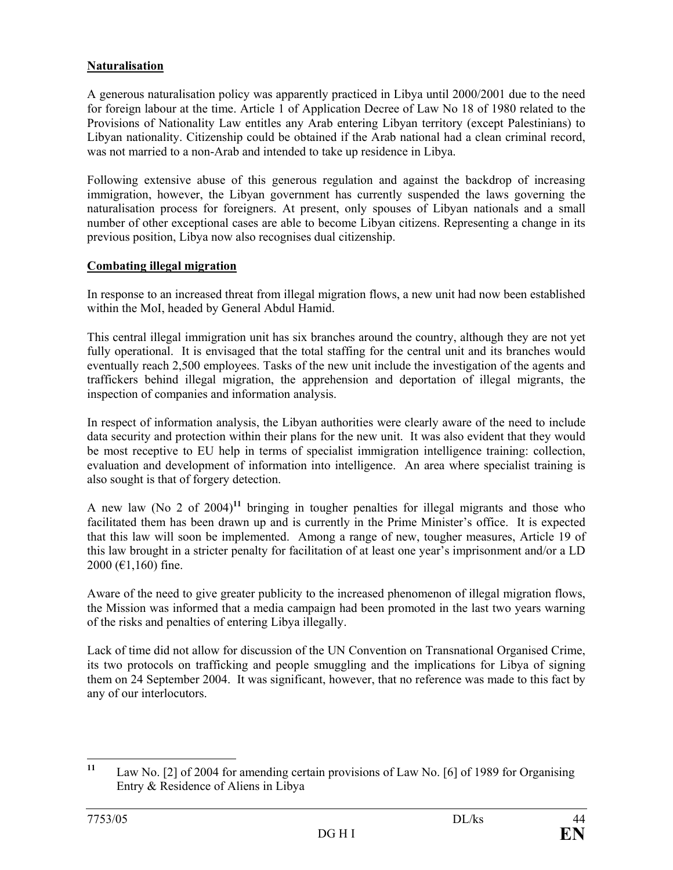## **Naturalisation**

A generous naturalisation policy was apparently practiced in Libya until 2000/2001 due to the need for foreign labour at the time. Article 1 of Application Decree of Law No 18 of 1980 related to the Provisions of Nationality Law entitles any Arab entering Libyan territory (except Palestinians) to Libyan nationality. Citizenship could be obtained if the Arab national had a clean criminal record, was not married to a non-Arab and intended to take up residence in Libya.

Following extensive abuse of this generous regulation and against the backdrop of increasing immigration, however, the Libyan government has currently suspended the laws governing the naturalisation process for foreigners. At present, only spouses of Libyan nationals and a small number of other exceptional cases are able to become Libyan citizens. Representing a change in its previous position, Libya now also recognises dual citizenship.

## **Combating illegal migration**

In response to an increased threat from illegal migration flows, a new unit had now been established within the MoI, headed by General Abdul Hamid.

This central illegal immigration unit has six branches around the country, although they are not yet fully operational. It is envisaged that the total staffing for the central unit and its branches would eventually reach 2,500 employees. Tasks of the new unit include the investigation of the agents and traffickers behind illegal migration, the apprehension and deportation of illegal migrants, the inspection of companies and information analysis.

In respect of information analysis, the Libyan authorities were clearly aware of the need to include data security and protection within their plans for the new unit. It was also evident that they would be most receptive to EU help in terms of specialist immigration intelligence training: collection, evaluation and development of information into intelligence. An area where specialist training is also sought is that of forgery detection.

A new law (No 2 of 2004)**<sup>11</sup>** bringing in tougher penalties for illegal migrants and those who facilitated them has been drawn up and is currently in the Prime Minister's office. It is expected that this law will soon be implemented. Among a range of new, tougher measures, Article 19 of this law brought in a stricter penalty for facilitation of at least one year's imprisonment and/or a LD 2000 (€1,160) fine.

Aware of the need to give greater publicity to the increased phenomenon of illegal migration flows, the Mission was informed that a media campaign had been promoted in the last two years warning of the risks and penalties of entering Libya illegally.

Lack of time did not allow for discussion of the UN Convention on Transnational Organised Crime, its two protocols on trafficking and people smuggling and the implications for Libya of signing them on 24 September 2004. It was significant, however, that no reference was made to this fact by any of our interlocutors.

 $11$ Law No. [2] of 2004 for amending certain provisions of Law No. [6] of 1989 for Organising Entry & Residence of Aliens in Libya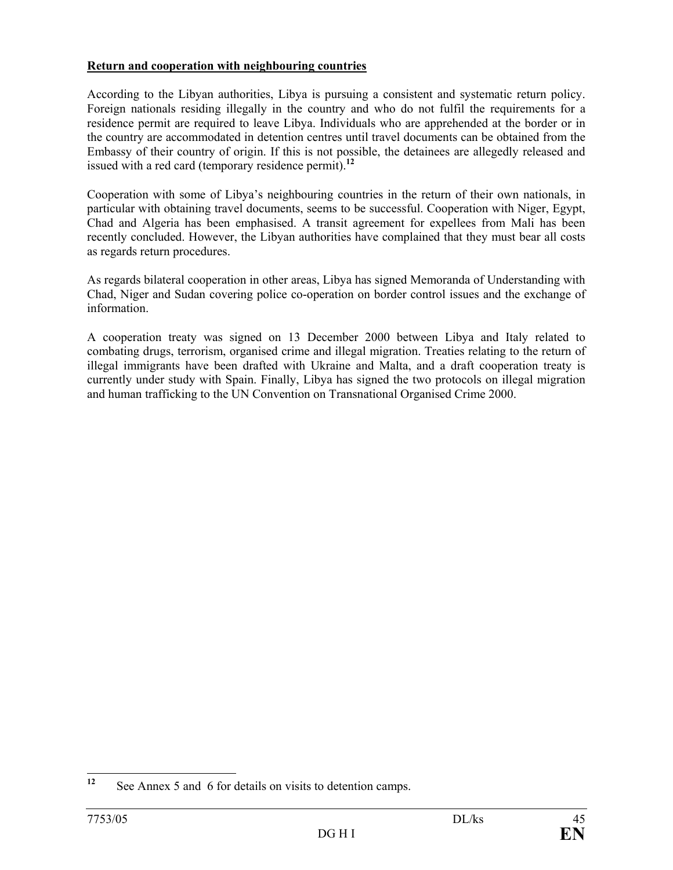## **Return and cooperation with neighbouring countries**

According to the Libyan authorities, Libya is pursuing a consistent and systematic return policy. Foreign nationals residing illegally in the country and who do not fulfil the requirements for a residence permit are required to leave Libya. Individuals who are apprehended at the border or in the country are accommodated in detention centres until travel documents can be obtained from the Embassy of their country of origin. If this is not possible, the detainees are allegedly released and issued with a red card (temporary residence permit).**<sup>12</sup>**

Cooperation with some of Libya's neighbouring countries in the return of their own nationals, in particular with obtaining travel documents, seems to be successful. Cooperation with Niger, Egypt, Chad and Algeria has been emphasised. A transit agreement for expellees from Mali has been recently concluded. However, the Libyan authorities have complained that they must bear all costs as regards return procedures.

As regards bilateral cooperation in other areas, Libya has signed Memoranda of Understanding with Chad, Niger and Sudan covering police co-operation on border control issues and the exchange of information.

A cooperation treaty was signed on 13 December 2000 between Libya and Italy related to combating drugs, terrorism, organised crime and illegal migration. Treaties relating to the return of illegal immigrants have been drafted with Ukraine and Malta, and a draft cooperation treaty is currently under study with Spain. Finally, Libya has signed the two protocols on illegal migration and human trafficking to the UN Convention on Transnational Organised Crime 2000.

 $12$ See Annex 5 and 6 for details on visits to detention camps.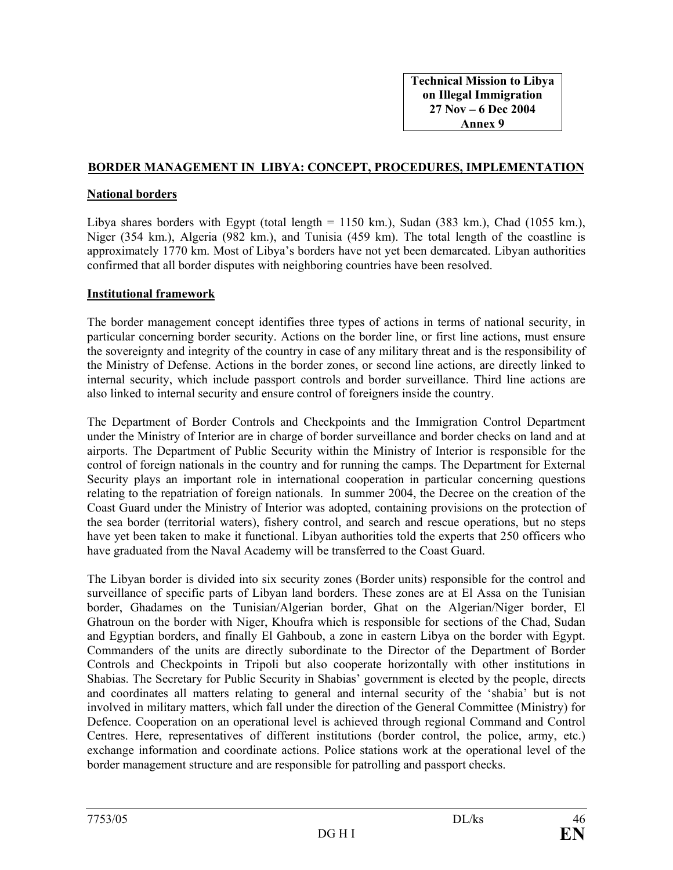#### **BORDER MANAGEMENT IN LIBYA: CONCEPT, PROCEDURES, IMPLEMENTATION**

#### **National borders**

Libya shares borders with Egypt (total length  $= 1150$  km.), Sudan (383 km.), Chad (1055 km.), Niger (354 km.), Algeria (982 km.), and Tunisia (459 km). The total length of the coastline is approximately 1770 km. Most of Libya's borders have not yet been demarcated. Libyan authorities confirmed that all border disputes with neighboring countries have been resolved.

#### **Institutional framework**

The border management concept identifies three types of actions in terms of national security, in particular concerning border security. Actions on the border line, or first line actions, must ensure the sovereignty and integrity of the country in case of any military threat and is the responsibility of the Ministry of Defense. Actions in the border zones, or second line actions, are directly linked to internal security, which include passport controls and border surveillance. Third line actions are also linked to internal security and ensure control of foreigners inside the country.

The Department of Border Controls and Checkpoints and the Immigration Control Department under the Ministry of Interior are in charge of border surveillance and border checks on land and at airports. The Department of Public Security within the Ministry of Interior is responsible for the control of foreign nationals in the country and for running the camps. The Department for External Security plays an important role in international cooperation in particular concerning questions relating to the repatriation of foreign nationals. In summer 2004, the Decree on the creation of the Coast Guard under the Ministry of Interior was adopted, containing provisions on the protection of the sea border (territorial waters), fishery control, and search and rescue operations, but no steps have yet been taken to make it functional. Libyan authorities told the experts that 250 officers who have graduated from the Naval Academy will be transferred to the Coast Guard.

The Libyan border is divided into six security zones (Border units) responsible for the control and surveillance of specific parts of Libyan land borders. These zones are at El Assa on the Tunisian border, Ghadames on the Tunisian/Algerian border, Ghat on the Algerian/Niger border, El Ghatroun on the border with Niger, Khoufra which is responsible for sections of the Chad, Sudan and Egyptian borders, and finally El Gahboub, a zone in eastern Libya on the border with Egypt. Commanders of the units are directly subordinate to the Director of the Department of Border Controls and Checkpoints in Tripoli but also cooperate horizontally with other institutions in Shabias. The Secretary for Public Security in Shabias' government is elected by the people, directs and coordinates all matters relating to general and internal security of the 'shabia' but is not involved in military matters, which fall under the direction of the General Committee (Ministry) for Defence. Cooperation on an operational level is achieved through regional Command and Control Centres. Here, representatives of different institutions (border control, the police, army, etc.) exchange information and coordinate actions. Police stations work at the operational level of the border management structure and are responsible for patrolling and passport checks.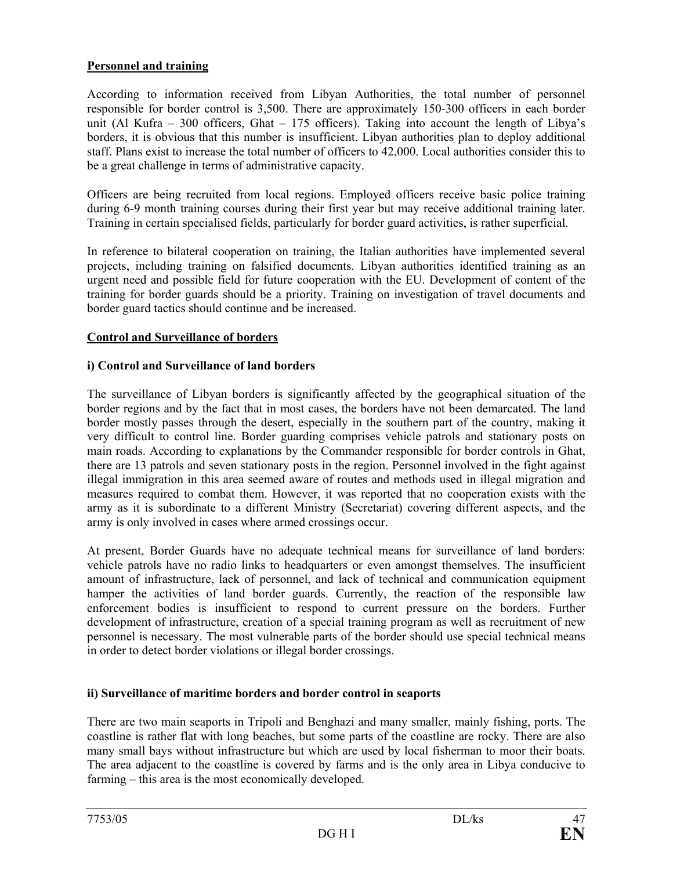## **Personnel and training**

According to information received from Libyan Authorities, the total number of personnel responsible for border control is 3,500. There are approximately 150-300 officers in each border unit (Al Kufra – 300 officers, Ghat – 175 officers). Taking into account the length of Libya's borders, it is obvious that this number is insufficient. Libyan authorities plan to deploy additional staff. Plans exist to increase the total number of officers to 42,000. Local authorities consider this to be a great challenge in terms of administrative capacity.

Officers are being recruited from local regions. Employed officers receive basic police training during 6-9 month training courses during their first year but may receive additional training later. Training in certain specialised fields, particularly for border guard activities, is rather superficial.

In reference to bilateral cooperation on training, the Italian authorities have implemented several projects, including training on falsified documents. Libyan authorities identified training as an urgent need and possible field for future cooperation with the EU. Development of content of the training for border guards should be a priority. Training on investigation of travel documents and border guard tactics should continue and be increased.

### **Control and Surveillance of borders**

### **i) Control and Surveillance of land borders**

The surveillance of Libyan borders is significantly affected by the geographical situation of the border regions and by the fact that in most cases, the borders have not been demarcated. The land border mostly passes through the desert, especially in the southern part of the country, making it very difficult to control line. Border guarding comprises vehicle patrols and stationary posts on main roads. According to explanations by the Commander responsible for border controls in Ghat, there are 13 patrols and seven stationary posts in the region. Personnel involved in the fight against illegal immigration in this area seemed aware of routes and methods used in illegal migration and measures required to combat them. However, it was reported that no cooperation exists with the army as it is subordinate to a different Ministry (Secretariat) covering different aspects, and the army is only involved in cases where armed crossings occur.

At present, Border Guards have no adequate technical means for surveillance of land borders: vehicle patrols have no radio links to headquarters or even amongst themselves. The insufficient amount of infrastructure, lack of personnel, and lack of technical and communication equipment hamper the activities of land border guards. Currently, the reaction of the responsible law enforcement bodies is insufficient to respond to current pressure on the borders. Further development of infrastructure, creation of a special training program as well as recruitment of new personnel is necessary. The most vulnerable parts of the border should use special technical means in order to detect border violations or illegal border crossings.

#### **ii) Surveillance of maritime borders and border control in seaports**

There are two main seaports in Tripoli and Benghazi and many smaller, mainly fishing, ports. The coastline is rather flat with long beaches, but some parts of the coastline are rocky. There are also many small bays without infrastructure but which are used by local fisherman to moor their boats. The area adjacent to the coastline is covered by farms and is the only area in Libya conducive to farming – this area is the most economically developed.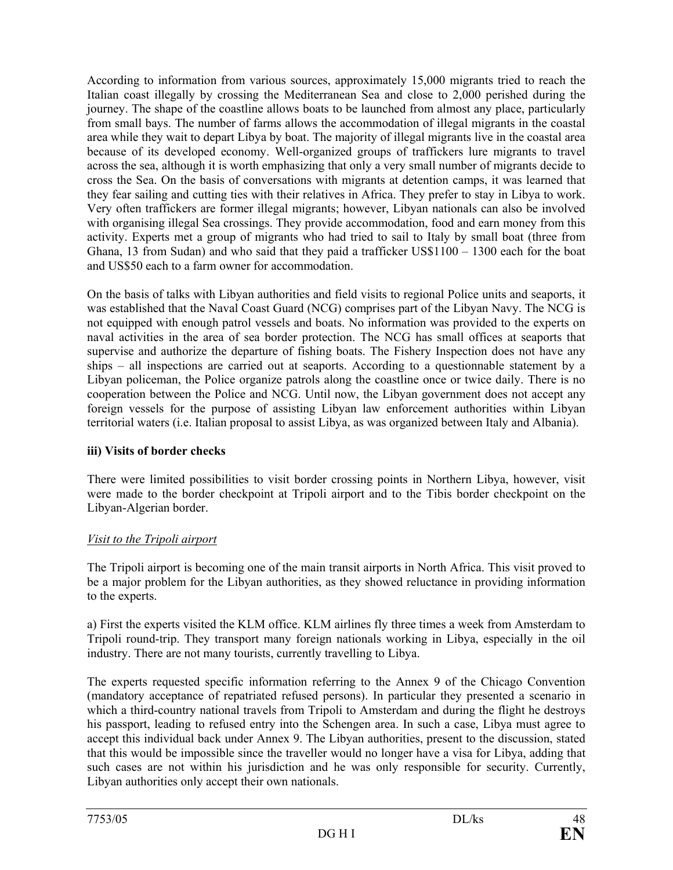According to information from various sources, approximately 15,000 migrants tried to reach the Italian coast illegally by crossing the Mediterranean Sea and close to 2,000 perished during the journey. The shape of the coastline allows boats to be launched from almost any place, particularly from small bays. The number of farms allows the accommodation of illegal migrants in the coastal area while they wait to depart Libya by boat. The majority of illegal migrants live in the coastal area because of its developed economy. Well-organized groups of traffickers lure migrants to travel across the sea, although it is worth emphasizing that only a very small number of migrants decide to cross the Sea. On the basis of conversations with migrants at detention camps, it was learned that they fear sailing and cutting ties with their relatives in Africa. They prefer to stay in Libya to work. Very often traffickers are former illegal migrants; however, Libyan nationals can also be involved with organising illegal Sea crossings. They provide accommodation, food and earn money from this activity. Experts met a group of migrants who had tried to sail to Italy by small boat (three from Ghana, 13 from Sudan) and who said that they paid a trafficker US\$1100 – 1300 each for the boat and US\$50 each to a farm owner for accommodation.

On the basis of talks with Libyan authorities and field visits to regional Police units and seaports, it was established that the Naval Coast Guard (NCG) comprises part of the Libyan Navy. The NCG is not equipped with enough patrol vessels and boats. No information was provided to the experts on naval activities in the area of sea border protection. The NCG has small offices at seaports that supervise and authorize the departure of fishing boats. The Fishery Inspection does not have any ships – all inspections are carried out at seaports. According to a questionnable statement by a Libyan policeman, the Police organize patrols along the coastline once or twice daily. There is no cooperation between the Police and NCG. Until now, the Libyan government does not accept any foreign vessels for the purpose of assisting Libyan law enforcement authorities within Libyan territorial waters (i.e. Italian proposal to assist Libya, as was organized between Italy and Albania).

## **iii) Visits of border checks**

There were limited possibilities to visit border crossing points in Northern Libya, however, visit were made to the border checkpoint at Tripoli airport and to the Tibis border checkpoint on the Libyan-Algerian border.

## *Visit to the Tripoli airport*

The Tripoli airport is becoming one of the main transit airports in North Africa. This visit proved to be a major problem for the Libyan authorities, as they showed reluctance in providing information to the experts.

a) First the experts visited the KLM office. KLM airlines fly three times a week from Amsterdam to Tripoli round-trip. They transport many foreign nationals working in Libya, especially in the oil industry. There are not many tourists, currently travelling to Libya.

The experts requested specific information referring to the Annex 9 of the Chicago Convention (mandatory acceptance of repatriated refused persons). In particular they presented a scenario in which a third-country national travels from Tripoli to Amsterdam and during the flight he destroys his passport, leading to refused entry into the Schengen area. In such a case, Libya must agree to accept this individual back under Annex 9. The Libyan authorities, present to the discussion, stated that this would be impossible since the traveller would no longer have a visa for Libya, adding that such cases are not within his jurisdiction and he was only responsible for security. Currently, Libyan authorities only accept their own nationals.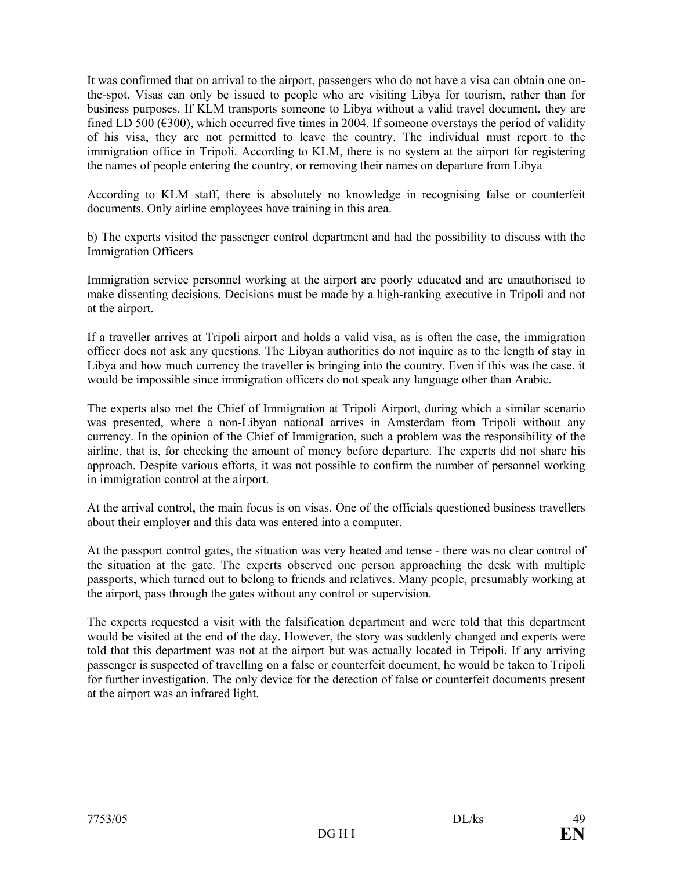It was confirmed that on arrival to the airport, passengers who do not have a visa can obtain one onthe-spot. Visas can only be issued to people who are visiting Libya for tourism, rather than for business purposes. If KLM transports someone to Libya without a valid travel document, they are fined LD 500 ( $\epsilon$ 300), which occurred five times in 2004. If someone overstays the period of validity of his visa, they are not permitted to leave the country. The individual must report to the immigration office in Tripoli. According to KLM, there is no system at the airport for registering the names of people entering the country, or removing their names on departure from Libya

According to KLM staff, there is absolutely no knowledge in recognising false or counterfeit documents. Only airline employees have training in this area.

b) The experts visited the passenger control department and had the possibility to discuss with the Immigration Officers

Immigration service personnel working at the airport are poorly educated and are unauthorised to make dissenting decisions. Decisions must be made by a high-ranking executive in Tripoli and not at the airport.

If a traveller arrives at Tripoli airport and holds a valid visa, as is often the case, the immigration officer does not ask any questions. The Libyan authorities do not inquire as to the length of stay in Libya and how much currency the traveller is bringing into the country. Even if this was the case, it would be impossible since immigration officers do not speak any language other than Arabic.

The experts also met the Chief of Immigration at Tripoli Airport, during which a similar scenario was presented, where a non-Libyan national arrives in Amsterdam from Tripoli without any currency. In the opinion of the Chief of Immigration, such a problem was the responsibility of the airline, that is, for checking the amount of money before departure. The experts did not share his approach. Despite various efforts, it was not possible to confirm the number of personnel working in immigration control at the airport.

At the arrival control, the main focus is on visas. One of the officials questioned business travellers about their employer and this data was entered into a computer.

At the passport control gates, the situation was very heated and tense - there was no clear control of the situation at the gate. The experts observed one person approaching the desk with multiple passports, which turned out to belong to friends and relatives. Many people, presumably working at the airport, pass through the gates without any control or supervision.

The experts requested a visit with the falsification department and were told that this department would be visited at the end of the day. However, the story was suddenly changed and experts were told that this department was not at the airport but was actually located in Tripoli. If any arriving passenger is suspected of travelling on a false or counterfeit document, he would be taken to Tripoli for further investigation. The only device for the detection of false or counterfeit documents present at the airport was an infrared light.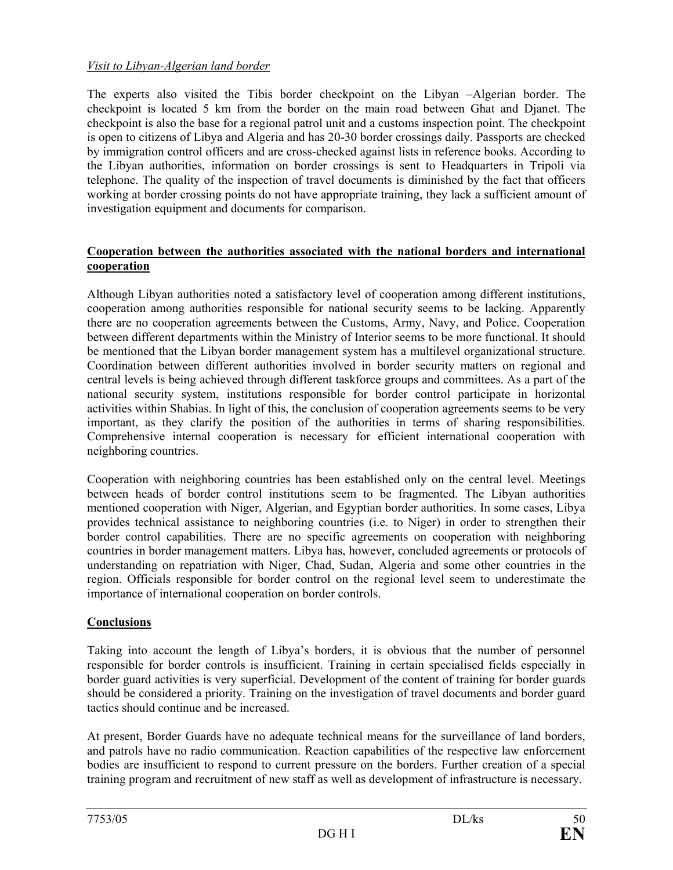## *Visit to Libyan-Algerian land border*

The experts also visited the Tibis border checkpoint on the Libyan –Algerian border. The checkpoint is located 5 km from the border on the main road between Ghat and Djanet. The checkpoint is also the base for a regional patrol unit and a customs inspection point. The checkpoint is open to citizens of Libya and Algeria and has 20-30 border crossings daily. Passports are checked by immigration control officers and are cross-checked against lists in reference books. According to the Libyan authorities, information on border crossings is sent to Headquarters in Tripoli via telephone. The quality of the inspection of travel documents is diminished by the fact that officers working at border crossing points do not have appropriate training, they lack a sufficient amount of investigation equipment and documents for comparison.

## **Cooperation between the authorities associated with the national borders and international cooperation**

Although Libyan authorities noted a satisfactory level of cooperation among different institutions, cooperation among authorities responsible for national security seems to be lacking. Apparently there are no cooperation agreements between the Customs, Army, Navy, and Police. Cooperation between different departments within the Ministry of Interior seems to be more functional. It should be mentioned that the Libyan border management system has a multilevel organizational structure. Coordination between different authorities involved in border security matters on regional and central levels is being achieved through different taskforce groups and committees. As a part of the national security system, institutions responsible for border control participate in horizontal activities within Shabias. In light of this, the conclusion of cooperation agreements seems to be very important, as they clarify the position of the authorities in terms of sharing responsibilities. Comprehensive internal cooperation is necessary for efficient international cooperation with neighboring countries.

Cooperation with neighboring countries has been established only on the central level. Meetings between heads of border control institutions seem to be fragmented. The Libyan authorities mentioned cooperation with Niger, Algerian, and Egyptian border authorities. In some cases, Libya provides technical assistance to neighboring countries (i.e. to Niger) in order to strengthen their border control capabilities. There are no specific agreements on cooperation with neighboring countries in border management matters. Libya has, however, concluded agreements or protocols of understanding on repatriation with Niger, Chad, Sudan, Algeria and some other countries in the region. Officials responsible for border control on the regional level seem to underestimate the importance of international cooperation on border controls.

## **Conclusions**

Taking into account the length of Libya's borders, it is obvious that the number of personnel responsible for border controls is insufficient. Training in certain specialised fields especially in border guard activities is very superficial. Development of the content of training for border guards should be considered a priority. Training on the investigation of travel documents and border guard tactics should continue and be increased.

At present, Border Guards have no adequate technical means for the surveillance of land borders, and patrols have no radio communication. Reaction capabilities of the respective law enforcement bodies are insufficient to respond to current pressure on the borders. Further creation of a special training program and recruitment of new staff as well as development of infrastructure is necessary.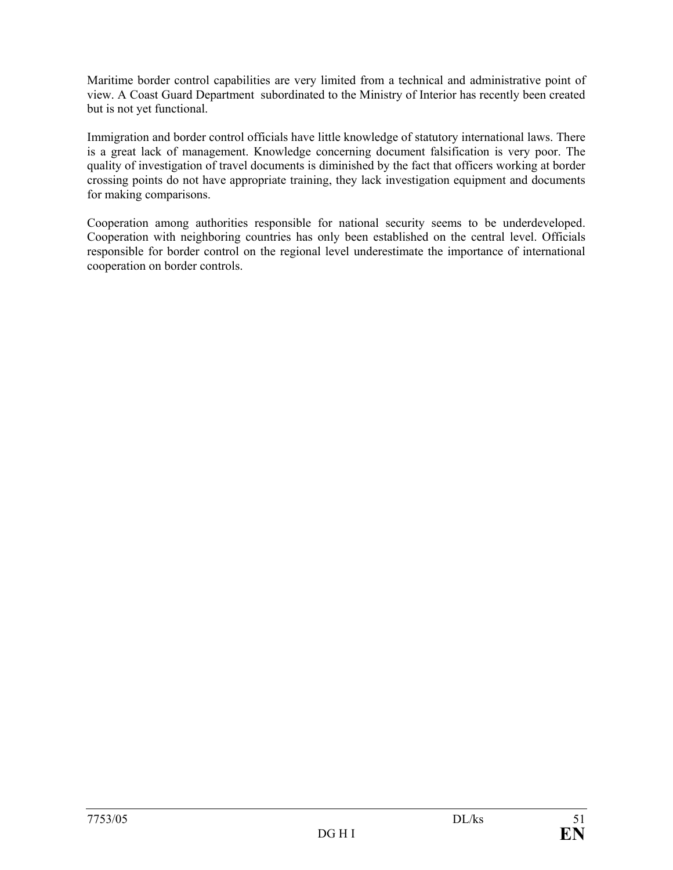Maritime border control capabilities are very limited from a technical and administrative point of view. A Coast Guard Department subordinated to the Ministry of Interior has recently been created but is not yet functional.

Immigration and border control officials have little knowledge of statutory international laws. There is a great lack of management. Knowledge concerning document falsification is very poor. The quality of investigation of travel documents is diminished by the fact that officers working at border crossing points do not have appropriate training, they lack investigation equipment and documents for making comparisons.

Cooperation among authorities responsible for national security seems to be underdeveloped. Cooperation with neighboring countries has only been established on the central level. Officials responsible for border control on the regional level underestimate the importance of international cooperation on border controls.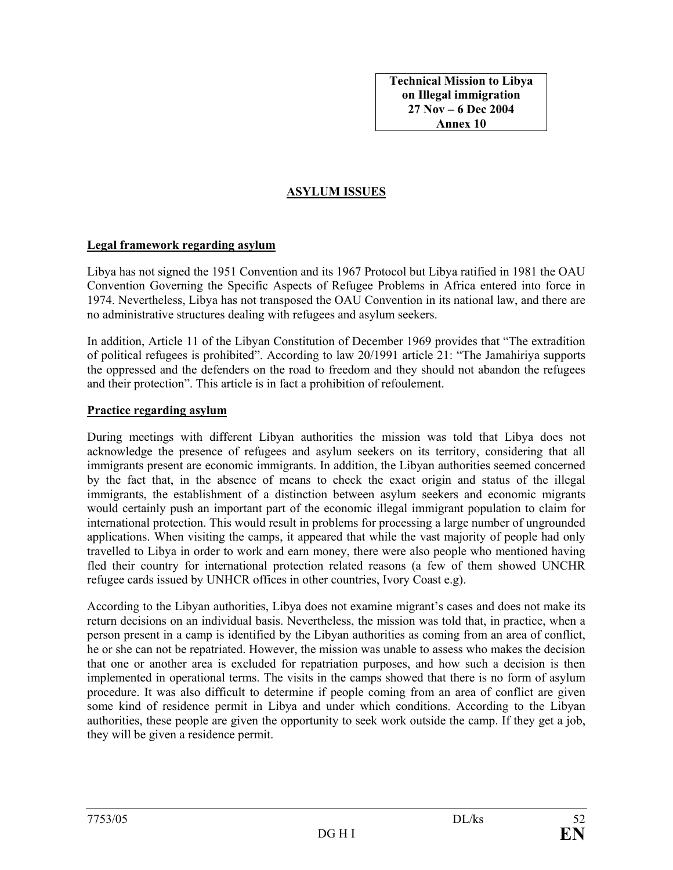**Technical Mission to Libya on Illegal immigration 27 Nov – 6 Dec 2004 Annex 10** 

## **ASYLUM ISSUES**

#### **Legal framework regarding asylum**

Libya has not signed the 1951 Convention and its 1967 Protocol but Libya ratified in 1981 the OAU Convention Governing the Specific Aspects of Refugee Problems in Africa entered into force in 1974. Nevertheless, Libya has not transposed the OAU Convention in its national law, and there are no administrative structures dealing with refugees and asylum seekers.

In addition, Article 11 of the Libyan Constitution of December 1969 provides that "The extradition of political refugees is prohibited". According to law 20/1991 article 21: "The Jamahiriya supports the oppressed and the defenders on the road to freedom and they should not abandon the refugees and their protection". This article is in fact a prohibition of refoulement.

### **Practice regarding asylum**

During meetings with different Libyan authorities the mission was told that Libya does not acknowledge the presence of refugees and asylum seekers on its territory, considering that all immigrants present are economic immigrants. In addition, the Libyan authorities seemed concerned by the fact that, in the absence of means to check the exact origin and status of the illegal immigrants, the establishment of a distinction between asylum seekers and economic migrants would certainly push an important part of the economic illegal immigrant population to claim for international protection. This would result in problems for processing a large number of ungrounded applications. When visiting the camps, it appeared that while the vast majority of people had only travelled to Libya in order to work and earn money, there were also people who mentioned having fled their country for international protection related reasons (a few of them showed UNCHR refugee cards issued by UNHCR offices in other countries, Ivory Coast e.g).

According to the Libyan authorities, Libya does not examine migrant's cases and does not make its return decisions on an individual basis. Nevertheless, the mission was told that, in practice, when a person present in a camp is identified by the Libyan authorities as coming from an area of conflict, he or she can not be repatriated. However, the mission was unable to assess who makes the decision that one or another area is excluded for repatriation purposes, and how such a decision is then implemented in operational terms. The visits in the camps showed that there is no form of asylum procedure. It was also difficult to determine if people coming from an area of conflict are given some kind of residence permit in Libya and under which conditions. According to the Libyan authorities, these people are given the opportunity to seek work outside the camp. If they get a job, they will be given a residence permit.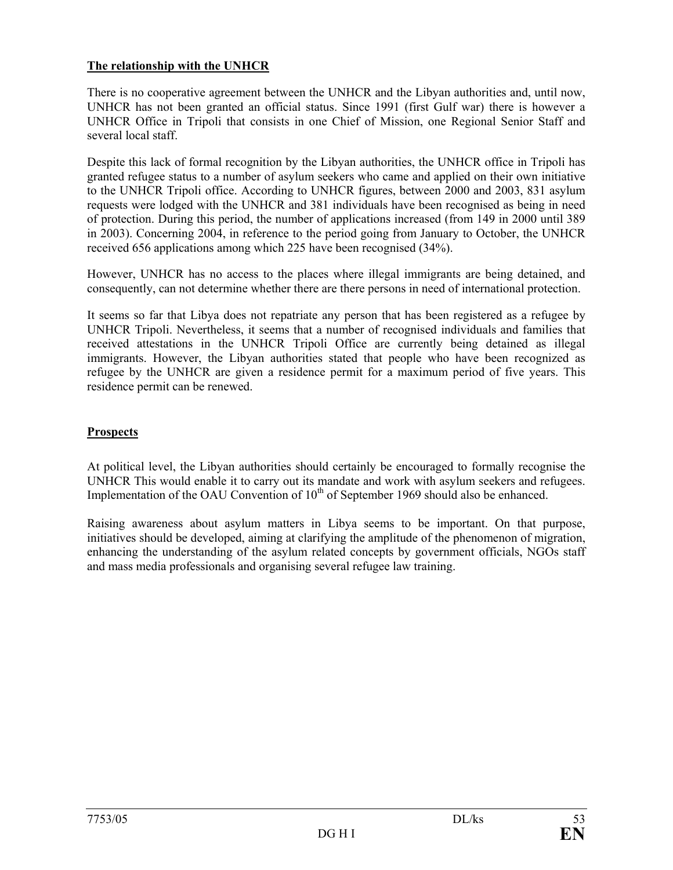## **The relationship with the UNHCR**

There is no cooperative agreement between the UNHCR and the Libyan authorities and, until now, UNHCR has not been granted an official status. Since 1991 (first Gulf war) there is however a UNHCR Office in Tripoli that consists in one Chief of Mission, one Regional Senior Staff and several local staff.

Despite this lack of formal recognition by the Libyan authorities, the UNHCR office in Tripoli has granted refugee status to a number of asylum seekers who came and applied on their own initiative to the UNHCR Tripoli office. According to UNHCR figures, between 2000 and 2003, 831 asylum requests were lodged with the UNHCR and 381 individuals have been recognised as being in need of protection. During this period, the number of applications increased (from 149 in 2000 until 389 in 2003). Concerning 2004, in reference to the period going from January to October, the UNHCR received 656 applications among which 225 have been recognised (34%).

However, UNHCR has no access to the places where illegal immigrants are being detained, and consequently, can not determine whether there are there persons in need of international protection.

It seems so far that Libya does not repatriate any person that has been registered as a refugee by UNHCR Tripoli. Nevertheless, it seems that a number of recognised individuals and families that received attestations in the UNHCR Tripoli Office are currently being detained as illegal immigrants. However, the Libyan authorities stated that people who have been recognized as refugee by the UNHCR are given a residence permit for a maximum period of five years. This residence permit can be renewed.

## **Prospects**

At political level, the Libyan authorities should certainly be encouraged to formally recognise the UNHCR This would enable it to carry out its mandate and work with asylum seekers and refugees. Implementation of the OAU Convention of  $10<sup>th</sup>$  of September 1969 should also be enhanced.

Raising awareness about asylum matters in Libya seems to be important. On that purpose, initiatives should be developed, aiming at clarifying the amplitude of the phenomenon of migration, enhancing the understanding of the asylum related concepts by government officials, NGOs staff and mass media professionals and organising several refugee law training.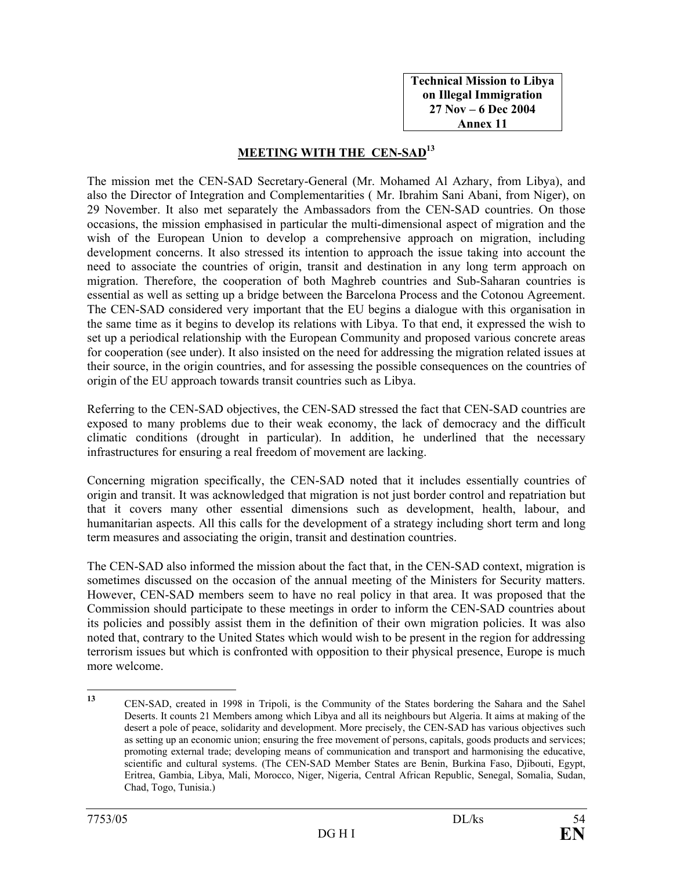**Technical Mission to Libya on Illegal Immigration 27 Nov – 6 Dec 2004 Annex 11** 

## **MEETING WITH THE CEN-SAD13**

The mission met the CEN-SAD Secretary-General (Mr. Mohamed Al Azhary, from Libya), and also the Director of Integration and Complementarities ( Mr. Ibrahim Sani Abani, from Niger), on 29 November. It also met separately the Ambassadors from the CEN-SAD countries. On those occasions, the mission emphasised in particular the multi-dimensional aspect of migration and the wish of the European Union to develop a comprehensive approach on migration, including development concerns. It also stressed its intention to approach the issue taking into account the need to associate the countries of origin, transit and destination in any long term approach on migration. Therefore, the cooperation of both Maghreb countries and Sub-Saharan countries is essential as well as setting up a bridge between the Barcelona Process and the Cotonou Agreement. The CEN-SAD considered very important that the EU begins a dialogue with this organisation in the same time as it begins to develop its relations with Libya. To that end, it expressed the wish to set up a periodical relationship with the European Community and proposed various concrete areas for cooperation (see under). It also insisted on the need for addressing the migration related issues at their source, in the origin countries, and for assessing the possible consequences on the countries of origin of the EU approach towards transit countries such as Libya.

Referring to the CEN-SAD objectives, the CEN-SAD stressed the fact that CEN-SAD countries are exposed to many problems due to their weak economy, the lack of democracy and the difficult climatic conditions (drought in particular). In addition, he underlined that the necessary infrastructures for ensuring a real freedom of movement are lacking.

Concerning migration specifically, the CEN-SAD noted that it includes essentially countries of origin and transit. It was acknowledged that migration is not just border control and repatriation but that it covers many other essential dimensions such as development, health, labour, and humanitarian aspects. All this calls for the development of a strategy including short term and long term measures and associating the origin, transit and destination countries.

The CEN-SAD also informed the mission about the fact that, in the CEN-SAD context, migration is sometimes discussed on the occasion of the annual meeting of the Ministers for Security matters. However, CEN-SAD members seem to have no real policy in that area. It was proposed that the Commission should participate to these meetings in order to inform the CEN-SAD countries about its policies and possibly assist them in the definition of their own migration policies. It was also noted that, contrary to the United States which would wish to be present in the region for addressing terrorism issues but which is confronted with opposition to their physical presence, Europe is much more welcome.

 $13$ **<sup>13</sup>** CEN-SAD, created in 1998 in Tripoli, is the Community of the States bordering the Sahara and the Sahel Deserts. It counts 21 Members among which Libya and all its neighbours but Algeria. It aims at making of the desert a pole of peace, solidarity and development. More precisely, the CEN-SAD has various objectives such as setting up an economic union; ensuring the free movement of persons, capitals, goods products and services; promoting external trade; developing means of communication and transport and harmonising the educative, scientific and cultural systems. (The CEN-SAD Member States are Benin, Burkina Faso, Djibouti, Egypt, Eritrea, Gambia, Libya, Mali, Morocco, Niger, Nigeria, Central African Republic, Senegal, Somalia, Sudan, Chad, Togo, Tunisia.)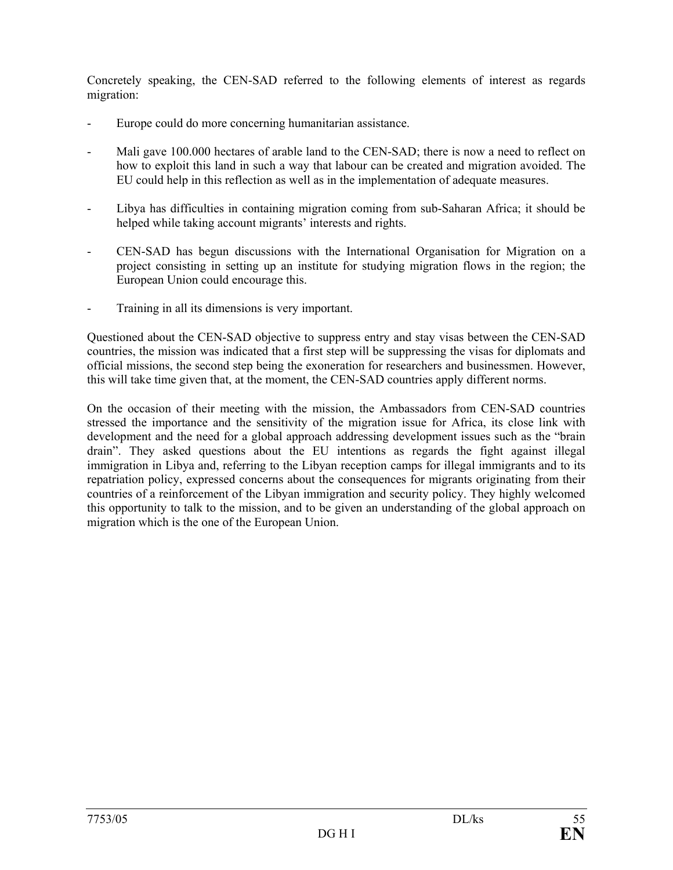Concretely speaking, the CEN-SAD referred to the following elements of interest as regards migration:

- Europe could do more concerning humanitarian assistance.
- Mali gave 100.000 hectares of arable land to the CEN-SAD; there is now a need to reflect on how to exploit this land in such a way that labour can be created and migration avoided. The EU could help in this reflection as well as in the implementation of adequate measures.
- Libya has difficulties in containing migration coming from sub-Saharan Africa; it should be helped while taking account migrants' interests and rights.
- CEN-SAD has begun discussions with the International Organisation for Migration on a project consisting in setting up an institute for studying migration flows in the region; the European Union could encourage this.
- Training in all its dimensions is very important.

Questioned about the CEN-SAD objective to suppress entry and stay visas between the CEN-SAD countries, the mission was indicated that a first step will be suppressing the visas for diplomats and official missions, the second step being the exoneration for researchers and businessmen. However, this will take time given that, at the moment, the CEN-SAD countries apply different norms.

On the occasion of their meeting with the mission, the Ambassadors from CEN-SAD countries stressed the importance and the sensitivity of the migration issue for Africa, its close link with development and the need for a global approach addressing development issues such as the "brain drain". They asked questions about the EU intentions as regards the fight against illegal immigration in Libya and, referring to the Libyan reception camps for illegal immigrants and to its repatriation policy, expressed concerns about the consequences for migrants originating from their countries of a reinforcement of the Libyan immigration and security policy. They highly welcomed this opportunity to talk to the mission, and to be given an understanding of the global approach on migration which is the one of the European Union.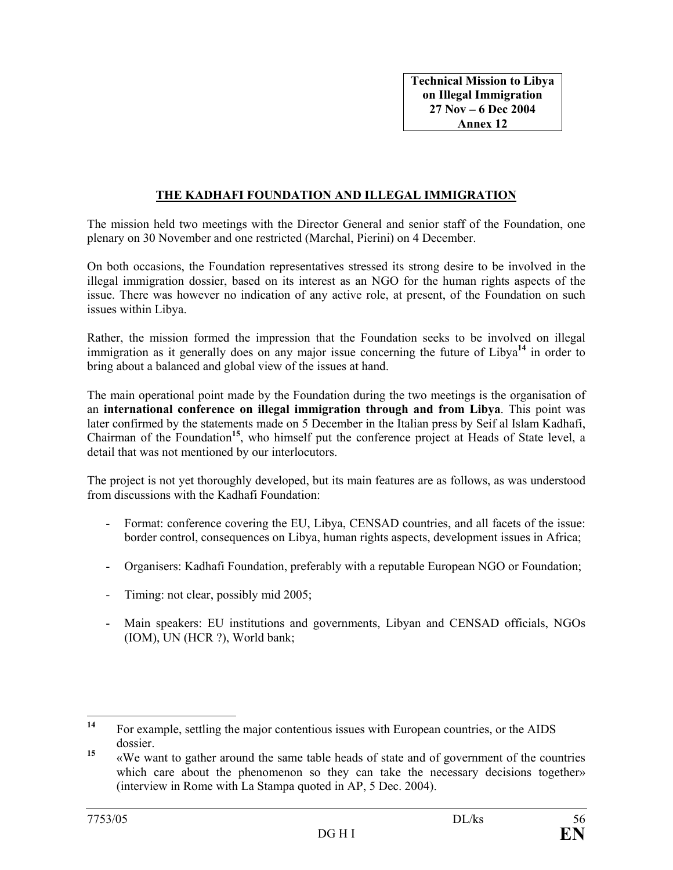### **THE KADHAFI FOUNDATION AND ILLEGAL IMMIGRATION**

The mission held two meetings with the Director General and senior staff of the Foundation, one plenary on 30 November and one restricted (Marchal, Pierini) on 4 December.

On both occasions, the Foundation representatives stressed its strong desire to be involved in the illegal immigration dossier, based on its interest as an NGO for the human rights aspects of the issue. There was however no indication of any active role, at present, of the Foundation on such issues within Libya.

Rather, the mission formed the impression that the Foundation seeks to be involved on illegal immigration as it generally does on any major issue concerning the future of Libya**<sup>14</sup>** in order to bring about a balanced and global view of the issues at hand.

The main operational point made by the Foundation during the two meetings is the organisation of an **international conference on illegal immigration through and from Libya**. This point was later confirmed by the statements made on 5 December in the Italian press by Seif al Islam Kadhafi, Chairman of the Foundation**<sup>15</sup>**, who himself put the conference project at Heads of State level, a detail that was not mentioned by our interlocutors.

The project is not yet thoroughly developed, but its main features are as follows, as was understood from discussions with the Kadhafi Foundation:

- Format: conference covering the EU, Libya, CENSAD countries, and all facets of the issue: border control, consequences on Libya, human rights aspects, development issues in Africa;
- Organisers: Kadhafi Foundation, preferably with a reputable European NGO or Foundation;
- Timing: not clear, possibly mid 2005;
- Main speakers: EU institutions and governments, Libyan and CENSAD officials, NGOs (IOM), UN (HCR ?), World bank;

 $14$ For example, settling the major contentious issues with European countries, or the AIDS dossier.

<sup>&</sup>lt;sup>15</sup> «We want to gather around the same table heads of state and of government of the countries which care about the phenomenon so they can take the necessary decisions together» (interview in Rome with La Stampa quoted in AP, 5 Dec. 2004).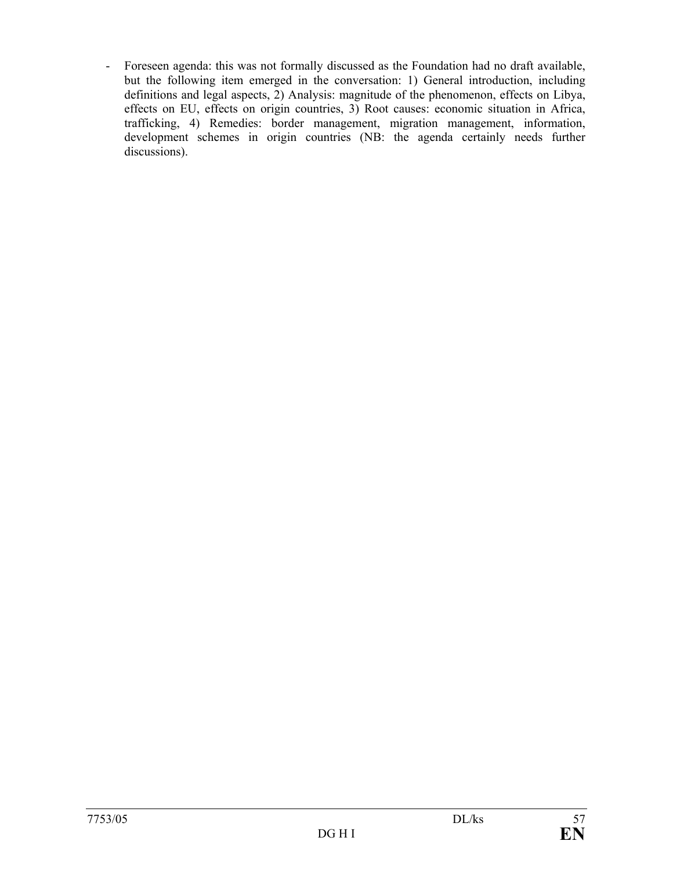- Foreseen agenda: this was not formally discussed as the Foundation had no draft available, but the following item emerged in the conversation: 1) General introduction, including definitions and legal aspects, 2) Analysis: magnitude of the phenomenon, effects on Libya, effects on EU, effects on origin countries, 3) Root causes: economic situation in Africa, trafficking, 4) Remedies: border management, migration management, information, development schemes in origin countries (NB: the agenda certainly needs further discussions).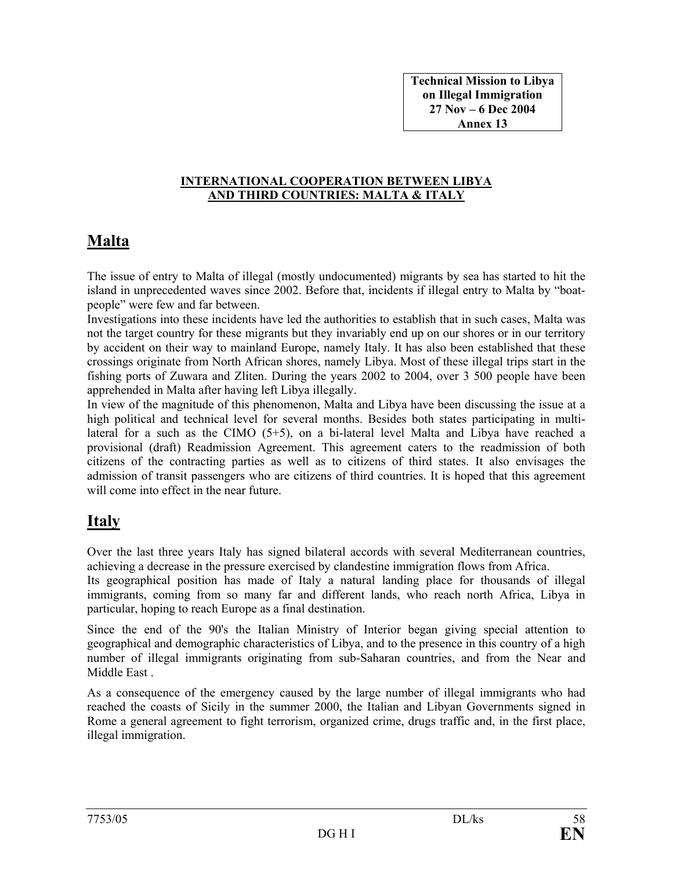**Technical Mission to Libya on Illegal Immigration 27 Nov – 6 Dec 2004 Annex 13** 

#### **INTERNATIONAL COOPERATION BETWEEN LIBYA AND THIRD COUNTRIES: MALTA & ITALY**

## **Malta**

The issue of entry to Malta of illegal (mostly undocumented) migrants by sea has started to hit the island in unprecedented waves since 2002. Before that, incidents if illegal entry to Malta by "boatpeople" were few and far between.

Investigations into these incidents have led the authorities to establish that in such cases, Malta was not the target country for these migrants but they invariably end up on our shores or in our territory by accident on their way to mainland Europe, namely Italy. It has also been established that these crossings originate from North African shores, namely Libya. Most of these illegal trips start in the fishing ports of Zuwara and Zliten. During the years 2002 to 2004, over 3 500 people have been apprehended in Malta after having left Libya illegally.

In view of the magnitude of this phenomenon, Malta and Libya have been discussing the issue at a high political and technical level for several months. Besides both states participating in multilateral for a such as the CIMO (5+5), on a bi-lateral level Malta and Libya have reached a provisional (draft) Readmission Agreement. This agreement caters to the readmission of both citizens of the contracting parties as well as to citizens of third states. It also envisages the admission of transit passengers who are citizens of third countries. It is hoped that this agreement will come into effect in the near future.

## **Italy**

Over the last three years Italy has signed bilateral accords with several Mediterranean countries, achieving a decrease in the pressure exercised by clandestine immigration flows from Africa.

Its geographical position has made of Italy a natural landing place for thousands of illegal immigrants, coming from so many far and different lands, who reach north Africa, Libya in particular, hoping to reach Europe as a final destination.

Since the end of the 90's the Italian Ministry of Interior began giving special attention to geographical and demographic characteristics of Libya, and to the presence in this country of a high number of illegal immigrants originating from sub-Saharan countries, and from the Near and Middle East .

As a consequence of the emergency caused by the large number of illegal immigrants who had reached the coasts of Sicily in the summer 2000, the Italian and Libyan Governments signed in Rome a general agreement to fight terrorism, organized crime, drugs traffic and, in the first place, illegal immigration.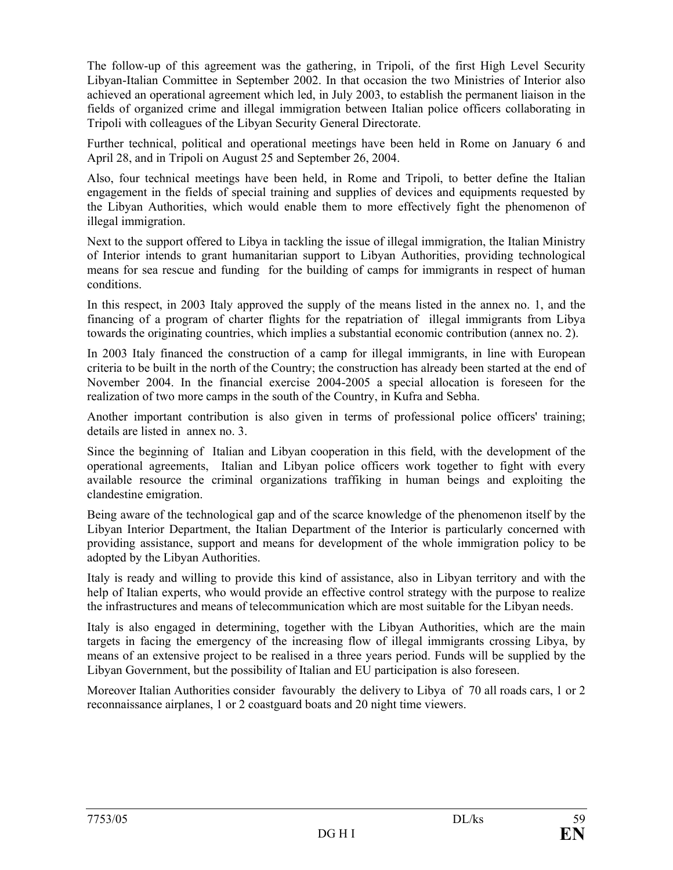The follow-up of this agreement was the gathering, in Tripoli, of the first High Level Security Libyan-Italian Committee in September 2002. In that occasion the two Ministries of Interior also achieved an operational agreement which led, in July 2003, to establish the permanent liaison in the fields of organized crime and illegal immigration between Italian police officers collaborating in Tripoli with colleagues of the Libyan Security General Directorate.

Further technical, political and operational meetings have been held in Rome on January 6 and April 28, and in Tripoli on August 25 and September 26, 2004.

Also, four technical meetings have been held, in Rome and Tripoli, to better define the Italian engagement in the fields of special training and supplies of devices and equipments requested by the Libyan Authorities, which would enable them to more effectively fight the phenomenon of illegal immigration.

Next to the support offered to Libya in tackling the issue of illegal immigration, the Italian Ministry of Interior intends to grant humanitarian support to Libyan Authorities, providing technological means for sea rescue and funding for the building of camps for immigrants in respect of human conditions.

In this respect, in 2003 Italy approved the supply of the means listed in the annex no. 1, and the financing of a program of charter flights for the repatriation of illegal immigrants from Libya towards the originating countries, which implies a substantial economic contribution (annex no. 2).

In 2003 Italy financed the construction of a camp for illegal immigrants, in line with European criteria to be built in the north of the Country; the construction has already been started at the end of November 2004. In the financial exercise 2004-2005 a special allocation is foreseen for the realization of two more camps in the south of the Country, in Kufra and Sebha.

Another important contribution is also given in terms of professional police officers' training; details are listed in annex no. 3.

Since the beginning of Italian and Libyan cooperation in this field, with the development of the operational agreements, Italian and Libyan police officers work together to fight with every available resource the criminal organizations traffiking in human beings and exploiting the clandestine emigration.

Being aware of the technological gap and of the scarce knowledge of the phenomenon itself by the Libyan Interior Department, the Italian Department of the Interior is particularly concerned with providing assistance, support and means for development of the whole immigration policy to be adopted by the Libyan Authorities.

Italy is ready and willing to provide this kind of assistance, also in Libyan territory and with the help of Italian experts, who would provide an effective control strategy with the purpose to realize the infrastructures and means of telecommunication which are most suitable for the Libyan needs.

Italy is also engaged in determining, together with the Libyan Authorities, which are the main targets in facing the emergency of the increasing flow of illegal immigrants crossing Libya, by means of an extensive project to be realised in a three years period. Funds will be supplied by the Libyan Government, but the possibility of Italian and EU participation is also foreseen.

Moreover Italian Authorities consider favourably the delivery to Libya of 70 all roads cars, 1 or 2 reconnaissance airplanes, 1 or 2 coastguard boats and 20 night time viewers.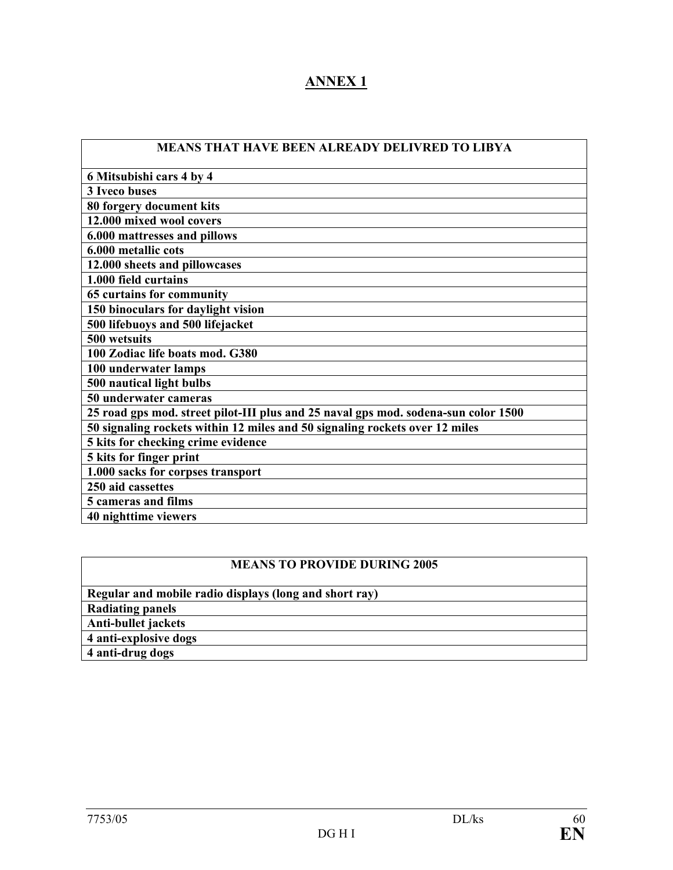## **ANNEX 1**

| MEANS THAT HAVE BEEN ALREADY DELIVRED TO LIBYA |  |
|------------------------------------------------|--|
|                                                |  |

| 6 Mitsubishi cars 4 by 4                                                           |
|------------------------------------------------------------------------------------|
| 3 Iveco buses                                                                      |
| 80 forgery document kits                                                           |
| 12.000 mixed wool covers                                                           |
| 6.000 mattresses and pillows                                                       |
| 6.000 metallic cots                                                                |
| 12.000 sheets and pillowcases                                                      |
| 1.000 field curtains                                                               |
| 65 curtains for community                                                          |
| 150 binoculars for daylight vision                                                 |
| 500 lifebuoys and 500 lifejacket                                                   |
| 500 wetsuits                                                                       |
| 100 Zodiac life boats mod. G380                                                    |
| 100 underwater lamps                                                               |
| 500 nautical light bulbs                                                           |
| 50 underwater cameras                                                              |
| 25 road gps mod. street pilot-III plus and 25 naval gps mod. sodena-sun color 1500 |
| 50 signaling rockets within 12 miles and 50 signaling rockets over 12 miles        |
| 5 kits for checking crime evidence                                                 |
| 5 kits for finger print                                                            |
| 1.000 sacks for corpses transport                                                  |
| 250 aid cassettes                                                                  |
| 5 cameras and films                                                                |
| 40 nighttime viewers                                                               |
|                                                                                    |

## **MEANS TO PROVIDE DURING 2005**

| Regular and mobile radio displays (long and short ray) |
|--------------------------------------------------------|
| <b>Radiating panels</b>                                |
| Anti-bullet jackets                                    |
| 4 anti-explosive dogs                                  |
| 4 anti-drug dogs                                       |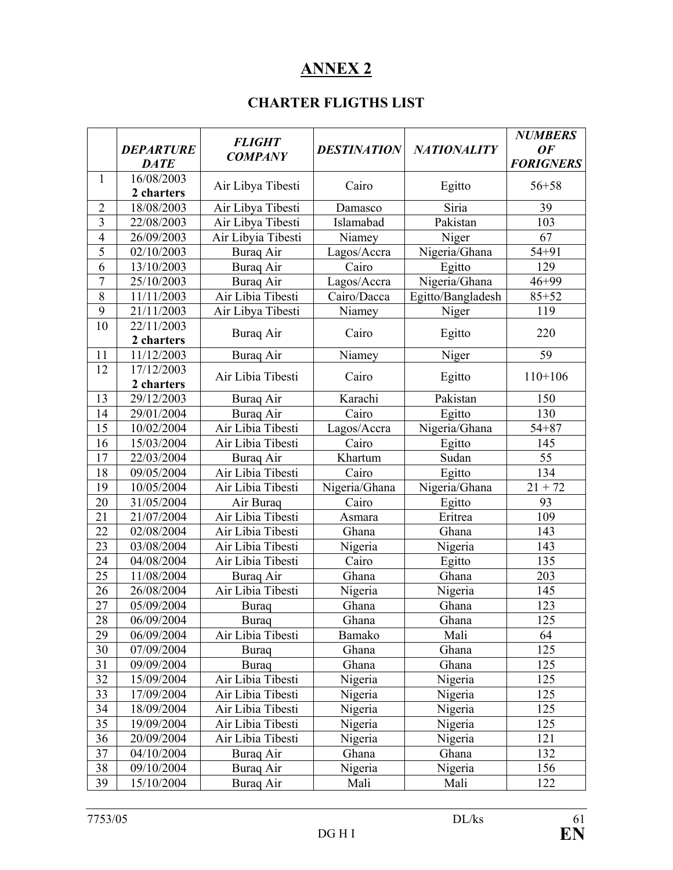## **ANNEX 2**

## **CHARTER FLIGTHS LIST**

|                | <b>DEPARTURE</b><br><b>DATE</b> | <b>FLIGHT</b><br><b>COMPANY</b> | <b>DESTINATION</b> | <b>NATIONALITY</b> | <b>NUMBERS</b><br><b>OF</b><br><b>FORIGNERS</b> |
|----------------|---------------------------------|---------------------------------|--------------------|--------------------|-------------------------------------------------|
| 1              | 16/08/2003<br>2 charters        | Air Libya Tibesti               | Cairo              | Egitto             | $56 + 58$                                       |
| $\overline{2}$ | 18/08/2003                      | Air Libya Tibesti               | Damasco            | Siria              | 39                                              |
| 3              | 22/08/2003                      | Air Libya Tibesti               | Islamabad          | Pakistan           | 103                                             |
| $\overline{4}$ | 26/09/2003                      | Air Libyia Tibesti              | Niamey             | Niger              | 67                                              |
| 5              | 02/10/2003                      | Buraq Air                       | Lagos/Accra        | Nigeria/Ghana      | $54 + 91$                                       |
| 6              | 13/10/2003                      | <b>Buraq Air</b>                | Cairo              | Egitto             | 129                                             |
| 7              | 25/10/2003                      | <b>Buraq</b> Air                | Lagos/Accra        | Nigeria/Ghana      | $46 + 99$                                       |
| $\overline{8}$ | 11/11/2003                      | Air Libia Tibesti               | Cairo/Dacca        | Egitto/Bangladesh  | $85 + 52$                                       |
| 9              | 21/11/2003                      | Air Libya Tibesti               | Niamey             | Niger              | 119                                             |
| 10             | 22/11/2003<br>2 charters        | Buraq Air                       | Cairo              | Egitto             | 220                                             |
| 11             | 11/12/2003                      | <b>Buraq Air</b>                | Niamey             | Niger              | 59                                              |
| 12             | 17/12/2003                      |                                 |                    |                    |                                                 |
|                | 2 charters                      | Air Libia Tibesti               | Cairo              | Egitto             | $110+106$                                       |
| 13             | 29/12/2003                      | Buraq Air                       | Karachi            | Pakistan           | 150                                             |
| 14             | 29/01/2004                      | Buraq Air                       | Cairo              | Egitto             | 130                                             |
| 15             | 10/02/2004                      | Air Libia Tibesti               | Lagos/Accra        | Nigeria/Ghana      | $54 + 87$                                       |
| 16             | 15/03/2004                      | Air Libia Tibesti               | Cairo              | Egitto             | 145                                             |
| 17             | 22/03/2004                      | <b>Buraq</b> Air                | Khartum            | Sudan              | 55                                              |
| 18             | 09/05/2004                      | Air Libia Tibesti               | Cairo              | Egitto             | 134                                             |
| 19             | 10/05/2004                      | Air Libia Tibesti               | Nigeria/Ghana      | Nigeria/Ghana      | $21 + 72$                                       |
| 20             | 31/05/2004                      | Air Buraq                       | Cairo              | Egitto             | 93                                              |
| 21             | 21/07/2004                      | Air Libia Tibesti               | Asmara             | Eritrea            | 109                                             |
| 22             | 02/08/2004                      | Air Libia Tibesti               | Ghana              | Ghana              | 143                                             |
| 23             | 03/08/2004                      | Air Libia Tibesti               | Nigeria            | Nigeria            | 143                                             |
| 24             | 04/08/2004                      | Air Libia Tibesti               | Cairo              | Egitto             | 135                                             |
| 25             | 11/08/2004                      | Buraq Air                       | Ghana              | Ghana              | 203                                             |
| 26             | 26/08/2004                      | Air Libia Tibesti               | Nigeria            | Nigeria            | 145                                             |
| 27             | 05/09/2004                      | <b>Buraq</b>                    | Ghana              | Ghana              | 123                                             |
| 28             | 06/09/2004                      | Buraq                           | Ghana              | Ghana              | 125                                             |
| 29             | 06/09/2004                      | Air Libia Tibesti               | Bamako             | Mali               | 64                                              |
| 30             | 07/09/2004                      | <b>Buraq</b>                    | Ghana              | Ghana              | 125                                             |
| 31             | 09/09/2004                      | <b>Buraq</b>                    | Ghana              | Ghana              | 125                                             |
| 32             | 15/09/2004                      | Air Libia Tibesti               | Nigeria            | Nigeria            | 125                                             |
| 33             | 17/09/2004                      | Air Libia Tibesti               | Nigeria            | Nigeria            | 125                                             |
| 34             | 18/09/2004                      | Air Libia Tibesti               | Nigeria            | Nigeria            | 125                                             |
| 35             | 19/09/2004                      | Air Libia Tibesti               | Nigeria            | Nigeria            | 125                                             |
| 36             | 20/09/2004                      | Air Libia Tibesti               | Nigeria            | Nigeria            | 121                                             |
| 37             | 04/10/2004                      | Buraq Air                       | Ghana              | Ghana              | 132                                             |
| 38             | 09/10/2004                      | Buraq Air                       | Nigeria            | Nigeria            | 156                                             |
| 39             | 15/10/2004                      | Buraq Air                       | Mali               | Mali               | 122                                             |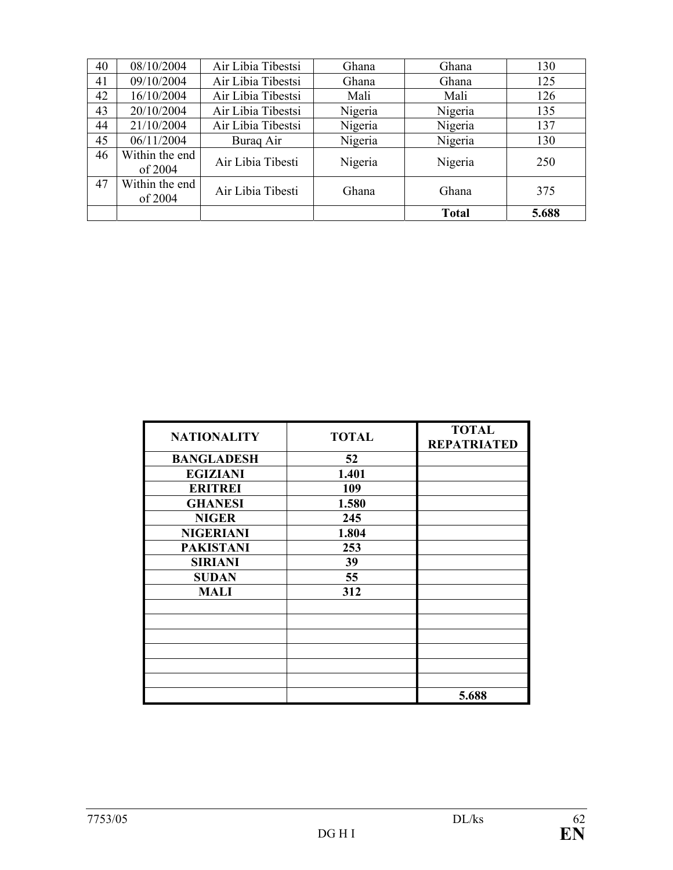| 40 | 08/10/2004                | Air Libia Tibestsi | Ghana   | Ghana        | 130   |
|----|---------------------------|--------------------|---------|--------------|-------|
| 41 | 09/10/2004                | Air Libia Tibestsi | Ghana   | Ghana        | 125   |
| 42 | 16/10/2004                | Air Libia Tibestsi | Mali    | Mali         | 126   |
| 43 | 20/10/2004                | Air Libia Tibestsi | Nigeria | Nigeria      | 135   |
| 44 | 21/10/2004                | Air Libia Tibestsi | Nigeria | Nigeria      | 137   |
| 45 | 06/11/2004                | Buraq Air          | Nigeria | Nigeria      | 130   |
| 46 | Within the end<br>of 2004 | Air Libia Tibesti  | Nigeria | Nigeria      | 250   |
| 47 | Within the end<br>of 2004 | Air Libia Tibesti  | Ghana   | Ghana        | 375   |
|    |                           |                    |         | <b>Total</b> | 5.688 |

| <b>NATIONALITY</b> | <b>TOTAL</b> | <b>TOTAL</b><br><b>REPATRIATED</b> |
|--------------------|--------------|------------------------------------|
| <b>BANGLADESH</b>  | 52           |                                    |
| <b>EGIZIANI</b>    | 1.401        |                                    |
| <b>ERITREI</b>     | 109          |                                    |
| <b>GHANESI</b>     | 1.580        |                                    |
| <b>NIGER</b>       | 245          |                                    |
| <b>NIGERIANI</b>   | 1.804        |                                    |
| <b>PAKISTANI</b>   | 253          |                                    |
| <b>SIRIANI</b>     | 39           |                                    |
| <b>SUDAN</b>       | 55           |                                    |
| <b>MALI</b>        | 312          |                                    |
|                    |              |                                    |
|                    |              |                                    |
|                    |              |                                    |
|                    |              |                                    |
|                    |              |                                    |
|                    |              |                                    |
|                    |              | 5.688                              |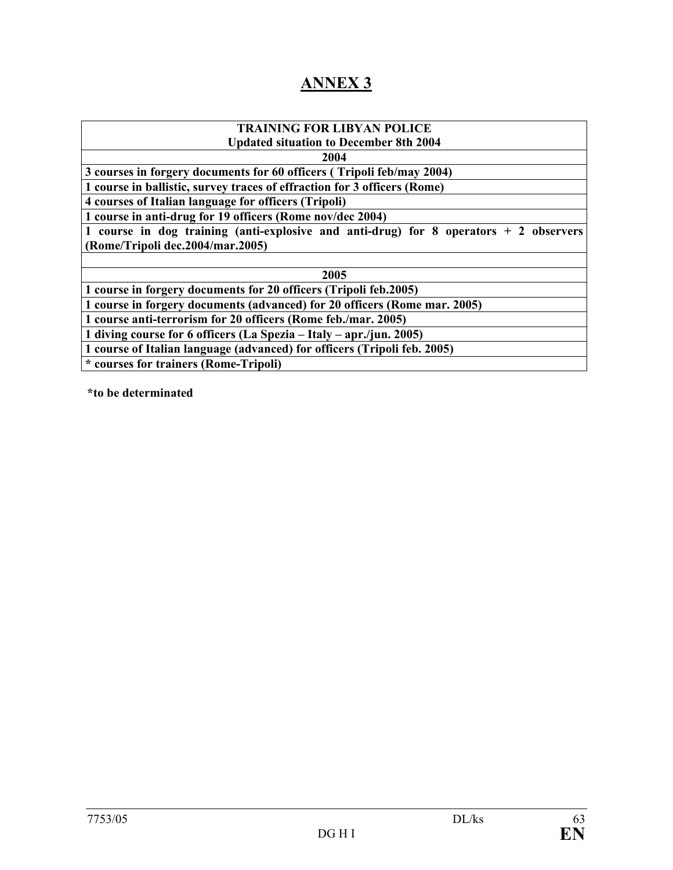## **ANNEX 3**

| <b>TRAINING FOR LIBYAN POLICE</b>                                                       |  |  |  |  |  |
|-----------------------------------------------------------------------------------------|--|--|--|--|--|
| <b>Updated situation to December 8th 2004</b>                                           |  |  |  |  |  |
| 2004                                                                                    |  |  |  |  |  |
| 3 courses in forgery documents for 60 officers (Tripoli feb/may 2004)                   |  |  |  |  |  |
| 1 course in ballistic, survey traces of effraction for 3 officers (Rome)                |  |  |  |  |  |
| 4 courses of Italian language for officers (Tripoli)                                    |  |  |  |  |  |
| 1 course in anti-drug for 19 officers (Rome nov/dec 2004)                               |  |  |  |  |  |
| 1 course in dog training (anti-explosive and anti-drug) for 8 operators $+ 2$ observers |  |  |  |  |  |
| (Rome/Tripoli dec.2004/mar.2005)                                                        |  |  |  |  |  |
|                                                                                         |  |  |  |  |  |
| 2005                                                                                    |  |  |  |  |  |
| 1 course in forgery documents for 20 officers (Tripoli feb.2005)                        |  |  |  |  |  |
| 1 course in forgery documents (advanced) for 20 officers (Rome mar. 2005)               |  |  |  |  |  |
| 1 course anti-terrorism for 20 officers (Rome feb./mar. 2005)                           |  |  |  |  |  |
| 1 diving course for 6 officers (La Spezia – Italy – apr./jun. 2005)                     |  |  |  |  |  |
| 1 course of Italian language (advanced) for officers (Tripoli feb. 2005)                |  |  |  |  |  |
| * courses for trainers (Rome-Tripoli)                                                   |  |  |  |  |  |
|                                                                                         |  |  |  |  |  |

**\*to be determinated**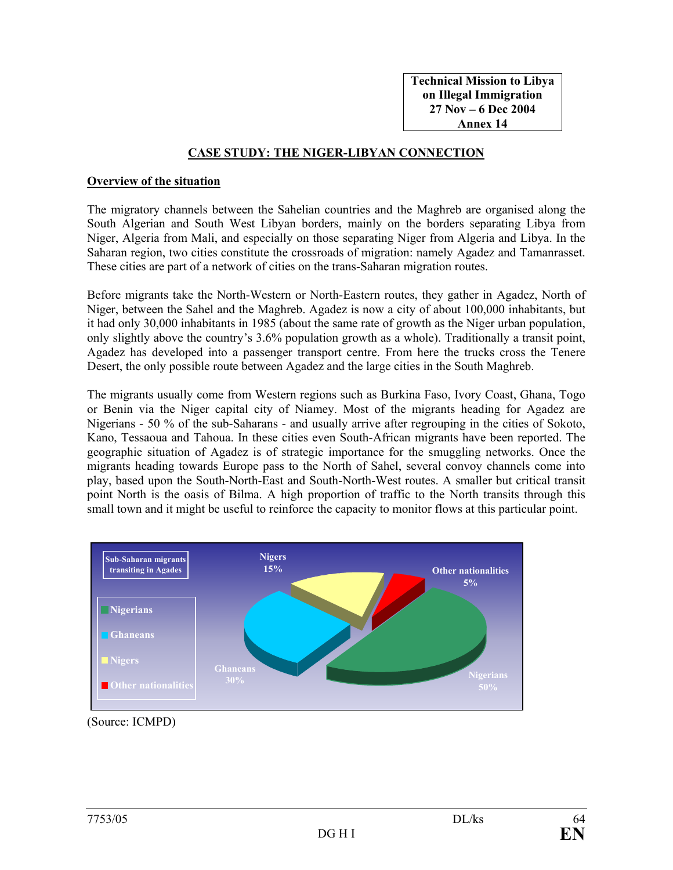**Technical Mission to Libya on Illegal Immigration 27 Nov – 6 Dec 2004 Annex 14** 

#### **CASE STUDY: THE NIGER-LIBYAN CONNECTION**

#### **Overview of the situation**

The migratory channels between the Sahelian countries and the Maghreb are organised along the South Algerian and South West Libyan borders, mainly on the borders separating Libya from Niger, Algeria from Mali, and especially on those separating Niger from Algeria and Libya. In the Saharan region, two cities constitute the crossroads of migration: namely Agadez and Tamanrasset. These cities are part of a network of cities on the trans-Saharan migration routes.

Before migrants take the North-Western or North-Eastern routes, they gather in Agadez, North of Niger, between the Sahel and the Maghreb. Agadez is now a city of about 100,000 inhabitants, but it had only 30,000 inhabitants in 1985 (about the same rate of growth as the Niger urban population, only slightly above the country's 3.6% population growth as a whole). Traditionally a transit point, Agadez has developed into a passenger transport centre. From here the trucks cross the Tenere Desert, the only possible route between Agadez and the large cities in the South Maghreb.

The migrants usually come from Western regions such as Burkina Faso, Ivory Coast, Ghana, Togo or Benin via the Niger capital city of Niamey. Most of the migrants heading for Agadez are Nigerians - 50 % of the sub-Saharans - and usually arrive after regrouping in the cities of Sokoto, Kano, Tessaoua and Tahoua. In these cities even South-African migrants have been reported. The geographic situation of Agadez is of strategic importance for the smuggling networks. Once the migrants heading towards Europe pass to the North of Sahel, several convoy channels come into play, based upon the South-North-East and South-North-West routes. A smaller but critical transit point North is the oasis of Bilma. A high proportion of traffic to the North transits through this small town and it might be useful to reinforce the capacity to monitor flows at this particular point.



(Source: ICMPD)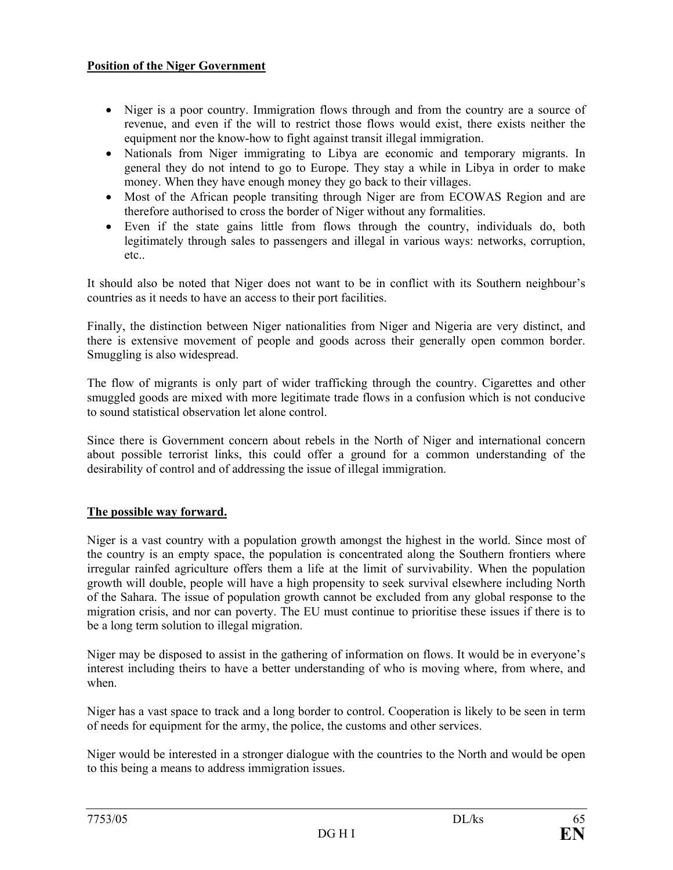## **Position of the Niger Government**

- Niger is a poor country. Immigration flows through and from the country are a source of revenue, and even if the will to restrict those flows would exist, there exists neither the equipment nor the know-how to fight against transit illegal immigration.
- Nationals from Niger immigrating to Libya are economic and temporary migrants. In general they do not intend to go to Europe. They stay a while in Libya in order to make money. When they have enough money they go back to their villages.
- Most of the African people transiting through Niger are from ECOWAS Region and are therefore authorised to cross the border of Niger without any formalities.
- Even if the state gains little from flows through the country, individuals do, both legitimately through sales to passengers and illegal in various ways: networks, corruption, etc..

It should also be noted that Niger does not want to be in conflict with its Southern neighbour's countries as it needs to have an access to their port facilities.

Finally, the distinction between Niger nationalities from Niger and Nigeria are very distinct, and there is extensive movement of people and goods across their generally open common border. Smuggling is also widespread.

The flow of migrants is only part of wider trafficking through the country. Cigarettes and other smuggled goods are mixed with more legitimate trade flows in a confusion which is not conducive to sound statistical observation let alone control.

Since there is Government concern about rebels in the North of Niger and international concern about possible terrorist links, this could offer a ground for a common understanding of the desirability of control and of addressing the issue of illegal immigration.

## **The possible way forward.**

Niger is a vast country with a population growth amongst the highest in the world. Since most of the country is an empty space, the population is concentrated along the Southern frontiers where irregular rainfed agriculture offers them a life at the limit of survivability. When the population growth will double, people will have a high propensity to seek survival elsewhere including North of the Sahara. The issue of population growth cannot be excluded from any global response to the migration crisis, and nor can poverty. The EU must continue to prioritise these issues if there is to be a long term solution to illegal migration.

Niger may be disposed to assist in the gathering of information on flows. It would be in everyone's interest including theirs to have a better understanding of who is moving where, from where, and when.

Niger has a vast space to track and a long border to control. Cooperation is likely to be seen in term of needs for equipment for the army, the police, the customs and other services.

Niger would be interested in a stronger dialogue with the countries to the North and would be open to this being a means to address immigration issues.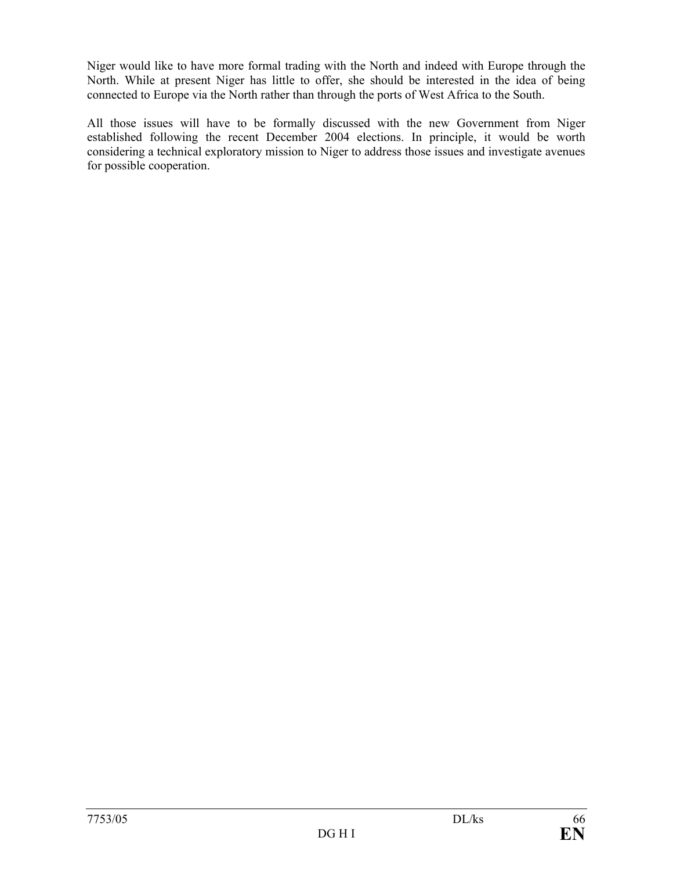Niger would like to have more formal trading with the North and indeed with Europe through the North. While at present Niger has little to offer, she should be interested in the idea of being connected to Europe via the North rather than through the ports of West Africa to the South.

All those issues will have to be formally discussed with the new Government from Niger established following the recent December 2004 elections. In principle, it would be worth considering a technical exploratory mission to Niger to address those issues and investigate avenues for possible cooperation.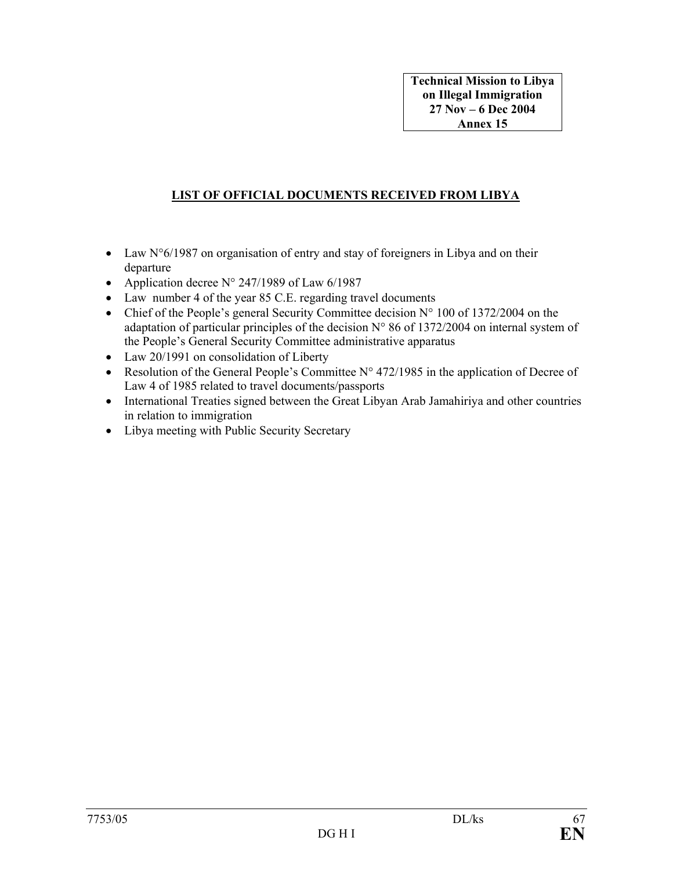## **LIST OF OFFICIAL DOCUMENTS RECEIVED FROM LIBYA**

- Law N°6/1987 on organisation of entry and stay of foreigners in Libya and on their departure
- Application decree  $N^{\circ}$  247/1989 of Law 6/1987
- Law number 4 of the year 85 C.E. regarding travel documents
- Chief of the People's general Security Committee decision  $N^{\circ}$  100 of 1372/2004 on the adaptation of particular principles of the decision N° 86 of 1372/2004 on internal system of the People's General Security Committee administrative apparatus
- Law 20/1991 on consolidation of Liberty
- Resolution of the General People's Committee  $N^{\circ}$  472/1985 in the application of Decree of Law 4 of 1985 related to travel documents/passports
- International Treaties signed between the Great Libyan Arab Jamahiriya and other countries in relation to immigration
- Libya meeting with Public Security Secretary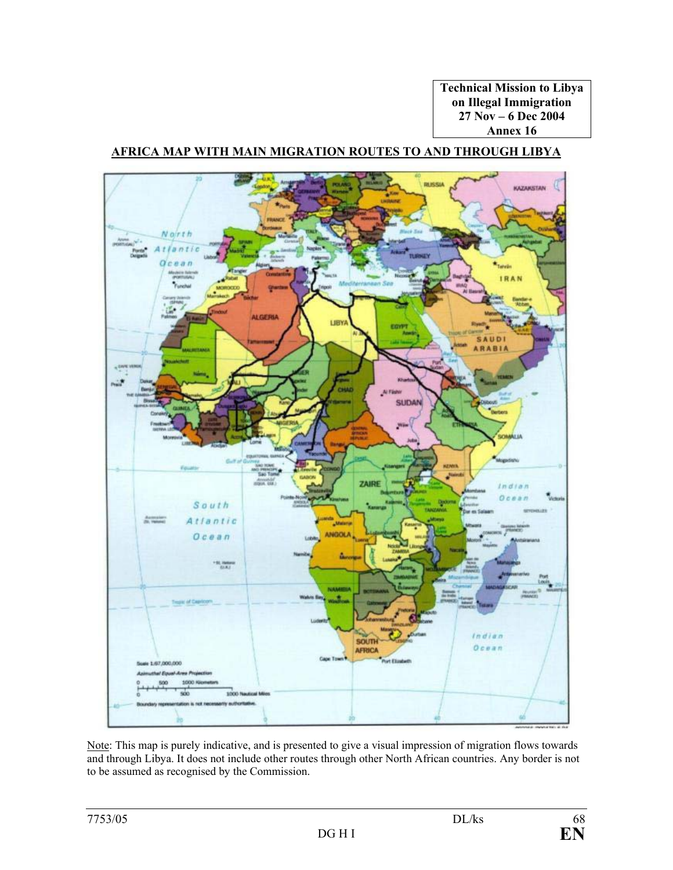**Technical Mission to Libya on Illegal Immigration 27 Nov – 6 Dec 2004 Annex 16** 

## **AFRICA MAP WITH MAIN MIGRATION ROUTES TO AND THROUGH LIBYA**



Note: This map is purely indicative, and is presented to give a visual impression of migration flows towards and through Libya. It does not include other routes through other North African countries. Any border is not to be assumed as recognised by the Commission.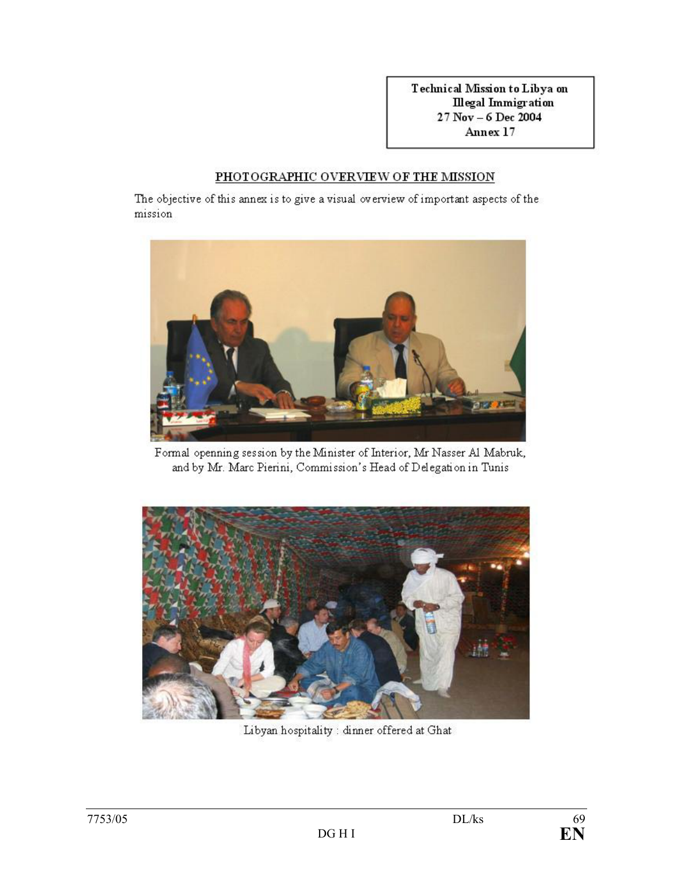Technical Mission to Libya on **Illegal Immigration** 27 Nov - 6 Dec 2004 Annex 17

#### PHOTOGRAPHIC OVERVIEW OF THE MISSION

The objective of this annex is to give a visual overview of important aspects of the mission



Formal openning session by the Minister of Interior, Mr Nasser Al Mabruk, and by Mr. Marc Pierini, Commission's Head of Delegation in Tunis



Libyan hospitality : dinner offered at Ghat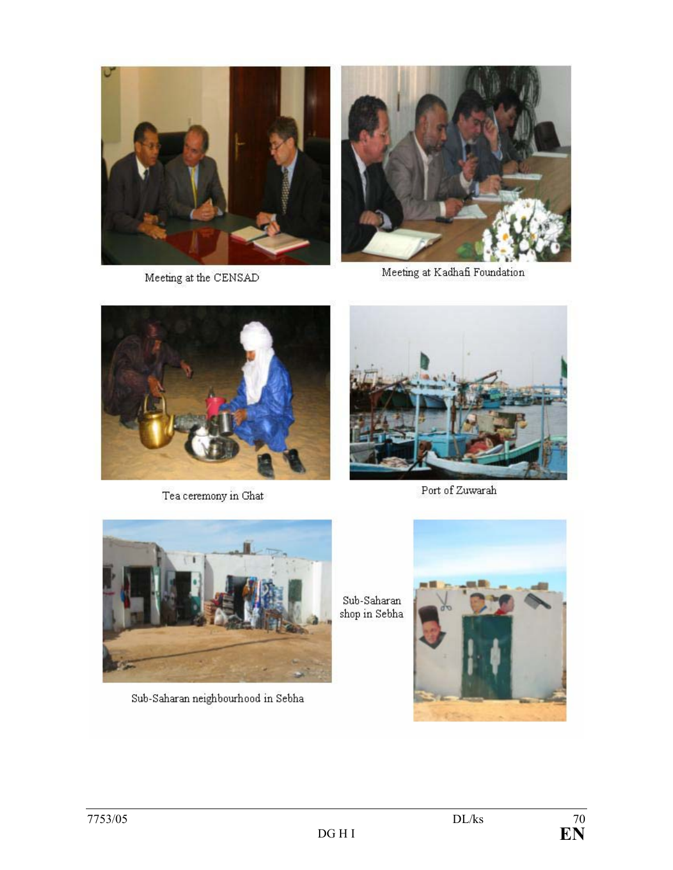

Meeting at the CENSAD



Meeting at Kadhafi Foundation



Tea ceremony in Ghat



Port of Zuwarah



Sub-Saharan neighbourhood in Sebha